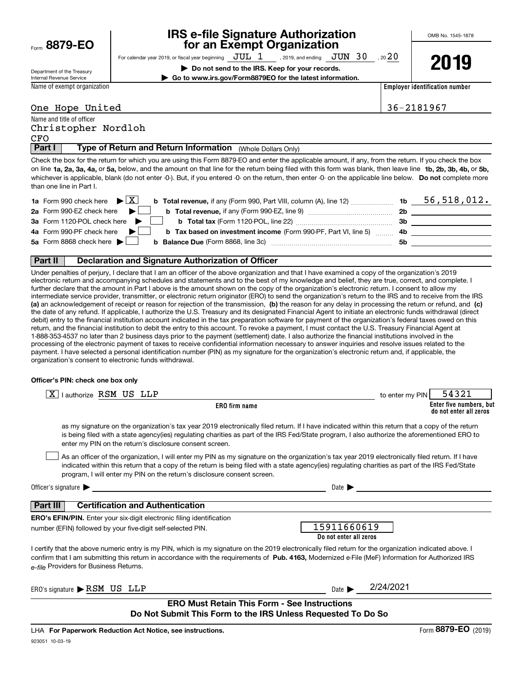Form**8879-EO**

## **IRS e-file Signature Authorization for an Exempt Organization**

OMB No. 1545-1878

Department of the Treasury Internal Revenue Service

For calendar year 2019, or fiscal year beginning  $\frac{\text{JUL}}{\text{DQ K}}$  , 2019, and ending  $\frac{\text{JUN}}{\text{DQ K}}$  , 20 $\frac{20}{\text{DQ K}}$ **| Do not send to the IRS. Keep for your records. | Go to www.irs.gov/Form8879EO for the latest information.**

**2019**

Name of exempt organization

**Employer identification number**

## One Hope United 36-2181967

| Name and title of officer | Christopher Nordloh |  |  |  |
|---------------------------|---------------------|--|--|--|
| CFO                       |                     |  |  |  |

**Type of Return and Return Information** (Whole Dollars Only)

on line **1a, 2a, 3a, 4a,** or **5a,** below, and the amount on that line for the return being filed with this form was blank, then leave line **1b, 2b, 3b, 4b,** or **5b,** whichever is applicable, blank (do not enter -0-). But, if you entered -0- on the return, then enter -0- on the applicable line below. **Do not** complete more **Part I Type of Return and Return Information** (Whole Dollars Only)<br>Check the box for the return for which you are using this Form 8879-EO and enter the applicable amount, if any, from the return. If you check the box than one line in Part I.

| <b>1a</b> Form 990 check here $\blacktriangleright \begin{bmatrix} X \end{bmatrix}$<br><b>b</b> Total revenue, if any (Form 990, Part VIII, column (A), line 12) | 1b  | 56,518,012. |
|------------------------------------------------------------------------------------------------------------------------------------------------------------------|-----|-------------|
| 2a Form 990-EZ check here $\blacktriangleright$<br><b>b</b> Total revenue, if any (Form 990-EZ, line 9) $\ldots$ $\ldots$ $\ldots$ $\ldots$                      | 2b  |             |
| 3a Form 1120-POL check here $\triangleright$                                                                                                                     | 3b. |             |
| 4a Form 990-PF check here $\blacktriangleright$<br><b>b</b> Tax based on investment income (Form 990-PF, Part VI, line 5) 4b                                     |     |             |
| 5a Form 8868 check here $\blacktriangleright$                                                                                                                    | .5b |             |
|                                                                                                                                                                  |     |             |

**(a)** an acknowledgement of receipt or reason for rejection of the transmission, (b) the reason for any delay in processing the return or refund, and (c) **Part II | Declaration and Signature Authorization of Officer**<br>Under penalties of perjury, I declare that I am an officer of the above organization and that I have examined a copy of the organization's 2019 electronic return and accompanying schedules and statements and to the best of my knowledge and belief, they are true, correct, and complete. I further declare that the amount in Part I above is the amount shown on the copy of the organization's electronic return. I consent to allow my intermediate service provider, transmitter, or electronic return originator (ERO) to send the organization's return to the IRS and to receive from the IRS the date of any refund. If applicable, I authorize the U.S. Treasury and its designated Financial Agent to initiate an electronic funds withdrawal (direct debit) entry to the financial institution account indicated in the tax preparation software for payment of the organization's federal taxes owed on this return, and the financial institution to debit the entry to this account. To revoke a payment, I must contact the U.S. Treasury Financial Agent at 1-888-353-4537 no later than 2 business days prior to the payment (settlement) date. I also authorize the financial institutions involved in the processing of the electronic payment of taxes to receive confidential information necessary to answer inquiries and resolve issues related to the payment. I have selected a personal identification number (PIN) as my signature for the organization's electronic return and, if applicable, the organization's consent to electronic funds withdrawal.

## **Officer's PIN: check one box only**

| l authorize RSM US LLP<br>X                                                                                                                                                                                                                                                                                                                                                      | 54321<br>to enter my PIN                          |
|----------------------------------------------------------------------------------------------------------------------------------------------------------------------------------------------------------------------------------------------------------------------------------------------------------------------------------------------------------------------------------|---------------------------------------------------|
| <b>ERO</b> firm name                                                                                                                                                                                                                                                                                                                                                             | Enter five numbers, but<br>do not enter all zeros |
| as my signature on the organization's tax year 2019 electronically filed return. If I have indicated within this return that a copy of the return<br>is being filed with a state agency(ies) regulating charities as part of the IRS Fed/State program, I also authorize the aforementioned ERO to<br>enter my PIN on the return's disclosure consent screen.                    |                                                   |
| As an officer of the organization, I will enter my PIN as my signature on the organization's tax year 2019 electronically filed return. If I have<br>indicated within this return that a copy of the return is being filed with a state agency(ies) regulating charities as part of the IRS Fed/State<br>program, I will enter my PIN on the return's disclosure consent screen. |                                                   |
| Officer's signature $\blacktriangleright$                                                                                                                                                                                                                                                                                                                                        | Date $\blacksquare$                               |
| <b>Certification and Authentication</b><br>Part III                                                                                                                                                                                                                                                                                                                              |                                                   |
| <b>ERO's EFIN/PIN.</b> Enter your six-digit electronic filing identification<br>number (EFIN) followed by your five-digit self-selected PIN.                                                                                                                                                                                                                                     | 15911660619<br>Do not enter all zeros             |
| I certify that the above numeric entry is my PIN, which is my signature on the 2019 electronically filed return for the organization indicated above. I<br>confirm that I am submitting this return in accordance with the requirements of Pub. 4163, Modernized e-File (MeF) Information for Authorized IRS<br>e-file Providers for Business Returns.                           |                                                   |
| ERO's signature $\blacktriangleright$ RSM US LLP                                                                                                                                                                                                                                                                                                                                 | 2/24/2021<br>Date <b>I</b>                        |
| <b>ERO Must Retain This Form - See Instructions</b><br>Do Not Submit This Form to the IRS Unless Requested To Do So                                                                                                                                                                                                                                                              |                                                   |
|                                                                                                                                                                                                                                                                                                                                                                                  | 0070 FQ                                           |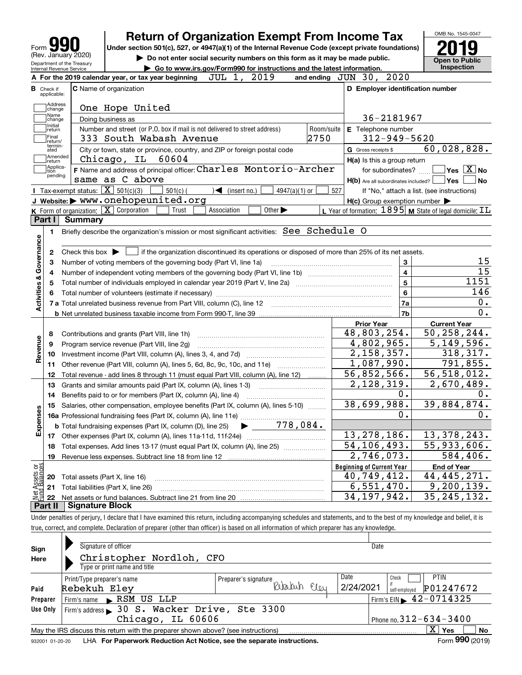| 990                                                    |
|--------------------------------------------------------|
| Form                                                   |
| (Rev. January 2020)                                    |
| Department of the Treasury<br>Internal Revenue Service |

## **Return of Organization Exempt From Income Tax**

Under section 501(c), 527, or 4947(a)(1) of the Internal Revenue Code (except private foundations) **2019** 

**| Do not enter social security numbers on this form as it may be made public.**



| Debartment or the Treasury<br>Internal Revenue Service | ► Go to www.irs.gov/Form990 for instructions and the latest information.                                                                            |                                                                    | Inspection                                 |
|--------------------------------------------------------|-----------------------------------------------------------------------------------------------------------------------------------------------------|--------------------------------------------------------------------|--------------------------------------------|
|                                                        | 2019<br>JUL 1,<br>A For the 2019 calendar year, or tax year beginning                                                                               | and ending JUN 30, 2020                                            |                                            |
| <b>B</b> Check if<br>applicable:                       | <b>C</b> Name of organization                                                                                                                       | D Employer identification number                                   |                                            |
| Address<br>change                                      | One Hope United                                                                                                                                     |                                                                    |                                            |
| Name<br>change                                         | Doing business as                                                                                                                                   | 36-2181967                                                         |                                            |
| Initial<br>return                                      | Number and street (or P.O. box if mail is not delivered to street address)                                                                          | E Telephone number<br>Room/suite                                   |                                            |
| Final<br>return/                                       | 2750<br>333 South Wabash Avenue                                                                                                                     | $312 - 949 - 5620$                                                 |                                            |
| termin-<br>ated                                        | City or town, state or province, country, and ZIP or foreign postal code                                                                            | G Gross receipts \$                                                | 60,028,828.                                |
| Amended<br>return                                      | Chicago, IL<br>60604                                                                                                                                | H(a) Is this a group return                                        |                                            |
| Applica-<br>tion                                       | F Name and address of principal officer: Charles Montorio-Archer                                                                                    | for subordinates?                                                  | $\sqrt{}$ Yes $\sqrt{}$ X $\sqrt{}$ No     |
| pending                                                | same as C above                                                                                                                                     | $H(b)$ Are all subordinates included? $\Box$ Yes                   | No                                         |
|                                                        | Tax-exempt status: $\boxed{\mathbf{X}}$ 501(c)(3)<br>$501(c)$ (<br>$\sqrt{\frac{1}{1}}$ (insert no.)<br>$4947(a)(1)$ or                             | 527                                                                | If "No," attach a list. (see instructions) |
|                                                        | J Website: > www.onehopeunited.org                                                                                                                  | $H(c)$ Group exemption number $\blacktriangleright$                |                                            |
|                                                        | K Form of organization: $X$ Corporation<br>Other $\blacktriangleright$<br>Association<br>Trust                                                      | L Year of formation: $1895$ M State of legal domicile: $\text{TL}$ |                                            |
| Part I                                                 | Summary                                                                                                                                             |                                                                    |                                            |
| 1.                                                     | Briefly describe the organization's mission or most significant activities: See Schedule O                                                          |                                                                    |                                            |
|                                                        |                                                                                                                                                     |                                                                    |                                            |
| Activities & Governance<br>2                           | Check this box $\blacktriangleright$ $\blacksquare$ if the organization discontinued its operations or disposed of more than 25% of its net assets. |                                                                    |                                            |
| з                                                      | Number of voting members of the governing body (Part VI, line 1a)                                                                                   | 3                                                                  | 15                                         |
| 4                                                      |                                                                                                                                                     | 4                                                                  | 15                                         |
| 5                                                      |                                                                                                                                                     | 5                                                                  | 1151                                       |
|                                                        |                                                                                                                                                     | 6                                                                  | 146                                        |
|                                                        |                                                                                                                                                     | 7a                                                                 | 0.                                         |
|                                                        |                                                                                                                                                     | 7b                                                                 | 0.                                         |
|                                                        |                                                                                                                                                     | <b>Prior Year</b>                                                  | <b>Current Year</b>                        |
| 8                                                      | Contributions and grants (Part VIII, line 1h)                                                                                                       | 48,803,254.                                                        | 50, 258, 244.                              |
| Revenue<br>9                                           | Program service revenue (Part VIII, line 2g)                                                                                                        | 4,802,965.<br>2,158,357.                                           | 5,149,596.<br>318,317.                     |
| 10                                                     |                                                                                                                                                     | 1,087,990.                                                         | 791,855.                                   |
| 11                                                     | Other revenue (Part VIII, column (A), lines 5, 6d, 8c, 9c, 10c, and 11e)                                                                            | 56,852,566.                                                        | 56, 518, 012.                              |
| 12                                                     | Total revenue - add lines 8 through 11 (must equal Part VIII, column (A), line 12)                                                                  | 2, 128, 319.                                                       | 2,670,489.                                 |
| 13                                                     | Grants and similar amounts paid (Part IX, column (A), lines 1-3)                                                                                    | 0.                                                                 | 0.                                         |
| 14                                                     | Benefits paid to or for members (Part IX, column (A), line 4)                                                                                       | 38,699,988.                                                        | 39,884,874.                                |
| 15<br>Expenses                                         | Salaries, other compensation, employee benefits (Part IX, column (A), lines 5-10)                                                                   | ο.                                                                 | 0.                                         |
|                                                        | <b>b</b> Total fundraising expenses (Part IX, column (D), line 25) $\bullet$ 778, 084.                                                              |                                                                    |                                            |
|                                                        |                                                                                                                                                     | 13, 278, 186.                                                      | 13,378,243.                                |
|                                                        | 18 Total expenses. Add lines 13-17 (must equal Part IX, column (A), line 25) [                                                                      | 54, 106, 493.                                                      | $\overline{55,933,606}$ .                  |
|                                                        |                                                                                                                                                     | 2,746,073.                                                         | 584,406.                                   |
|                                                        |                                                                                                                                                     | <b>Beginning of Current Year</b>                                   | <b>End of Year</b>                         |
| 20                                                     | Total assets (Part X, line 16)                                                                                                                      | 40,749,412.                                                        | 44, 445, 271.                              |
| t Assets or<br>d Balances<br>21                        | Total liabilities (Part X, line 26)                                                                                                                 | 6,551,470.                                                         | 9,200,139.                                 |
| 22                                                     |                                                                                                                                                     | 34, 197, 942.                                                      | 35, 245, 132.                              |
| Part II                                                | <b>Signature Block</b>                                                                                                                              |                                                                    |                                            |

Under penalties of perjury, I declare that I have examined this return, including accompanying schedules and statements, and to the best of my knowledge and belief, it is true, correct, and complete. Declaration of preparer (other than officer) is based on all information of which preparer has any knowledge.

| Sign<br>Here     | Signature of officer<br>Christopher Nordloh, CFO<br>Type or print name and title                                                                        |                                                            | Date                                                                                                              |
|------------------|---------------------------------------------------------------------------------------------------------------------------------------------------------|------------------------------------------------------------|-------------------------------------------------------------------------------------------------------------------|
| Paid<br>Preparer | Print/Type preparer's name<br>Rebekuh Eley<br>Firm's name RSM US LLP                                                                                    | Preparer's signature<br>flou                               | Date<br><b>PTIN</b><br>Check<br>2/24/2021<br>P01247672<br>self-emploved<br>Firm's EIN $\triangleright$ 42-0714325 |
| Use Only         | Firm's address > 30 S. Wacker Drive, Ste 3300<br>Chicago, IL 60606<br>May the IRS discuss this return with the preparer shown above? (see instructions) | Phone no. $312 - 634 - 3400$<br>$X \mid Y$ es<br><b>No</b> |                                                                                                                   |
| 932001 01-20-20  | LHA For Paperwork Reduction Act Notice, see the separate instructions.                                                                                  |                                                            | Form 990 (2019)                                                                                                   |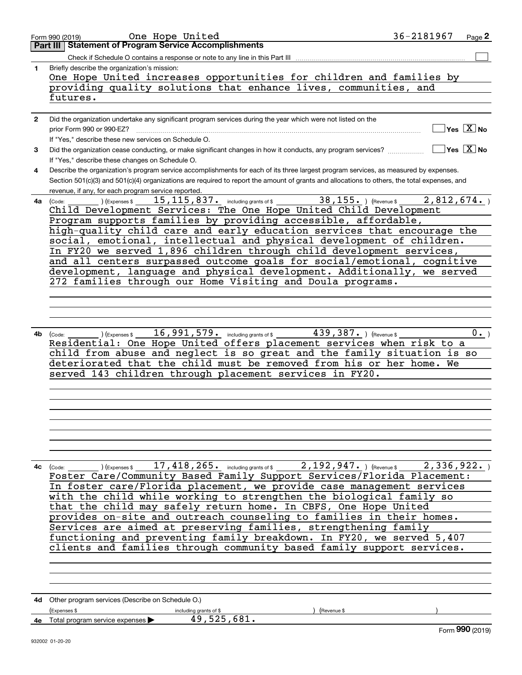|              | One Hope United<br>Form 990 (2019)                                                                                                           | 36-2181967 | Page 2                                          |
|--------------|----------------------------------------------------------------------------------------------------------------------------------------------|------------|-------------------------------------------------|
|              | <b>Statement of Program Service Accomplishments</b><br>Part III                                                                              |            |                                                 |
|              | Check if Schedule O contains a response or note to any line in this Part III                                                                 |            |                                                 |
| $\mathbf{1}$ | Briefly describe the organization's mission:                                                                                                 |            |                                                 |
|              | One Hope United increases opportunities for children and families by                                                                         |            |                                                 |
|              |                                                                                                                                              |            |                                                 |
|              | providing quality solutions that enhance lives, communities, and                                                                             |            |                                                 |
|              | futures.                                                                                                                                     |            |                                                 |
|              |                                                                                                                                              |            |                                                 |
| $\mathbf{2}$ | Did the organization undertake any significant program services during the year which were not listed on the                                 |            |                                                 |
|              | prior Form 990 or 990-EZ?                                                                                                                    |            | $\overline{\ }$ Yes $\overline{\phantom{X}}$ No |
|              | If "Yes," describe these new services on Schedule O.                                                                                         |            |                                                 |
| 3            | Did the organization cease conducting, or make significant changes in how it conducts, any program services?                                 |            | $\Box$ Yes $[\overline{\mathrm{X}}]$ No         |
|              |                                                                                                                                              |            |                                                 |
|              | If "Yes," describe these changes on Schedule O.                                                                                              |            |                                                 |
| 4            | Describe the organization's program service accomplishments for each of its three largest program services, as measured by expenses.         |            |                                                 |
|              | Section 501(c)(3) and 501(c)(4) organizations are required to report the amount of grants and allocations to others, the total expenses, and |            |                                                 |
|              | revenue, if any, for each program service reported.                                                                                          |            |                                                 |
|              | 15, 115, 837. including grants of \$ 38, 155. ) (Revenue \$<br>(Expenses \$<br>4a (Code:                                                     | 2,812,674. |                                                 |
|              | Child Development Services: The One Hope United Child Development                                                                            |            |                                                 |
|              | Program supports families by providing accessible, affordable,                                                                               |            |                                                 |
|              | high-quality child care and early education services that encourage the                                                                      |            |                                                 |
|              |                                                                                                                                              |            |                                                 |
|              | social, emotional, intellectual and physical development of children.                                                                        |            |                                                 |
|              | In FY20 we served 1,896 children through child development services,                                                                         |            |                                                 |
|              | and all centers surpassed outcome goals for social/emotional, cognitive                                                                      |            |                                                 |
|              | development, language and physical development. Additionally, we served                                                                      |            |                                                 |
|              | 272 families through our Home Visiting and Doula programs.                                                                                   |            |                                                 |
|              |                                                                                                                                              |            |                                                 |
|              |                                                                                                                                              |            |                                                 |
|              |                                                                                                                                              |            |                                                 |
|              |                                                                                                                                              |            |                                                 |
|              |                                                                                                                                              |            |                                                 |
|              | 16,991,579. including grants of \$ 439,387. ) (Revenue \$<br>4b (Code:<br>(Expenses \$                                                       |            | 0.                                              |
|              | Residential: One Hope United offers placement services when risk to a                                                                        |            |                                                 |
|              | child from abuse and neglect is so great and the family situation is so                                                                      |            |                                                 |
|              | deteriorated that the child must be removed from his or her home. We                                                                         |            |                                                 |
|              |                                                                                                                                              |            |                                                 |
|              | served 143 children through placement services in FY20.                                                                                      |            |                                                 |
|              |                                                                                                                                              |            |                                                 |
|              |                                                                                                                                              |            |                                                 |
|              |                                                                                                                                              |            |                                                 |
|              |                                                                                                                                              |            |                                                 |
|              |                                                                                                                                              |            |                                                 |
|              |                                                                                                                                              |            |                                                 |
|              |                                                                                                                                              |            |                                                 |
|              |                                                                                                                                              |            |                                                 |
|              | 4c $(\text{Code:})$ (Expenses \$ 17, 418, 265. including grants of \$ 2, 192, 947. ) (Revenue \$ 2, 336, 922. )                              |            |                                                 |
|              | Foster Care/Community Based Family Support Services/Florida Placement:                                                                       |            |                                                 |
|              |                                                                                                                                              |            |                                                 |
|              | In foster care/Florida placement, we provide case management services                                                                        |            |                                                 |
|              | with the child while working to strengthen the biological family so                                                                          |            |                                                 |
|              | that the child may safely return home. In CBFS, One Hope United                                                                              |            |                                                 |
|              | provides on-site and outreach counseling to families in their homes.                                                                         |            |                                                 |
|              | Services are aimed at preserving families, strengthening family                                                                              |            |                                                 |
|              |                                                                                                                                              |            |                                                 |
|              | functioning and preventing family breakdown. In FY20, we served 5,407                                                                        |            |                                                 |
|              | clients and families through community based family support services.                                                                        |            |                                                 |
|              |                                                                                                                                              |            |                                                 |
|              |                                                                                                                                              |            |                                                 |
|              |                                                                                                                                              |            |                                                 |
|              |                                                                                                                                              |            |                                                 |
|              |                                                                                                                                              |            |                                                 |
|              | 4d Other program services (Describe on Schedule O.)                                                                                          |            |                                                 |
|              | (Expenses \$<br>Revenue \$<br>including grants of \$                                                                                         |            |                                                 |
|              | 49,525,681.<br>4e Total program service expenses >                                                                                           |            |                                                 |
|              |                                                                                                                                              |            | Form 990 (2019)                                 |
|              | 932002 01-20-20                                                                                                                              |            |                                                 |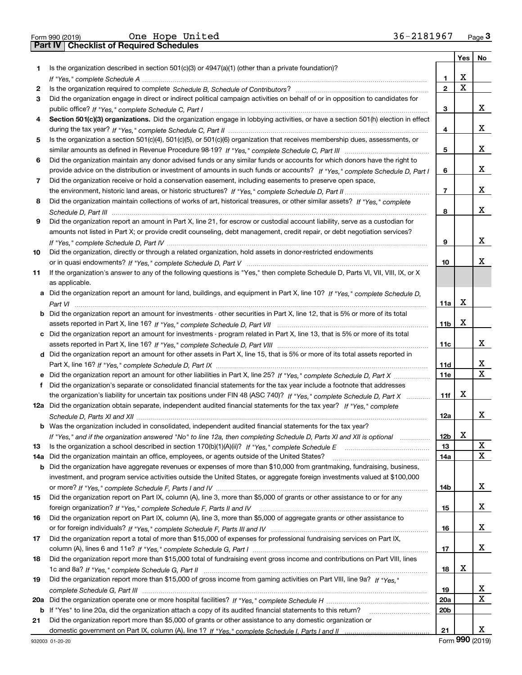|  | Form 990 (2019) |  |
|--|-----------------|--|

Form 990 (2019) Page **3Part IV Checklist of Required Schedules** One Hope United 36-2181967

|     |                                                                                                                                  |                          | Yes | No. |
|-----|----------------------------------------------------------------------------------------------------------------------------------|--------------------------|-----|-----|
| 1.  | Is the organization described in section $501(c)(3)$ or $4947(a)(1)$ (other than a private foundation)?                          |                          |     |     |
|     |                                                                                                                                  | 1                        | х   |     |
| 2   |                                                                                                                                  | $\mathbf{2}$             | Χ   |     |
| 3   | Did the organization engage in direct or indirect political campaign activities on behalf of or in opposition to candidates for  |                          |     |     |
|     |                                                                                                                                  | 3                        |     | х   |
| 4   | Section 501(c)(3) organizations. Did the organization engage in lobbying activities, or have a section 501(h) election in effect |                          |     |     |
|     |                                                                                                                                  | 4                        |     | х   |
| 5   | Is the organization a section 501(c)(4), 501(c)(5), or 501(c)(6) organization that receives membership dues, assessments, or     |                          |     |     |
|     |                                                                                                                                  | 5                        |     | х   |
| 6   | Did the organization maintain any donor advised funds or any similar funds or accounts for which donors have the right to        |                          |     |     |
|     | provide advice on the distribution or investment of amounts in such funds or accounts? If "Yes," complete Schedule D, Part I     | 6                        |     | х   |
| 7   | Did the organization receive or hold a conservation easement, including easements to preserve open space,                        |                          |     |     |
|     |                                                                                                                                  | $\overline{\phantom{a}}$ |     | х   |
| 8   | Did the organization maintain collections of works of art, historical treasures, or other similar assets? If "Yes," complete     |                          |     |     |
|     |                                                                                                                                  | 8                        |     | х   |
|     | Did the organization report an amount in Part X, line 21, for escrow or custodial account liability, serve as a custodian for    |                          |     |     |
| 9   |                                                                                                                                  |                          |     |     |
|     | amounts not listed in Part X; or provide credit counseling, debt management, credit repair, or debt negotiation services?        |                          |     | х   |
|     |                                                                                                                                  | 9                        |     |     |
| 10  | Did the organization, directly or through a related organization, hold assets in donor-restricted endowments                     |                          |     |     |
|     |                                                                                                                                  | 10                       |     | х   |
| 11  | If the organization's answer to any of the following questions is "Yes," then complete Schedule D, Parts VI, VII, VIII, IX, or X |                          |     |     |
|     | as applicable.                                                                                                                   |                          |     |     |
|     | a Did the organization report an amount for land, buildings, and equipment in Part X, line 10? If "Yes," complete Schedule D,    |                          |     |     |
|     |                                                                                                                                  | 11a                      | х   |     |
| b   | Did the organization report an amount for investments - other securities in Part X, line 12, that is 5% or more of its total     |                          |     |     |
|     |                                                                                                                                  | 11 <sub>b</sub>          | х   |     |
|     | c Did the organization report an amount for investments - program related in Part X, line 13, that is 5% or more of its total    |                          |     |     |
|     |                                                                                                                                  | 11c                      |     | х   |
|     | d Did the organization report an amount for other assets in Part X, line 15, that is 5% or more of its total assets reported in  |                          |     |     |
|     |                                                                                                                                  | 11d                      |     | х   |
|     | Did the organization report an amount for other liabilities in Part X, line 25? If "Yes," complete Schedule D, Part X            | 11e                      |     | Χ   |
| f   | Did the organization's separate or consolidated financial statements for the tax year include a footnote that addresses          |                          |     |     |
|     | the organization's liability for uncertain tax positions under FIN 48 (ASC 740)? If "Yes," complete Schedule D, Part X           | 11f                      | х   |     |
|     | 12a Did the organization obtain separate, independent audited financial statements for the tax year? If "Yes," complete          |                          |     |     |
|     |                                                                                                                                  | 12a                      |     | x   |
|     | <b>b</b> Was the organization included in consolidated, independent audited financial statements for the tax year?               |                          |     |     |
|     |                                                                                                                                  | 12 <sub>b</sub>          | x   |     |
| 13  | Is the organization a school described in section $170(b)(1)(A)(ii)?$ If "Yes," complete Schedule E                              | 13                       |     | X   |
| 14a | Did the organization maintain an office, employees, or agents outside of the United States?                                      | 14a                      |     | x   |
| b   | Did the organization have aggregate revenues or expenses of more than \$10,000 from grantmaking, fundraising, business,          |                          |     |     |
|     | investment, and program service activities outside the United States, or aggregate foreign investments valued at \$100,000       |                          |     |     |
|     |                                                                                                                                  | 14b                      |     | x   |
| 15  | Did the organization report on Part IX, column (A), line 3, more than \$5,000 of grants or other assistance to or for any        |                          |     |     |
|     |                                                                                                                                  | 15                       |     | x   |
| 16  | Did the organization report on Part IX, column (A), line 3, more than \$5,000 of aggregate grants or other assistance to         |                          |     |     |
|     |                                                                                                                                  | 16                       |     | x   |
| 17  | Did the organization report a total of more than \$15,000 of expenses for professional fundraising services on Part IX,          |                          |     |     |
|     |                                                                                                                                  | 17                       |     | x   |
| 18  | Did the organization report more than \$15,000 total of fundraising event gross income and contributions on Part VIII, lines     |                          |     |     |
|     |                                                                                                                                  | 18                       | X   |     |
|     | Did the organization report more than \$15,000 of gross income from gaming activities on Part VIII, line 9a? If "Yes."           |                          |     |     |
| 19  |                                                                                                                                  |                          |     | X   |
|     |                                                                                                                                  | 19                       |     | х   |
| 20a |                                                                                                                                  | 20a                      |     |     |
| b   | If "Yes" to line 20a, did the organization attach a copy of its audited financial statements to this return?                     | 20 <sub>b</sub>          |     |     |
| 21  | Did the organization report more than \$5,000 of grants or other assistance to any domestic organization or                      |                          |     |     |
|     |                                                                                                                                  | 21                       |     | x   |

Form (2019) **990**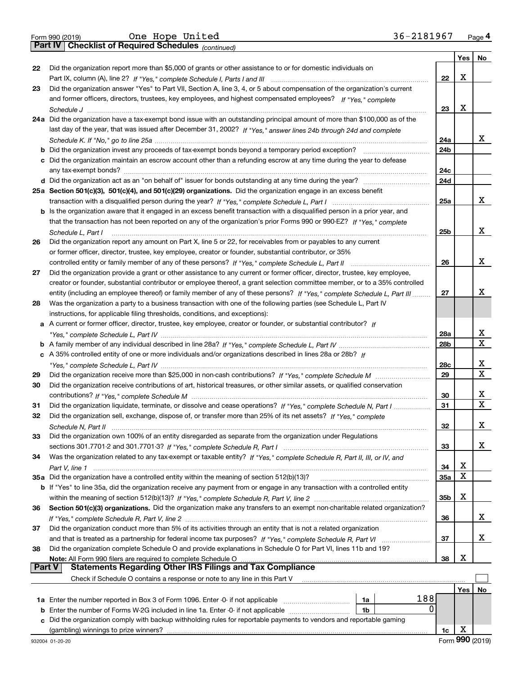|  | Form 990 (2019) |  |
|--|-----------------|--|

*(continued)*

|               |                                                                                                                                                                                                                               |                 | Yes | No |
|---------------|-------------------------------------------------------------------------------------------------------------------------------------------------------------------------------------------------------------------------------|-----------------|-----|----|
| 22            | Did the organization report more than \$5,000 of grants or other assistance to or for domestic individuals on                                                                                                                 |                 |     |    |
|               |                                                                                                                                                                                                                               | 22              | X   |    |
| 23            | Did the organization answer "Yes" to Part VII, Section A, line 3, 4, or 5 about compensation of the organization's current                                                                                                    |                 |     |    |
|               | and former officers, directors, trustees, key employees, and highest compensated employees? If "Yes," complete                                                                                                                |                 |     |    |
|               |                                                                                                                                                                                                                               | 23              | X   |    |
|               | 24a Did the organization have a tax-exempt bond issue with an outstanding principal amount of more than \$100,000 as of the                                                                                                   |                 |     |    |
|               | last day of the year, that was issued after December 31, 2002? If "Yes," answer lines 24b through 24d and complete                                                                                                            |                 |     |    |
|               |                                                                                                                                                                                                                               | 24a             |     | x  |
|               |                                                                                                                                                                                                                               | 24 <sub>b</sub> |     |    |
|               | c Did the organization maintain an escrow account other than a refunding escrow at any time during the year to defease                                                                                                        |                 |     |    |
|               |                                                                                                                                                                                                                               | 24c             |     |    |
|               |                                                                                                                                                                                                                               | 24d             |     |    |
|               | 25a Section 501(c)(3), 501(c)(4), and 501(c)(29) organizations. Did the organization engage in an excess benefit                                                                                                              |                 |     |    |
|               |                                                                                                                                                                                                                               | 25a             |     | x  |
|               | b Is the organization aware that it engaged in an excess benefit transaction with a disqualified person in a prior year, and                                                                                                  |                 |     |    |
|               | that the transaction has not been reported on any of the organization's prior Forms 990 or 990-EZ? If "Yes," complete                                                                                                         |                 |     |    |
|               | Schedule L, Part I                                                                                                                                                                                                            | 25b             |     | х  |
| 26            | Did the organization report any amount on Part X, line 5 or 22, for receivables from or payables to any current                                                                                                               |                 |     |    |
|               | or former officer, director, trustee, key employee, creator or founder, substantial contributor, or 35%                                                                                                                       |                 |     |    |
|               | controlled entity or family member of any of these persons? If "Yes," complete Schedule L, Part II                                                                                                                            | 26              |     | х  |
| 27            | Did the organization provide a grant or other assistance to any current or former officer, director, trustee, key employee,                                                                                                   |                 |     |    |
|               | creator or founder, substantial contributor or employee thereof, a grant selection committee member, or to a 35% controlled                                                                                                   |                 |     |    |
|               | entity (including an employee thereof) or family member of any of these persons? If "Yes," complete Schedule L, Part III                                                                                                      | 27              |     | х  |
| 28            | Was the organization a party to a business transaction with one of the following parties (see Schedule L, Part IV                                                                                                             |                 |     |    |
|               | instructions, for applicable filing thresholds, conditions, and exceptions):                                                                                                                                                  |                 |     |    |
| а             | A current or former officer, director, trustee, key employee, creator or founder, or substantial contributor? If                                                                                                              |                 |     |    |
|               |                                                                                                                                                                                                                               | 28a             |     | х  |
|               |                                                                                                                                                                                                                               | 28 <sub>b</sub> |     | X  |
|               | c A 35% controlled entity of one or more individuals and/or organizations described in lines 28a or 28b? If                                                                                                                   |                 |     |    |
|               |                                                                                                                                                                                                                               | 28c             |     | х  |
| 29            |                                                                                                                                                                                                                               | 29              |     | X  |
| 30            | Did the organization receive contributions of art, historical treasures, or other similar assets, or qualified conservation                                                                                                   |                 |     |    |
|               |                                                                                                                                                                                                                               | 30              |     | х  |
| 31            | Did the organization liquidate, terminate, or dissolve and cease operations? If "Yes," complete Schedule N, Part I                                                                                                            | 31              |     | X  |
| 32            | Did the organization sell, exchange, dispose of, or transfer more than 25% of its net assets? If "Yes," complete                                                                                                              |                 |     |    |
|               |                                                                                                                                                                                                                               | 32              |     | х  |
| 33            | Did the organization own 100% of an entity disregarded as separate from the organization under Regulations                                                                                                                    |                 |     |    |
|               |                                                                                                                                                                                                                               | 33              |     | x  |
| 34            | Was the organization related to any tax-exempt or taxable entity? If "Yes," complete Schedule R, Part II, III, or IV, and                                                                                                     |                 |     |    |
|               | Part V, line 1                                                                                                                                                                                                                | 34              | х   |    |
|               | 35a Did the organization have a controlled entity within the meaning of section 512(b)(13)?                                                                                                                                   | 35a             | X   |    |
|               | b If "Yes" to line 35a, did the organization receive any payment from or engage in any transaction with a controlled entity                                                                                                   |                 |     |    |
|               |                                                                                                                                                                                                                               | 35b             | х   |    |
| 36            | Section 501(c)(3) organizations. Did the organization make any transfers to an exempt non-charitable related organization?                                                                                                    |                 |     |    |
|               |                                                                                                                                                                                                                               | 36              |     | x  |
| 37            | Did the organization conduct more than 5% of its activities through an entity that is not a related organization                                                                                                              |                 |     |    |
|               |                                                                                                                                                                                                                               | 37              |     | x  |
| 38            | Did the organization complete Schedule O and provide explanations in Schedule O for Part VI, lines 11b and 19?                                                                                                                |                 |     |    |
|               | Note: All Form 990 filers are required to complete Schedule O                                                                                                                                                                 | 38              | X   |    |
| <b>Part V</b> | <b>Statements Regarding Other IRS Filings and Tax Compliance</b>                                                                                                                                                              |                 |     |    |
|               | Check if Schedule O contains a response or note to any line in this Part V                                                                                                                                                    |                 |     |    |
|               |                                                                                                                                                                                                                               |                 | Yes | No |
|               | 188<br>1a Enter the number reported in Box 3 of Form 1096. Enter -0- if not applicable<br>1a                                                                                                                                  |                 |     |    |
| b             | 0<br>Enter the number of Forms W-2G included in line 1a. Enter -0- if not applicable<br>1b                                                                                                                                    |                 |     |    |
| c             | Did the organization comply with backup withholding rules for reportable payments to vendors and reportable gaming                                                                                                            |                 |     |    |
|               | (gambling) winnings to prize winners? Management and the content of the content of the content of the content of the content of the content of the content of the content of the content of the content of the content of the | 1c              | X   |    |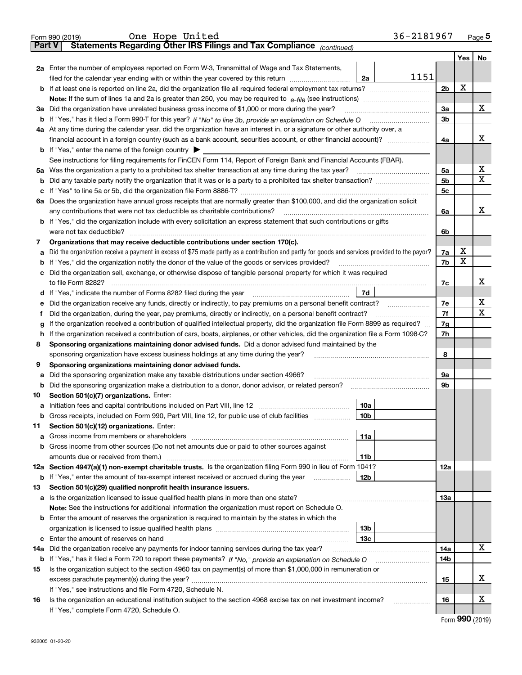|        | One Hope United<br>Form 990 (2019)                                                                                                              |                 | 36-2181967 |                |     | Page 5 |
|--------|-------------------------------------------------------------------------------------------------------------------------------------------------|-----------------|------------|----------------|-----|--------|
| Part V | Statements Regarding Other IRS Filings and Tax Compliance (continued)                                                                           |                 |            |                |     |        |
|        |                                                                                                                                                 |                 |            |                | Yes | No     |
|        | 2a Enter the number of employees reported on Form W-3, Transmittal of Wage and Tax Statements,                                                  |                 |            |                |     |        |
|        | filed for the calendar year ending with or within the year covered by this return                                                               | 2a              | 1151       |                |     |        |
|        | <b>b</b> If at least one is reported on line 2a, did the organization file all required federal employment tax returns?                         |                 |            | 2 <sub>b</sub> | X   |        |
|        |                                                                                                                                                 |                 |            |                |     |        |
|        | 3a Did the organization have unrelated business gross income of \$1,000 or more during the year?                                                |                 |            | 3a             |     | х      |
|        |                                                                                                                                                 |                 |            | 3b             |     |        |
|        | 4a At any time during the calendar year, did the organization have an interest in, or a signature or other authority over, a                    |                 |            |                |     |        |
|        | financial account in a foreign country (such as a bank account, securities account, or other financial account)?                                |                 |            | 4a             |     | х      |
|        | <b>b</b> If "Yes," enter the name of the foreign country $\blacktriangleright$                                                                  |                 |            |                |     |        |
|        | See instructions for filing requirements for FinCEN Form 114, Report of Foreign Bank and Financial Accounts (FBAR).                             |                 |            |                |     |        |
|        |                                                                                                                                                 |                 |            | 5a             |     | х      |
| b      |                                                                                                                                                 |                 |            | 5b             |     | X      |
|        |                                                                                                                                                 |                 |            | 5c             |     |        |
| с      |                                                                                                                                                 |                 |            |                |     |        |
|        | 6a Does the organization have annual gross receipts that are normally greater than \$100,000, and did the organization solicit                  |                 |            |                |     | X      |
|        | any contributions that were not tax deductible as charitable contributions?                                                                     |                 |            | 6a             |     |        |
|        | <b>b</b> If "Yes," did the organization include with every solicitation an express statement that such contributions or gifts                   |                 |            |                |     |        |
|        | were not tax deductible?                                                                                                                        |                 |            | 6b             |     |        |
| 7      | Organizations that may receive deductible contributions under section 170(c).                                                                   |                 |            |                |     |        |
| а      | Did the organization receive a payment in excess of \$75 made partly as a contribution and partly for goods and services provided to the payor? |                 |            | 7a             | X   |        |
| b      | If "Yes," did the organization notify the donor of the value of the goods or services provided?                                                 |                 |            | 7b             | Χ   |        |
| с      | Did the organization sell, exchange, or otherwise dispose of tangible personal property for which it was required                               |                 |            |                |     |        |
|        |                                                                                                                                                 |                 |            | 7c             |     | х      |
| d      | If "Yes," indicate the number of Forms 8282 filed during the year [11] [11] Wes," indicate the number of Forms 8282 filed during the year       | 7d              |            |                |     |        |
| е      | Did the organization receive any funds, directly or indirectly, to pay premiums on a personal benefit contract?                                 |                 |            | 7e             |     | х      |
| f      | Did the organization, during the year, pay premiums, directly or indirectly, on a personal benefit contract?                                    |                 |            | 7f             |     | X      |
| g      | If the organization received a contribution of qualified intellectual property, did the organization file Form 8899 as required?                |                 |            | 7g             |     |        |
| h      | If the organization received a contribution of cars, boats, airplanes, or other vehicles, did the organization file a Form 1098-C?              |                 |            | 7h             |     |        |
| 8      | Sponsoring organizations maintaining donor advised funds. Did a donor advised fund maintained by the                                            |                 |            |                |     |        |
|        | sponsoring organization have excess business holdings at any time during the year?                                                              |                 |            | 8              |     |        |
| 9      | Sponsoring organizations maintaining donor advised funds.                                                                                       |                 |            |                |     |        |
| а      | Did the sponsoring organization make any taxable distributions under section 4966?                                                              |                 |            | 9а             |     |        |
| b      |                                                                                                                                                 |                 |            | 9b             |     |        |
| 10     | Section 501(c)(7) organizations. Enter:                                                                                                         |                 |            |                |     |        |
|        |                                                                                                                                                 | 10a             |            |                |     |        |
|        | Gross receipts, included on Form 990, Part VIII, line 12, for public use of club facilities                                                     | 10b             |            |                |     |        |
| 11     | Section 501(c)(12) organizations. Enter:                                                                                                        |                 |            |                |     |        |
| а      | Gross income from members or shareholders                                                                                                       | 11a             |            |                |     |        |
| b      | Gross income from other sources (Do not net amounts due or paid to other sources against                                                        |                 |            |                |     |        |
|        |                                                                                                                                                 | 11b             |            |                |     |        |
|        | 12a Section 4947(a)(1) non-exempt charitable trusts. Is the organization filing Form 990 in lieu of Form 1041?                                  |                 |            | 12a            |     |        |
|        | <b>b</b> If "Yes," enter the amount of tax-exempt interest received or accrued during the year                                                  | 12 <sub>b</sub> |            |                |     |        |
| 13     | Section 501(c)(29) qualified nonprofit health insurance issuers.                                                                                |                 |            |                |     |        |
|        | a Is the organization licensed to issue qualified health plans in more than one state?                                                          |                 |            | 13a            |     |        |
|        | Note: See the instructions for additional information the organization must report on Schedule O.                                               |                 |            |                |     |        |
|        | <b>b</b> Enter the amount of reserves the organization is required to maintain by the states in which the                                       |                 |            |                |     |        |
|        |                                                                                                                                                 | 13 <sub>b</sub> |            |                |     |        |
| c      |                                                                                                                                                 | 13с             |            |                |     |        |
|        | Did the organization receive any payments for indoor tanning services during the tax year?                                                      |                 |            | 14a            |     | X      |
| 14a    |                                                                                                                                                 |                 |            |                |     |        |
|        | <b>b</b> If "Yes," has it filed a Form 720 to report these payments? If "No," provide an explanation on Schedule O                              |                 |            | 14b            |     |        |
| 15     | Is the organization subject to the section 4960 tax on payment(s) of more than \$1,000,000 in remuneration or                                   |                 |            |                |     | х      |
|        |                                                                                                                                                 |                 |            | 15             |     |        |
|        | If "Yes," see instructions and file Form 4720, Schedule N.                                                                                      |                 |            |                |     |        |
| 16     | Is the organization an educational institution subject to the section 4968 excise tax on net investment income?                                 |                 |            | 16             |     | х      |
|        | If "Yes," complete Form 4720, Schedule O.                                                                                                       |                 |            |                | ההה |        |

| Form 990 (2019) |  |  |
|-----------------|--|--|
|-----------------|--|--|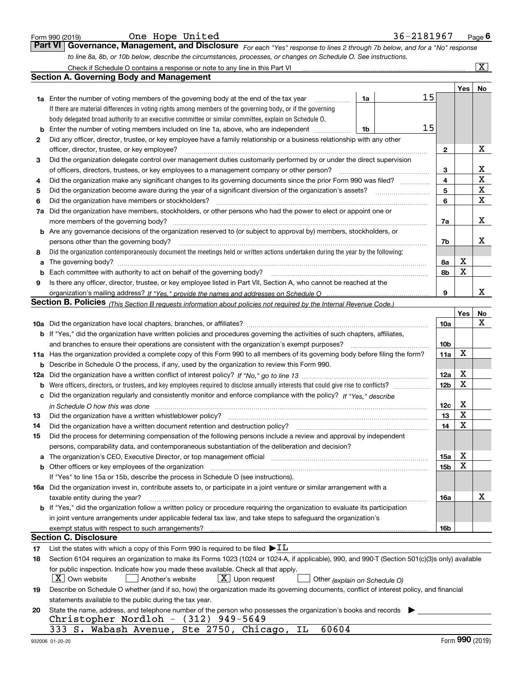|    | One Hope United<br>Form 990 (2019)                                                                                                                                    |    | 36-2181967 |                 |     | <u>Page</u> 6           |
|----|-----------------------------------------------------------------------------------------------------------------------------------------------------------------------|----|------------|-----------------|-----|-------------------------|
|    | <b>Part VI</b><br>Governance, Management, and Disclosure For each "Yes" response to lines 2 through 7b below, and for a "No" response                                 |    |            |                 |     |                         |
|    | to line 8a, 8b, or 10b below, describe the circumstances, processes, or changes on Schedule O. See instructions.                                                      |    |            |                 |     |                         |
|    | Check if Schedule O contains a response or note to any line in this Part VI                                                                                           |    |            |                 |     | $\overline{\mathbf{x}}$ |
|    | <b>Section A. Governing Body and Management</b>                                                                                                                       |    |            |                 |     |                         |
|    |                                                                                                                                                                       |    |            |                 | Yes | No                      |
|    | <b>1a</b> Enter the number of voting members of the governing body at the end of the tax year                                                                         | 1a | 15         |                 |     |                         |
|    | If there are material differences in voting rights among members of the governing body, or if the governing                                                           |    |            |                 |     |                         |
|    | body delegated broad authority to an executive committee or similar committee, explain on Schedule O.                                                                 |    |            |                 |     |                         |
| b  | Enter the number of voting members included on line 1a, above, who are independent                                                                                    | 1b | 15         |                 |     |                         |
| 2  | Did any officer, director, trustee, or key employee have a family relationship or a business relationship with any other                                              |    |            |                 |     |                         |
|    | officer, director, trustee, or key employee?                                                                                                                          |    |            | $\mathbf{2}$    |     | X                       |
| 3  | Did the organization delegate control over management duties customarily performed by or under the direct supervision                                                 |    |            |                 |     |                         |
|    | of officers, directors, trustees, or key employees to a management company or other person?                                                                           |    |            | 3               |     | х                       |
| 4  | Did the organization make any significant changes to its governing documents since the prior Form 990 was filed?                                                      |    |            | 4               |     | X                       |
| 5  |                                                                                                                                                                       |    |            | 5               |     | х                       |
| 6  | Did the organization have members or stockholders?                                                                                                                    |    |            | 6               |     | X                       |
| 7a | Did the organization have members, stockholders, or other persons who had the power to elect or appoint one or                                                        |    |            |                 |     |                         |
|    | more members of the governing body?                                                                                                                                   |    |            | 7a              |     | х                       |
| b  | Are any governance decisions of the organization reserved to (or subject to approval by) members, stockholders, or                                                    |    |            |                 |     |                         |
|    | persons other than the governing body?                                                                                                                                |    |            | 7b              |     | x                       |
| 8  | Did the organization contemporaneously document the meetings held or written actions undertaken during the year by the following:                                     |    |            |                 |     |                         |
| a  |                                                                                                                                                                       |    |            | 8а              | X   |                         |
| b  | Each committee with authority to act on behalf of the governing body?                                                                                                 |    |            | 8b              | X   |                         |
| 9  | Is there any officer, director, trustee, or key employee listed in Part VII, Section A, who cannot be reached at the                                                  |    |            |                 |     |                         |
|    |                                                                                                                                                                       |    |            | 9               |     | x                       |
|    | <b>Section B. Policies</b> (This Section B requests information about policies not required by the Internal Revenue Code.)                                            |    |            |                 |     |                         |
|    |                                                                                                                                                                       |    |            |                 | Yes | No<br>x                 |
|    |                                                                                                                                                                       |    |            | 10a             |     |                         |
|    | <b>b</b> If "Yes," did the organization have written policies and procedures governing the activities of such chapters, affiliates,                                   |    |            |                 |     |                         |
|    | and branches to ensure their operations are consistent with the organization's exempt purposes?                                                                       |    |            | 10 <sub>b</sub> | х   |                         |
|    | 11a Has the organization provided a complete copy of this Form 990 to all members of its governing body before filing the form?                                       |    |            | 11a             |     |                         |
| b  | Describe in Schedule O the process, if any, used by the organization to review this Form 990.                                                                         |    |            | 12a             | х   |                         |
|    |                                                                                                                                                                       |    |            | 12 <sub>b</sub> | X   |                         |
| b  | Did the organization regularly and consistently monitor and enforce compliance with the policy? If "Yes." describe                                                    |    |            |                 |     |                         |
|    |                                                                                                                                                                       |    |            | 12c             | х   |                         |
| 13 | in Schedule O how this was done measured and contain an according to the state of the schedule O how this was                                                         |    |            | 13              | X   |                         |
| 14 | Did the organization have a written document retention and destruction policy?                                                                                        |    |            | 14              | х   |                         |
| 15 | Did the process for determining compensation of the following persons include a review and approval by independent                                                    |    |            |                 |     |                         |
|    | persons, comparability data, and contemporaneous substantiation of the deliberation and decision?                                                                     |    |            |                 |     |                         |
| a  | The organization's CEO, Executive Director, or top management official manufactured content of the organization's CEO, Executive Director, or top management official |    |            | 15a             | х   |                         |
| b  | Other officers or key employees of the organization                                                                                                                   |    |            | 15 <sub>b</sub> | X   |                         |
|    | If "Yes" to line 15a or 15b, describe the process in Schedule O (see instructions).                                                                                   |    |            |                 |     |                         |
|    | 16a Did the organization invest in, contribute assets to, or participate in a joint venture or similar arrangement with a                                             |    |            |                 |     |                         |
|    | taxable entity during the year?                                                                                                                                       |    |            | 16a             |     | х                       |
|    | b If "Yes," did the organization follow a written policy or procedure requiring the organization to evaluate its participation                                        |    |            |                 |     |                         |
|    | in joint venture arrangements under applicable federal tax law, and take steps to safeguard the organization's                                                        |    |            |                 |     |                         |
|    | exempt status with respect to such arrangements?                                                                                                                      |    |            | 16 <sub>b</sub> |     |                         |
|    | <b>Section C. Disclosure</b>                                                                                                                                          |    |            |                 |     |                         |
| 17 | List the states with which a copy of this Form 990 is required to be filed $\blacktriangleright$ IL                                                                   |    |            |                 |     |                         |
| 18 | Section 6104 requires an organization to make its Forms 1023 (1024 or 1024-A, if applicable), 990, and 990-T (Section 501(c)(3)s only) available                      |    |            |                 |     |                         |
|    | for public inspection. Indicate how you made these available. Check all that apply.                                                                                   |    |            |                 |     |                         |
|    | $\lfloor X \rfloor$ Own website<br>$X$ Upon request<br>Another's website<br>Other (explain on Schedule O)                                                             |    |            |                 |     |                         |
| 19 | Describe on Schedule O whether (and if so, how) the organization made its governing documents, conflict of interest policy, and financial                             |    |            |                 |     |                         |
|    | statements available to the public during the tax year.                                                                                                               |    |            |                 |     |                         |
| 20 | State the name, address, and telephone number of the person who possesses the organization's books and records                                                        |    |            |                 |     |                         |
|    | Christopher Nordloh - (312) 949-5649                                                                                                                                  |    |            |                 |     |                         |
|    | 333 S. Wabash Avenue, Ste 2750, Chicago,<br>60604<br>IL                                                                                                               |    |            |                 |     |                         |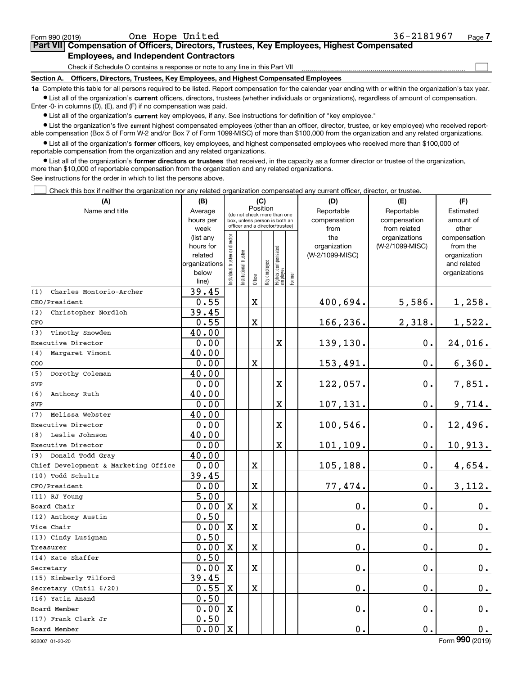$\mathcal{L}^{\text{max}}$ 

## **7Part VII Compensation of Officers, Directors, Trustees, Key Employees, Highest Compensated Employees, and Independent Contractors**

Check if Schedule O contains a response or note to any line in this Part VII

**Section A. Officers, Directors, Trustees, Key Employees, and Highest Compensated Employees**

**1a**  Complete this table for all persons required to be listed. Report compensation for the calendar year ending with or within the organization's tax year. **•** List all of the organization's current officers, directors, trustees (whether individuals or organizations), regardless of amount of compensation.

Enter -0- in columns (D), (E), and (F) if no compensation was paid.

 $\bullet$  List all of the organization's  $\,$ current key employees, if any. See instructions for definition of "key employee."

**•** List the organization's five current highest compensated employees (other than an officer, director, trustee, or key employee) who received reportable compensation (Box 5 of Form W-2 and/or Box 7 of Form 1099-MISC) of more than \$100,000 from the organization and any related organizations.

**•** List all of the organization's former officers, key employees, and highest compensated employees who received more than \$100,000 of reportable compensation from the organization and any related organizations.

**former directors or trustees**  ¥ List all of the organization's that received, in the capacity as a former director or trustee of the organization, more than \$10,000 of reportable compensation from the organization and any related organizations.

See instructions for the order in which to list the persons above.

Check this box if neither the organization nor any related organization compensated any current officer, director, or trustee.  $\mathcal{L}^{\text{max}}$ 

| (A)                                  | (B)                    |                               |                      |             | (C)          |                                                                  |        | (D)                             | (E)             | (F)                      |
|--------------------------------------|------------------------|-------------------------------|----------------------|-------------|--------------|------------------------------------------------------------------|--------|---------------------------------|-----------------|--------------------------|
| Name and title                       | Average                |                               |                      |             | Position     | (do not check more than one                                      |        | Reportable                      | Reportable      | Estimated                |
|                                      | hours per              |                               |                      |             |              | box, unless person is both an<br>officer and a director/trustee) |        | compensation                    | compensation    | amount of                |
|                                      | week                   |                               |                      |             |              |                                                                  |        | from                            | from related    | other                    |
|                                      | (list any<br>hours for |                               |                      |             |              |                                                                  |        | the                             | organizations   | compensation<br>from the |
|                                      | related                |                               |                      |             |              |                                                                  |        | organization<br>(W-2/1099-MISC) | (W-2/1099-MISC) | organization             |
|                                      | organizations          |                               |                      |             |              |                                                                  |        |                                 |                 | and related              |
|                                      | below                  | ndividual trustee or director | nstitutional trustee |             |              |                                                                  |        |                                 |                 | organizations            |
|                                      | line)                  |                               |                      | Officer     | Key employee | Highest compensated<br> employee                                 | Former |                                 |                 |                          |
| Charles Montorio-Archer<br>(1)       | 39.45                  |                               |                      |             |              |                                                                  |        |                                 |                 |                          |
| CEO/President                        | 0.55                   |                               |                      | $\mathbf X$ |              |                                                                  |        | 400,694.                        | 5,586.          | 1,258.                   |
| Christopher Nordloh<br>(2)           | 39.45                  |                               |                      |             |              |                                                                  |        |                                 |                 |                          |
| CFO                                  | 0.55                   |                               |                      | X           |              |                                                                  |        | 166,236.                        | 2,318.          | 1,522.                   |
| (3)<br>Timothy Snowden               | 40.00                  |                               |                      |             |              |                                                                  |        |                                 |                 |                          |
| Executive Director                   | 0.00                   |                               |                      |             |              | $\mathbf X$                                                      |        | 139,130.                        | $0$ .           | 24,016.                  |
| Margaret Vimont<br>(4)               | 40.00                  |                               |                      |             |              |                                                                  |        |                                 |                 |                          |
| COO                                  | 0.00                   |                               |                      | $\mathbf X$ |              |                                                                  |        | 153,491.                        | $0$ .           | 6,360.                   |
| Dorothy Coleman<br>(5)               | 40.00                  |                               |                      |             |              |                                                                  |        |                                 |                 |                          |
| SVP                                  | 0.00                   |                               |                      |             |              | X                                                                |        | 122,057.                        | 0.              | 7,851.                   |
| (6)<br>Anthony Ruth                  | 40.00                  |                               |                      |             |              |                                                                  |        |                                 |                 |                          |
| SVP                                  | 0.00                   |                               |                      |             |              | x                                                                |        | 107,131.                        | 0.              | 9,714.                   |
| Melissa Webster<br>(7)               | 40.00                  |                               |                      |             |              |                                                                  |        |                                 |                 |                          |
| Executive Director                   | 0.00                   |                               |                      |             |              | $\mathbf X$                                                      |        | 100,546.                        | 0.              | 12,496.                  |
| Leslie Johnson<br>(8)                | 40.00                  |                               |                      |             |              |                                                                  |        |                                 |                 |                          |
| Executive Director                   | 0.00                   |                               |                      |             |              | $\mathbf X$                                                      |        | 101,109.                        | $0$ .           | 10,913.                  |
| Donald Todd Gray<br>(9)              | 40.00                  |                               |                      |             |              |                                                                  |        |                                 |                 |                          |
| Chief Development & Marketing Office | 0.00                   |                               |                      | $\mathbf X$ |              |                                                                  |        | 105,188.                        | 0.              | 4,654.                   |
| (10) Todd Schultz                    | 39.45                  |                               |                      |             |              |                                                                  |        |                                 |                 |                          |
| CFO/President                        | 0.00                   |                               |                      | X           |              |                                                                  |        | 77,474.                         | 0.              | 3,112.                   |
| (11) RJ Young                        | $\overline{5.00}$      |                               |                      |             |              |                                                                  |        |                                 |                 |                          |
| Board Chair                          | 0.00                   | $\mathbf X$                   |                      | X           |              |                                                                  |        | 0.                              | 0.              | $0_{.}$                  |
| (12) Anthony Austin                  | 0.50                   |                               |                      |             |              |                                                                  |        |                                 |                 |                          |
| Vice Chair                           | 0.00                   | X                             |                      | $\mathbf X$ |              |                                                                  |        | 0.                              | 0.              | 0.                       |
| (13) Cindy Lusignan                  | 0.50                   |                               |                      |             |              |                                                                  |        |                                 |                 |                          |
| Treasurer                            | 0.00                   | $\mathbf X$                   |                      | X           |              |                                                                  |        | 0.                              | 0.              | 0.                       |
| (14) Kate Shaffer                    | 0.50                   |                               |                      |             |              |                                                                  |        |                                 |                 |                          |
| Secretary                            | 0.00                   | $\mathbf x$                   |                      | X           |              |                                                                  |        | 0.                              | $0$ .           | 0.                       |
| (15) Kimberly Tilford                | 39.45                  |                               |                      |             |              |                                                                  |        |                                 |                 |                          |
| Secretary (Until 6/20)               | 0.55                   | $\mathbf X$                   |                      | $\mathbf X$ |              |                                                                  |        | 0.                              | 0.              | 0.                       |
| (16) Yatin Anand                     | 0.50                   |                               |                      |             |              |                                                                  |        |                                 |                 |                          |
| Board Member                         | 0.00                   | $\mathbf X$                   |                      |             |              |                                                                  |        | 0.                              | 0.              | 0.                       |
| (17) Frank Clark Jr                  | 0.50                   |                               |                      |             |              |                                                                  |        |                                 |                 |                          |
| Board Member                         | 0.00                   | $\mathbf X$                   |                      |             |              |                                                                  |        | $0$ .                           | 0.              | 0.                       |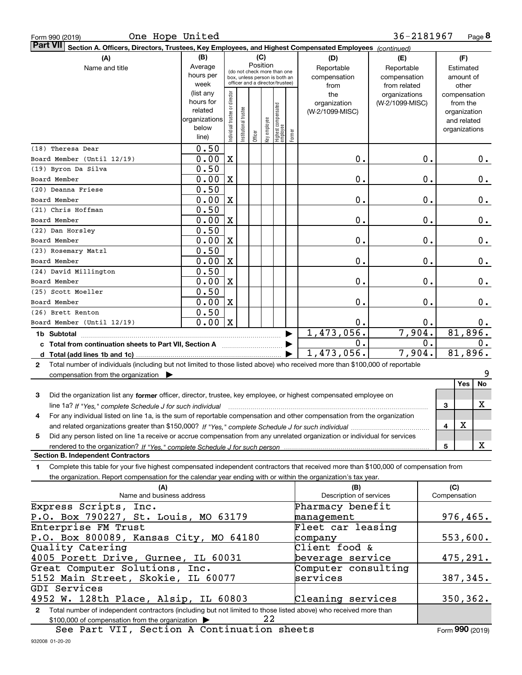| Form 990 (2019 |  |  |
|----------------|--|--|
|                |  |  |

Form 990 (2019) Page One Hope United **8** 36-2181967

| Part VII Section A. Officers, Directors, Trustees, Key Employees, and Highest Compensated Employees (continued)                              |                        |                                |                                 |          |              |                                  |        |                                 |                 |    |                             |       |
|----------------------------------------------------------------------------------------------------------------------------------------------|------------------------|--------------------------------|---------------------------------|----------|--------------|----------------------------------|--------|---------------------------------|-----------------|----|-----------------------------|-------|
| (A)                                                                                                                                          | (B)                    |                                |                                 | (C)      |              |                                  |        | (D)                             | (E)             |    | (F)                         |       |
| Name and title                                                                                                                               | Average                |                                | (do not check more than one     | Position |              |                                  |        | Reportable                      | Reportable      |    | Estimated                   |       |
|                                                                                                                                              | hours per              |                                | box, unless person is both an   |          |              |                                  |        | compensation                    | compensation    |    | amount of                   |       |
|                                                                                                                                              | week                   |                                | officer and a director/trustee) |          |              |                                  |        | from                            | from related    |    | other                       |       |
|                                                                                                                                              | (list any<br>hours for |                                |                                 |          |              |                                  |        | the                             | organizations   |    | compensation                |       |
|                                                                                                                                              | related                |                                |                                 |          |              |                                  |        | organization<br>(W-2/1099-MISC) | (W-2/1099-MISC) |    | from the                    |       |
|                                                                                                                                              | organizations          | Individual trustee or director | Institutional trustee           |          |              |                                  |        |                                 |                 |    | organization<br>and related |       |
|                                                                                                                                              | below                  |                                |                                 |          |              |                                  |        |                                 |                 |    | organizations               |       |
|                                                                                                                                              | line)                  |                                |                                 | Officer  | Key employee | Highest compensated<br> employee | Former |                                 |                 |    |                             |       |
| (18) Theresa Dear                                                                                                                            | 0.50                   |                                |                                 |          |              |                                  |        |                                 |                 |    |                             |       |
| Board Member (Until 12/19)                                                                                                                   | 0.00                   | $\mathbf X$                    |                                 |          |              |                                  |        | 0.                              |                 | 0. |                             | 0.    |
| (19) Byron Da Silva                                                                                                                          | 0.50                   |                                |                                 |          |              |                                  |        |                                 |                 |    |                             |       |
| Board Member                                                                                                                                 | 0.00                   | X                              |                                 |          |              |                                  |        | 0.                              |                 | 0. |                             | 0.    |
| (20) Deanna Friese                                                                                                                           | 0.50                   |                                |                                 |          |              |                                  |        |                                 |                 |    |                             |       |
| Board Member                                                                                                                                 | 0.00                   | $\mathbf X$                    |                                 |          |              |                                  |        | 0.                              |                 | 0. |                             | 0.    |
| (21) Chris Hoffman                                                                                                                           | 0.50                   |                                |                                 |          |              |                                  |        |                                 |                 |    |                             |       |
| Board Member                                                                                                                                 | 0.00                   | X                              |                                 |          |              |                                  |        | 0.                              |                 | 0. |                             | 0.    |
| (22) Dan Horsley                                                                                                                             | 0.50                   |                                |                                 |          |              |                                  |        |                                 |                 |    |                             |       |
| Board Member                                                                                                                                 | 0.00                   | X                              |                                 |          |              |                                  |        | 0.                              |                 | 0. |                             | 0.    |
| (23) Rosemary Matzl                                                                                                                          | 0.50                   |                                |                                 |          |              |                                  |        |                                 |                 |    |                             |       |
| Board Member                                                                                                                                 | 0.00                   | X                              |                                 |          |              |                                  |        | 0.                              |                 | 0. |                             | 0.    |
| (24) David Millington                                                                                                                        | 0.50                   |                                |                                 |          |              |                                  |        |                                 |                 |    |                             |       |
| Board Member                                                                                                                                 | 0.00                   | X                              |                                 |          |              |                                  |        | 0.                              |                 | 0. |                             | 0.    |
| (25) Scott Moeller                                                                                                                           | 0.50                   |                                |                                 |          |              |                                  |        |                                 |                 |    |                             |       |
| Board Member                                                                                                                                 | 0.00                   | X                              |                                 |          |              |                                  |        | 0.                              |                 | 0. |                             | 0.    |
| (26) Brett Renton                                                                                                                            | 0.50                   |                                |                                 |          |              |                                  |        |                                 |                 |    |                             |       |
| Board Member (Until 12/19)                                                                                                                   | 0.00                   | $\mathbf X$                    |                                 |          |              |                                  |        | 0.                              |                 | 0. |                             | $0$ . |
| 1b Subtotal                                                                                                                                  |                        |                                |                                 |          |              |                                  |        | 1,473,056.                      | 7,904.          |    | 81,896.                     |       |
| c Total from continuation sheets to Part VII, Section A                                                                                      |                        |                                |                                 |          |              |                                  |        | 0.                              |                 | 0. | 0.                          |       |
|                                                                                                                                              |                        |                                |                                 |          |              |                                  |        | 1,473,056.                      | 7,904.          |    | 81,896.                     |       |
| Total number of individuals (including but not limited to those listed above) who received more than \$100,000 of reportable<br>$\mathbf{2}$ |                        |                                |                                 |          |              |                                  |        |                                 |                 |    |                             |       |
| compensation from the organization                                                                                                           |                        |                                |                                 |          |              |                                  |        |                                 |                 |    |                             | 9     |
|                                                                                                                                              |                        |                                |                                 |          |              |                                  |        |                                 |                 |    | Yes                         | No    |
| 3<br>Did the organization list any former officer, director, trustee, key employee, or highest compensated employee on                       |                        |                                |                                 |          |              |                                  |        |                                 |                 |    |                             |       |
|                                                                                                                                              |                        |                                |                                 |          |              |                                  |        |                                 |                 |    | 3                           | X     |
| For any individual listed on line 1a, is the sum of reportable compensation and other compensation from the organization<br>4                |                        |                                |                                 |          |              |                                  |        |                                 |                 |    |                             |       |
|                                                                                                                                              |                        |                                |                                 |          |              |                                  |        |                                 |                 |    | X<br>4                      |       |
| Did any person listed on line 1a receive or accrue compensation from any unrelated organization or individual for services<br>5              |                        |                                |                                 |          |              |                                  |        |                                 |                 |    |                             |       |
| rendered to the organization? If "Yes." complete Schedule J for such person                                                                  |                        |                                |                                 |          |              |                                  |        |                                 |                 |    | 5                           | X     |
| <b>Section B. Independent Contractors</b>                                                                                                    |                        |                                |                                 |          |              |                                  |        |                                 |                 |    |                             |       |
| Complete this table for your five highest compensated independent contractors that received more than \$100,000 of compensation from<br>1    |                        |                                |                                 |          |              |                                  |        |                                 |                 |    |                             |       |
| the organization. Report compensation for the calendar year ending with or within the organization's tax year.                               |                        |                                |                                 |          |              |                                  |        |                                 |                 |    |                             |       |
| (A)                                                                                                                                          |                        |                                |                                 |          |              |                                  |        | (B)                             |                 |    | (C)                         |       |
| Name and business address                                                                                                                    |                        |                                |                                 |          |              |                                  |        | Description of services         |                 |    | Compensation                |       |
| Express Scripts, Inc.                                                                                                                        |                        |                                |                                 |          |              |                                  |        | Pharmacy benefit                |                 |    |                             |       |
| P.O. Box 790227, St. Louis, MO 63179                                                                                                         |                        |                                |                                 |          |              |                                  |        | management                      |                 |    | 976,465.                    |       |
| Enterprise FM Trust                                                                                                                          |                        |                                |                                 |          |              |                                  |        | Fleet car leasing               |                 |    |                             |       |
| P.O. Box 800089, Kansas City, MO 64180                                                                                                       |                        |                                |                                 |          |              |                                  |        | company                         |                 |    | 553,600.                    |       |
| Quality Catering                                                                                                                             |                        |                                |                                 |          |              |                                  |        | Client food &                   |                 |    |                             |       |
| 4005 Porett Drive, Gurnee, IL 60031                                                                                                          |                        |                                |                                 |          |              |                                  |        | beverage service                |                 |    | 475,291.                    |       |
| Great Computer Solutions, Inc.                                                                                                               |                        |                                |                                 |          |              |                                  |        | Computer consulting             |                 |    |                             |       |
| 5152 Main Street, Skokie, IL 60077                                                                                                           |                        |                                |                                 |          |              |                                  |        | services                        |                 |    | 387,345.                    |       |
| GDI Services                                                                                                                                 |                        |                                |                                 |          |              |                                  |        |                                 |                 |    |                             |       |
| 4952 W. 128th Place, Alsip, IL 60803                                                                                                         |                        |                                |                                 |          |              |                                  |        | Cleaning services               |                 |    | 350,362.                    |       |

**2**Total number of independent contractors (including but not limited to those listed above) who received more than \$100,000 of compensation from the organization 22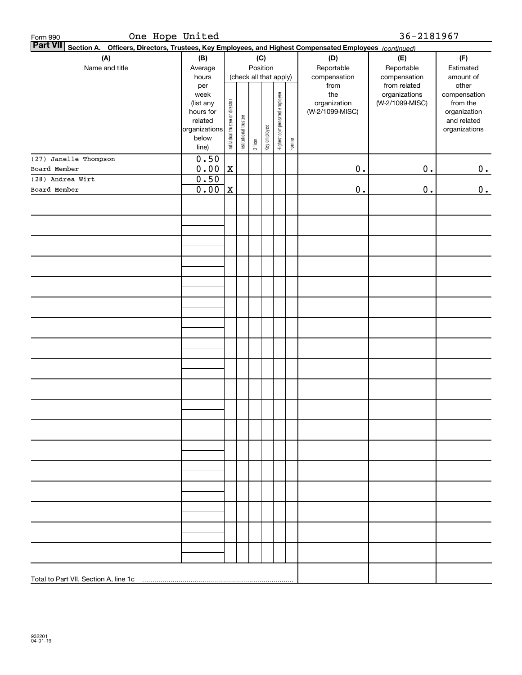| One Hope United<br>Form 990<br><b>Part VII</b>                                                            |                        |                                |                       |         |                        |                              |        |                                 | 36-2181967      |                          |
|-----------------------------------------------------------------------------------------------------------|------------------------|--------------------------------|-----------------------|---------|------------------------|------------------------------|--------|---------------------------------|-----------------|--------------------------|
| Officers, Directors, Trustees, Key Employees, and Highest Compensated Employees (continued)<br>Section A. |                        |                                |                       |         |                        |                              |        |                                 |                 |                          |
| (A)                                                                                                       | (B)                    |                                |                       |         | (C)                    |                              |        | (D)                             | (E)             | (F)                      |
| Name and title                                                                                            | Average                |                                |                       |         | Position               |                              |        | Reportable                      | Reportable      | Estimated                |
|                                                                                                           | hours                  |                                |                       |         | (check all that apply) |                              |        | compensation                    | compensation    | amount of                |
|                                                                                                           | per                    |                                |                       |         |                        |                              |        | from                            | from related    | other                    |
|                                                                                                           | week                   |                                |                       |         |                        |                              |        | the                             | organizations   | compensation             |
|                                                                                                           | (list any<br>hours for |                                |                       |         |                        |                              |        | organization<br>(W-2/1099-MISC) | (W-2/1099-MISC) | from the<br>organization |
|                                                                                                           | related                |                                |                       |         |                        |                              |        |                                 |                 | and related              |
|                                                                                                           | organizations          | Individual trustee or director | Institutional trustee |         |                        | Highest compensated employee |        |                                 |                 | organizations            |
|                                                                                                           | below                  |                                |                       |         | Key employee           |                              |        |                                 |                 |                          |
|                                                                                                           | line)                  |                                |                       | Officer |                        |                              | Former |                                 |                 |                          |
| (27) Janelle Thompson                                                                                     | 0.50                   |                                |                       |         |                        |                              |        |                                 |                 |                          |
| Board Member                                                                                              | 0.00                   | $\mathbf X$                    |                       |         |                        |                              |        | $\mathbf 0$ .                   | $0$ .           | 0.                       |
| (28) Andrea Wirt                                                                                          | 0.50                   |                                |                       |         |                        |                              |        |                                 |                 |                          |
| Board Member                                                                                              | 0.00                   | $\mathbf x$                    |                       |         |                        |                              |        | $\mathbf 0$ .                   | $\mathbf 0$ .   | 0.                       |
|                                                                                                           |                        |                                |                       |         |                        |                              |        |                                 |                 |                          |
|                                                                                                           |                        |                                |                       |         |                        |                              |        |                                 |                 |                          |
|                                                                                                           |                        |                                |                       |         |                        |                              |        |                                 |                 |                          |
|                                                                                                           |                        |                                |                       |         |                        |                              |        |                                 |                 |                          |
|                                                                                                           |                        |                                |                       |         |                        |                              |        |                                 |                 |                          |
|                                                                                                           |                        |                                |                       |         |                        |                              |        |                                 |                 |                          |
|                                                                                                           |                        |                                |                       |         |                        |                              |        |                                 |                 |                          |
|                                                                                                           |                        |                                |                       |         |                        |                              |        |                                 |                 |                          |
|                                                                                                           |                        |                                |                       |         |                        |                              |        |                                 |                 |                          |
|                                                                                                           |                        |                                |                       |         |                        |                              |        |                                 |                 |                          |
|                                                                                                           |                        |                                |                       |         |                        |                              |        |                                 |                 |                          |
|                                                                                                           |                        |                                |                       |         |                        |                              |        |                                 |                 |                          |
|                                                                                                           |                        |                                |                       |         |                        |                              |        |                                 |                 |                          |
|                                                                                                           |                        |                                |                       |         |                        |                              |        |                                 |                 |                          |
|                                                                                                           |                        |                                |                       |         |                        |                              |        |                                 |                 |                          |
|                                                                                                           |                        |                                |                       |         |                        |                              |        |                                 |                 |                          |
|                                                                                                           |                        |                                |                       |         |                        |                              |        |                                 |                 |                          |
|                                                                                                           |                        |                                |                       |         |                        |                              |        |                                 |                 |                          |
|                                                                                                           |                        |                                |                       |         |                        |                              |        |                                 |                 |                          |
|                                                                                                           |                        |                                |                       |         |                        |                              |        |                                 |                 |                          |
|                                                                                                           |                        |                                |                       |         |                        |                              |        |                                 |                 |                          |
|                                                                                                           |                        |                                |                       |         |                        |                              |        |                                 |                 |                          |
|                                                                                                           |                        |                                |                       |         |                        |                              |        |                                 |                 |                          |
|                                                                                                           |                        |                                |                       |         |                        |                              |        |                                 |                 |                          |
|                                                                                                           |                        |                                |                       |         |                        |                              |        |                                 |                 |                          |
|                                                                                                           |                        |                                |                       |         |                        |                              |        |                                 |                 |                          |
|                                                                                                           |                        |                                |                       |         |                        |                              |        |                                 |                 |                          |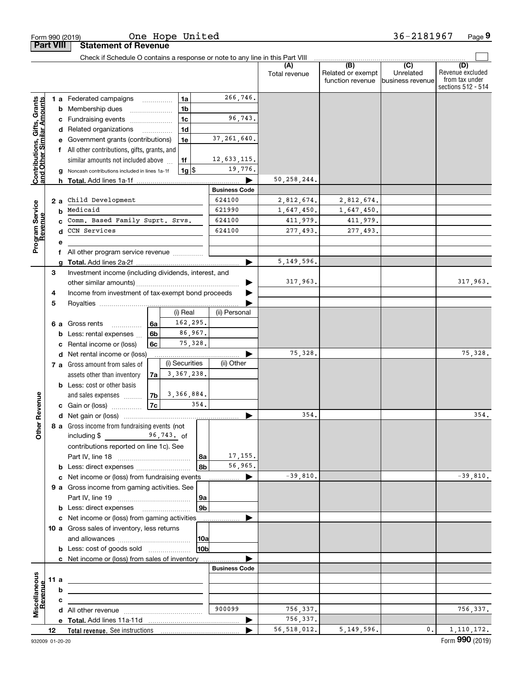|                                                           |                                                              |                                                       | Form 990 (2019)                                                                                     |                |  | One Hope United |                      |                      |                                              | 36-2181967                                      | Page 9                                                          |
|-----------------------------------------------------------|--------------------------------------------------------------|-------------------------------------------------------|-----------------------------------------------------------------------------------------------------|----------------|--|-----------------|----------------------|----------------------|----------------------------------------------|-------------------------------------------------|-----------------------------------------------------------------|
| <b>Part VIII</b>                                          |                                                              |                                                       | <b>Statement of Revenue</b>                                                                         |                |  |                 |                      |                      |                                              |                                                 |                                                                 |
|                                                           |                                                              |                                                       | Check if Schedule O contains a response or note to any line in this Part VIII                       |                |  |                 |                      |                      |                                              |                                                 |                                                                 |
|                                                           |                                                              |                                                       |                                                                                                     |                |  |                 |                      | (A)<br>Total revenue | (B)<br>Related or exempt<br>function revenue | $\overline{C}$<br>Unrelated<br>business revenue | (D)<br>Revenue excluded<br>from tax under<br>sections 512 - 514 |
|                                                           |                                                              |                                                       | <b>1 a</b> Federated campaigns                                                                      |                |  | 1a              | 266,746.             |                      |                                              |                                                 |                                                                 |
| Contributions, Gifts, Grants<br>and Other Similar Amounts |                                                              | b                                                     | Membership dues                                                                                     | 1 <sub>b</sub> |  |                 |                      |                      |                                              |                                                 |                                                                 |
|                                                           |                                                              |                                                       | c Fundraising events                                                                                |                |  | 1 <sub>c</sub>  | 96,743.              |                      |                                              |                                                 |                                                                 |
|                                                           |                                                              |                                                       | d Related organizations                                                                             |                |  | 1d              |                      |                      |                                              |                                                 |                                                                 |
|                                                           |                                                              |                                                       | e Government grants (contributions)                                                                 |                |  | 1e              | 37, 261, 640.        |                      |                                              |                                                 |                                                                 |
|                                                           |                                                              |                                                       | f All other contributions, gifts, grants, and                                                       |                |  |                 |                      |                      |                                              |                                                 |                                                                 |
|                                                           |                                                              |                                                       | similar amounts not included above                                                                  |                |  | 1f              | 12,633,115.          |                      |                                              |                                                 |                                                                 |
|                                                           |                                                              | a                                                     | Noncash contributions included in lines 1a-1f                                                       |                |  | $1g$ \$         | 19,776.              |                      |                                              |                                                 |                                                                 |
|                                                           |                                                              |                                                       |                                                                                                     |                |  |                 |                      | 50,258,244.          |                                              |                                                 |                                                                 |
|                                                           |                                                              |                                                       |                                                                                                     |                |  |                 | <b>Business Code</b> |                      |                                              |                                                 |                                                                 |
|                                                           |                                                              | 2 a                                                   | Child Development                                                                                   |                |  |                 | 624100               | 2,812,674.           | 2,812,674.                                   |                                                 |                                                                 |
| Program Service<br>Revenue                                |                                                              | b                                                     | Medicaid                                                                                            |                |  |                 | 621990               | 1,647,450.           | 1,647,450.                                   |                                                 |                                                                 |
|                                                           |                                                              |                                                       | Comm. Based Family Suprt. Srvs.                                                                     |                |  |                 | 624100<br>624100     | 411,979.             | 411,979.                                     |                                                 |                                                                 |
|                                                           |                                                              |                                                       | CCN Services                                                                                        |                |  |                 |                      | 277,493.             | 277,493.                                     |                                                 |                                                                 |
|                                                           |                                                              | е                                                     |                                                                                                     |                |  |                 |                      |                      |                                              |                                                 |                                                                 |
|                                                           |                                                              |                                                       | All other program service revenue                                                                   |                |  |                 |                      | 5, 149, 596.         |                                              |                                                 |                                                                 |
|                                                           | 3                                                            | a                                                     |                                                                                                     |                |  |                 |                      |                      |                                              |                                                 |                                                                 |
|                                                           |                                                              | Investment income (including dividends, interest, and |                                                                                                     |                |  |                 |                      | 317,963.             |                                              |                                                 | 317,963.                                                        |
|                                                           | Income from investment of tax-exempt bond proceeds<br>4<br>5 |                                                       |                                                                                                     |                |  |                 |                      |                      |                                              |                                                 |                                                                 |
|                                                           |                                                              |                                                       |                                                                                                     |                |  |                 |                      |                      |                                              |                                                 |                                                                 |
|                                                           |                                                              |                                                       |                                                                                                     |                |  | (i) Real        | (ii) Personal        |                      |                                              |                                                 |                                                                 |
|                                                           |                                                              | 6а                                                    | Gross rents<br>.                                                                                    | 6а             |  | 162,295.        |                      |                      |                                              |                                                 |                                                                 |
|                                                           |                                                              | b                                                     | Less: rental expenses                                                                               | 6 <sub>b</sub> |  | 86,967.         |                      |                      |                                              |                                                 |                                                                 |
|                                                           |                                                              | c                                                     | Rental income or (loss)                                                                             | 6с             |  | 75,328.         |                      |                      |                                              |                                                 |                                                                 |
|                                                           |                                                              |                                                       | d Net rental income or (loss)                                                                       |                |  |                 |                      | 75,328.              |                                              |                                                 | 75,328.                                                         |
|                                                           |                                                              |                                                       | 7 a Gross amount from sales of                                                                      |                |  | (i) Securities  | (ii) Other           |                      |                                              |                                                 |                                                                 |
|                                                           |                                                              |                                                       | assets other than inventory                                                                         | 7a l           |  | 3, 367, 238.    |                      |                      |                                              |                                                 |                                                                 |
|                                                           |                                                              |                                                       | <b>b</b> Less: cost or other basis                                                                  |                |  |                 |                      |                      |                                              |                                                 |                                                                 |
|                                                           |                                                              |                                                       | and sales expenses                                                                                  | 7b             |  | 3,366,884.      |                      |                      |                                              |                                                 |                                                                 |
| evenue                                                    |                                                              |                                                       | c Gain or (loss)                                                                                    | 7c             |  | 354.            |                      |                      |                                              |                                                 |                                                                 |
| œ                                                         |                                                              |                                                       |                                                                                                     |                |  |                 |                      | 354.                 |                                              |                                                 | 354                                                             |
| Other                                                     |                                                              |                                                       | 8 a Gross income from fundraising events (not                                                       |                |  |                 |                      |                      |                                              |                                                 |                                                                 |
|                                                           |                                                              |                                                       | including $$$ 96,743. of                                                                            |                |  |                 |                      |                      |                                              |                                                 |                                                                 |
|                                                           |                                                              |                                                       | contributions reported on line 1c). See                                                             |                |  |                 | 17, 155.             |                      |                                              |                                                 |                                                                 |
|                                                           |                                                              |                                                       |                                                                                                     |                |  | 8a<br>8bl       | 56,965.              |                      |                                              |                                                 |                                                                 |
|                                                           |                                                              |                                                       | <b>b</b> Less: direct expenses <b>constants b</b><br>c Net income or (loss) from fundraising events |                |  |                 | ▶                    | $-39,810.$           |                                              |                                                 | $-39,810.$                                                      |
|                                                           |                                                              |                                                       | 9 a Gross income from gaming activities. See                                                        |                |  |                 | .                    |                      |                                              |                                                 |                                                                 |
|                                                           |                                                              |                                                       |                                                                                                     |                |  | 9a              |                      |                      |                                              |                                                 |                                                                 |
|                                                           |                                                              |                                                       | <b>b</b> Less: direct expenses <b>manually</b>                                                      |                |  | 9 <sub>b</sub>  |                      |                      |                                              |                                                 |                                                                 |
|                                                           |                                                              |                                                       | c Net income or (loss) from gaming activities                                                       |                |  |                 |                      |                      |                                              |                                                 |                                                                 |
|                                                           |                                                              |                                                       | 10 a Gross sales of inventory, less returns                                                         |                |  |                 |                      |                      |                                              |                                                 |                                                                 |
|                                                           |                                                              |                                                       |                                                                                                     |                |  | 10a             |                      |                      |                                              |                                                 |                                                                 |
|                                                           |                                                              |                                                       | <b>b</b> Less: cost of goods sold                                                                   |                |  | 10 <sub>b</sub> |                      |                      |                                              |                                                 |                                                                 |
|                                                           |                                                              |                                                       | c Net income or (loss) from sales of inventory                                                      |                |  |                 |                      |                      |                                              |                                                 |                                                                 |
|                                                           |                                                              |                                                       |                                                                                                     |                |  |                 | <b>Business Code</b> |                      |                                              |                                                 |                                                                 |
|                                                           |                                                              | 11 a                                                  | <u> 1989 - Johann John Stone, markin fizikar (h. 1982).</u>                                         |                |  |                 |                      |                      |                                              |                                                 |                                                                 |
|                                                           |                                                              | b                                                     |                                                                                                     |                |  |                 |                      |                      |                                              |                                                 |                                                                 |
| Revenue                                                   |                                                              | с                                                     |                                                                                                     |                |  |                 |                      |                      |                                              |                                                 |                                                                 |
| Miscellaneous                                             |                                                              |                                                       |                                                                                                     |                |  |                 | 900099               | 756,337.             |                                              |                                                 | 756,337.                                                        |
|                                                           |                                                              |                                                       |                                                                                                     |                |  |                 |                      | 756,337.             |                                              |                                                 |                                                                 |
|                                                           | 12                                                           |                                                       |                                                                                                     |                |  |                 |                      | 56, 518, 012.        | 5, 149, 596.                                 | 0.                                              | 1, 110, 172.                                                    |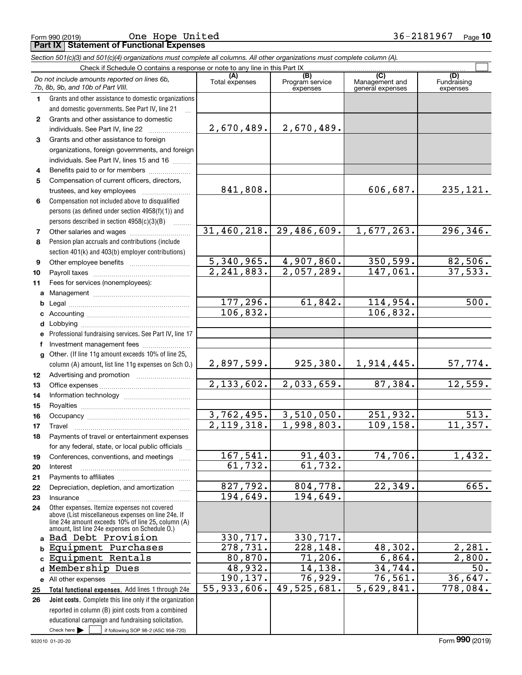Form 990 (2019) Page **Part IX Statement of Functional Expenses** One Hope United 36-2181967

|              | Section 501(c)(3) and 501(c)(4) organizations must complete all columns. All other organizations must complete column (A).                                 |                          |                                    |                                           |                                |
|--------------|------------------------------------------------------------------------------------------------------------------------------------------------------------|--------------------------|------------------------------------|-------------------------------------------|--------------------------------|
|              | Check if Schedule O contains a response or note to any line in this Part IX                                                                                |                          |                                    |                                           |                                |
|              | Do not include amounts reported on lines 6b,<br>7b, 8b, 9b, and 10b of Part VIII.                                                                          | (A)<br>Total expenses    | (B)<br>Program service<br>expenses | (C)<br>Management and<br>general expenses | (D)<br>Fundraising<br>expenses |
| 1.           | Grants and other assistance to domestic organizations                                                                                                      |                          |                                    |                                           |                                |
|              | and domestic governments. See Part IV, line 21                                                                                                             |                          |                                    |                                           |                                |
| $\mathbf{2}$ | Grants and other assistance to domestic                                                                                                                    |                          |                                    |                                           |                                |
|              | individuals. See Part IV, line 22                                                                                                                          | 2,670,489.               | 2,670,489.                         |                                           |                                |
| 3            | Grants and other assistance to foreign                                                                                                                     |                          |                                    |                                           |                                |
|              | organizations, foreign governments, and foreign                                                                                                            |                          |                                    |                                           |                                |
|              | individuals. See Part IV, lines 15 and 16                                                                                                                  |                          |                                    |                                           |                                |
| 4            | Benefits paid to or for members                                                                                                                            |                          |                                    |                                           |                                |
| 5            | Compensation of current officers, directors,                                                                                                               |                          |                                    |                                           |                                |
|              | trustees, and key employees                                                                                                                                | 841,808.                 |                                    | 606,687.                                  | 235,121.                       |
| 6            | Compensation not included above to disqualified                                                                                                            |                          |                                    |                                           |                                |
|              | persons (as defined under section 4958(f)(1)) and                                                                                                          |                          |                                    |                                           |                                |
|              | persons described in section 4958(c)(3)(B)                                                                                                                 |                          |                                    |                                           |                                |
| 7            |                                                                                                                                                            | 31,460,218.              | 29,486,609.                        | 1,677,263.                                | 296,346.                       |
| 8            | Pension plan accruals and contributions (include                                                                                                           |                          |                                    |                                           |                                |
|              | section 401(k) and 403(b) employer contributions)                                                                                                          |                          |                                    |                                           |                                |
| 9            |                                                                                                                                                            | 5,340,965.               | 4,907,860.                         | 350,599.                                  | 82,506.                        |
| 10           |                                                                                                                                                            | 2, 241, 883.             | 2,057,289.                         | 147,061.                                  | 37,533.                        |
| 11           | Fees for services (nonemployees):                                                                                                                          |                          |                                    |                                           |                                |
|              |                                                                                                                                                            |                          |                                    |                                           |                                |
| b            |                                                                                                                                                            | 177,296.                 | 61,842.                            | 114,954.                                  | 500.                           |
| c            |                                                                                                                                                            | 106,832.                 |                                    | 106,832.                                  |                                |
| d            |                                                                                                                                                            |                          |                                    |                                           |                                |
| е            | Professional fundraising services. See Part IV, line 17                                                                                                    |                          |                                    |                                           |                                |
| f            | Investment management fees                                                                                                                                 |                          |                                    |                                           |                                |
| $\mathbf{q}$ | Other. (If line 11g amount exceeds 10% of line 25,                                                                                                         |                          |                                    |                                           |                                |
|              | column (A) amount, list line 11g expenses on Sch O.)                                                                                                       | 2,897,599.               | 925, 380.                          | 1,914,445.                                | <u>57,774.</u>                 |
| 12           |                                                                                                                                                            |                          |                                    |                                           |                                |
| 13           |                                                                                                                                                            | 2,133,602.               | 2,033,659.                         | 87,384.                                   | 12,559.                        |
| 14           |                                                                                                                                                            |                          |                                    |                                           |                                |
| 15           |                                                                                                                                                            |                          |                                    |                                           |                                |
| 16           |                                                                                                                                                            | 3,762,495.               | 3,510,050.                         | 251,932.                                  | 513.                           |
| 17           |                                                                                                                                                            | $\overline{2,119,318}$ . | 1,998,803.                         | 109,158.                                  | 11,357.                        |
| 18           | Payments of travel or entertainment expenses                                                                                                               |                          |                                    |                                           |                                |
|              | for any federal, state, or local public officials                                                                                                          | 167,541.                 |                                    | 74,706.                                   | 1,432.                         |
| 19           | Conferences, conventions, and meetings                                                                                                                     | 61,732.                  | 91,403.<br>61,732.                 |                                           |                                |
| 20           | Interest                                                                                                                                                   |                          |                                    |                                           |                                |
| 21           | Depreciation, depletion, and amortization                                                                                                                  | 827,792.                 | 804,778.                           | 22,349.                                   | 665.                           |
| 22           | Insurance                                                                                                                                                  | 194,649.                 | 194,649.                           |                                           |                                |
| 23<br>24     | Other expenses. Itemize expenses not covered                                                                                                               |                          |                                    |                                           |                                |
|              | above (List miscellaneous expenses on line 24e. If<br>line 24e amount exceeds 10% of line 25, column (A)<br>amount, list line 24e expenses on Schedule O.) |                          |                                    |                                           |                                |
| a            | Bad Debt Provision                                                                                                                                         | 330,717.                 | 330,717.                           |                                           |                                |
| b            | Equipment Purchases                                                                                                                                        | 278,731.                 | $\overline{228,148}$ .             | 48,302.                                   | 2,281.                         |
|              | Equipment Rentals                                                                                                                                          | 80,870.                  | 71,206.                            | 6,864.                                    | 2,800.                         |
| d            | Membership Dues                                                                                                                                            | 48,932.                  | 14, 138.                           | 34,744.                                   | 50.                            |
| е            | All other expenses                                                                                                                                         | 190,137.                 | 76,929.                            | 76,561.                                   | 36,647.                        |
| 25           | Total functional expenses. Add lines 1 through 24e                                                                                                         | 55,933,606.              | 49,525,681.                        | 5,629,841.                                | 778,084.                       |
| 26           | Joint costs. Complete this line only if the organization                                                                                                   |                          |                                    |                                           |                                |
|              | reported in column (B) joint costs from a combined                                                                                                         |                          |                                    |                                           |                                |
|              | educational campaign and fundraising solicitation.                                                                                                         |                          |                                    |                                           |                                |

Check here  $\blacktriangleright$ 

Check here  $\bullet$  if following SOP 98-2 (ASC 958-720)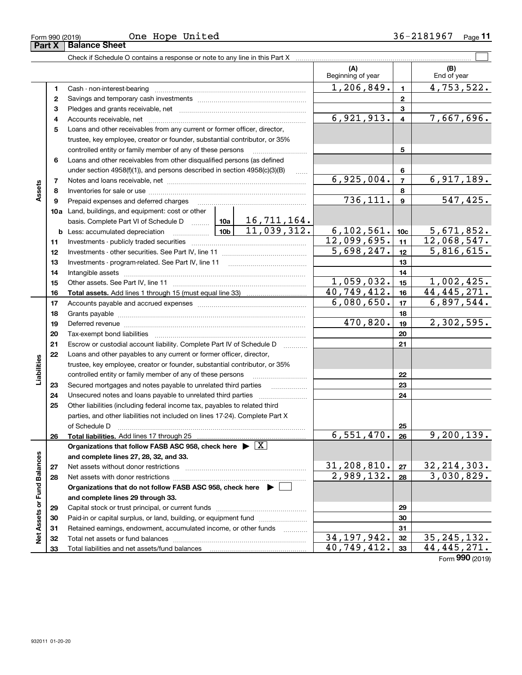| Form 990 (2019) | United<br>Hope<br>One | 81<br>967<br>л я<br>36–<br>Page |
|-----------------|-----------------------|---------------------------------|
|-----------------|-----------------------|---------------------------------|

|                             |              |                                                                                                                                                                                                                                      |          |    | (A)<br>Beginning of year    |                         | (B)<br>End of year       |
|-----------------------------|--------------|--------------------------------------------------------------------------------------------------------------------------------------------------------------------------------------------------------------------------------------|----------|----|-----------------------------|-------------------------|--------------------------|
|                             | 1            |                                                                                                                                                                                                                                      |          |    | 1,206,849.                  | $\blacksquare$          | 4,753,522.               |
|                             | $\mathbf{2}$ |                                                                                                                                                                                                                                      |          |    |                             | $\mathbf{2}$            |                          |
|                             | 3            |                                                                                                                                                                                                                                      |          |    |                             | 3                       |                          |
|                             | 4            |                                                                                                                                                                                                                                      |          |    | 6,921,913.                  | $\overline{\mathbf{4}}$ | 7,667,696.               |
|                             | 5            | Loans and other receivables from any current or former officer, director,                                                                                                                                                            |          |    |                             |                         |                          |
|                             |              | trustee, key employee, creator or founder, substantial contributor, or 35%                                                                                                                                                           |          |    |                             |                         |                          |
|                             |              | controlled entity or family member of any of these persons                                                                                                                                                                           |          |    |                             | 5                       |                          |
|                             | 6            | Loans and other receivables from other disqualified persons (as defined                                                                                                                                                              |          |    |                             |                         |                          |
|                             |              | under section 4958(f)(1)), and persons described in section 4958(c)(3)(B)                                                                                                                                                            |          |    |                             | 6                       |                          |
|                             | 7            |                                                                                                                                                                                                                                      |          |    | 6,925,004.                  | $\overline{7}$          | 6,917,189.               |
| Assets                      | 8            |                                                                                                                                                                                                                                      |          |    |                             | 8                       |                          |
|                             | 9            | Prepaid expenses and deferred charges                                                                                                                                                                                                |          |    | 736, 111.                   | $\boldsymbol{9}$        | 547, 425.                |
|                             |              | 10a Land, buildings, and equipment: cost or other                                                                                                                                                                                    |          |    |                             |                         |                          |
|                             |              |                                                                                                                                                                                                                                      |          |    |                             |                         |                          |
|                             |              | <b>b</b> Less: accumulated depreciation                                                                                                                                                                                              |          |    | 6, 102, 561.                | 10 <sub>c</sub>         | 5,671,852.               |
|                             | 11           |                                                                                                                                                                                                                                      |          |    | 12,099,695.                 | 11                      | 12,068,547.              |
|                             | 12           |                                                                                                                                                                                                                                      |          |    | 5,698,247.                  | 12                      | $\overline{5,816,615}$ . |
|                             | 13           |                                                                                                                                                                                                                                      |          |    |                             | 13                      |                          |
|                             | 14           |                                                                                                                                                                                                                                      |          |    |                             | 14                      |                          |
|                             | 15           |                                                                                                                                                                                                                                      |          |    | 1,059,032.                  | 15                      | 1,002,425.               |
|                             | 16           |                                                                                                                                                                                                                                      |          |    | 40,749,412.                 | 16                      | 44, 445, 271.            |
|                             | 17           |                                                                                                                                                                                                                                      |          |    | 6,080,650.                  | 17                      | 6,897,544.               |
|                             | 18           |                                                                                                                                                                                                                                      |          |    | 18                          |                         |                          |
|                             | 19           |                                                                                                                                                                                                                                      | 470,820. | 19 | 2,302,595.                  |                         |                          |
|                             | 20           |                                                                                                                                                                                                                                      |          | 20 |                             |                         |                          |
|                             | 21           | Escrow or custodial account liability. Complete Part IV of Schedule D                                                                                                                                                                |          |    | 21                          |                         |                          |
|                             | 22           | Loans and other payables to any current or former officer, director,                                                                                                                                                                 |          |    |                             |                         |                          |
| Liabilities                 |              | trustee, key employee, creator or founder, substantial contributor, or 35%                                                                                                                                                           |          |    |                             |                         |                          |
|                             |              | controlled entity or family member of any of these persons                                                                                                                                                                           |          |    |                             | 22                      |                          |
|                             | 23           | Secured mortgages and notes payable to unrelated third parties                                                                                                                                                                       |          |    |                             | 23                      |                          |
|                             | 24           | Unsecured notes and loans payable to unrelated third parties                                                                                                                                                                         |          |    |                             | 24                      |                          |
|                             | 25           | Other liabilities (including federal income tax, payables to related third                                                                                                                                                           |          |    |                             |                         |                          |
|                             |              | parties, and other liabilities not included on lines 17-24). Complete Part X                                                                                                                                                         |          |    |                             |                         |                          |
|                             |              | of Schedule D <b>contained a contained a contained a contained a contained a contained a contained a contained a contained a contained a contained a contained a contained a contained a contained a contained a contained a con</b> |          |    |                             | 25                      |                          |
|                             | 26           | Total liabilities. Add lines 17 through 25                                                                                                                                                                                           |          |    | 6,551,470.                  | 26                      | 9,200,139.               |
|                             |              | Organizations that follow FASB ASC 958, check here $\blacktriangleright \lfloor X \rfloor$                                                                                                                                           |          |    |                             |                         |                          |
|                             |              | and complete lines 27, 28, 32, and 33.                                                                                                                                                                                               |          |    |                             |                         |                          |
|                             | 27           |                                                                                                                                                                                                                                      |          |    | 31,208,810.                 | 27                      | 32, 214, 303.            |
|                             | 28           |                                                                                                                                                                                                                                      |          |    | 2,989,132.                  | 28                      | 3,030,829.               |
|                             |              | Organizations that do not follow FASB ASC 958, check here $\blacktriangleright$                                                                                                                                                      |          |    |                             |                         |                          |
|                             |              | and complete lines 29 through 33.                                                                                                                                                                                                    |          |    |                             |                         |                          |
|                             | 29           |                                                                                                                                                                                                                                      |          |    |                             | 29                      |                          |
| Net Assets or Fund Balances | 30           | Paid-in or capital surplus, or land, building, or equipment fund                                                                                                                                                                     |          |    |                             | 30                      |                          |
|                             | 31           | Retained earnings, endowment, accumulated income, or other funds                                                                                                                                                                     |          |    |                             | 31                      |                          |
|                             | 32           |                                                                                                                                                                                                                                      |          |    | $\overline{34, 197, 942}$ . | 32                      | 35, 245, 132.            |
|                             | 33           |                                                                                                                                                                                                                                      |          |    | 40,749,412.                 | 33                      | 44, 445, 271.            |

Form (2019) **990**

| Form 990 (2019 |  |  |
|----------------|--|--|
|                |  |  |

**Part X Balance Sheet**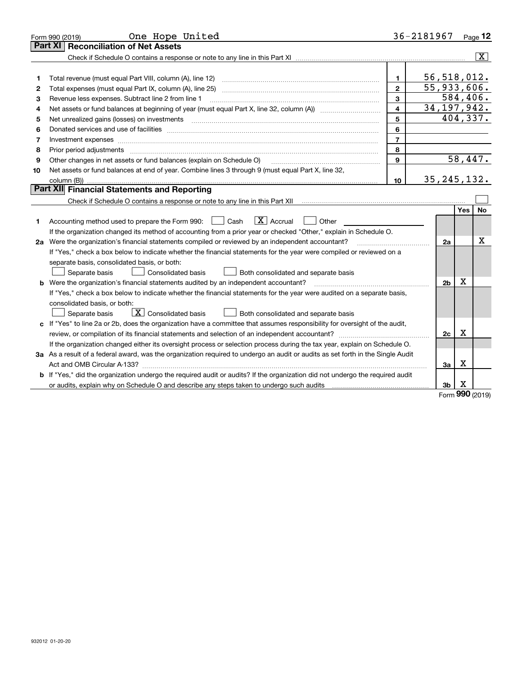| <b>Part XI</b><br>56,518,012.<br>$\mathbf{1}$<br>Total revenue (must equal Part VIII, column (A), line 12)<br>1<br>55,933,606.<br>$\overline{2}$<br>Total expenses (must equal Part IX, column (A), line 25)<br>2<br>584,406.<br>3<br>Revenue less expenses. Subtract line 2 from line 1<br>З<br>34, 197, 942.<br>$\overline{\mathbf{4}}$<br>Net assets or fund balances at beginning of year (must equal Part X, line 32, column (A)) <i>manageredial</i><br>4<br>404,337.<br>5<br>Net unrealized gains (losses) on investments [11] matter contracts and the state of the state of the state of the state of the state of the state of the state of the state of the state of the state of the state of the stat<br>5<br>6<br>Donated services and use of facilities [111] Donated and the service of facilities [11] Donated services and use of facilities [11] Donated and the service of the service of the service of the service of the service of the<br>6<br>$\overline{7}$<br>Investment expenses www.communication.com/www.communication.com/www.communication.com/www.com<br>7<br>8<br>Prior period adjustments material contents and content of the content of the content of the content of the content of the content of the content of the content of the content of the content of the content of the content of<br>8<br>58,447.<br>Other changes in net assets or fund balances (explain on Schedule O)<br>9<br>9<br>Net assets or fund balances at end of year. Combine lines 3 through 9 (must equal Part X, line 32,<br>10<br>35, 245, 132.<br>column (B))<br>10<br><b>Part XII</b> Financial Statements and Reporting<br>Yes<br>$\overline{X}$ Accrual<br>Accounting method used to prepare the Form 990: [139] Cash<br>Other<br>1.<br>If the organization changed its method of accounting from a prior year or checked "Other," explain in Schedule O.<br>2a Were the organization's financial statements compiled or reviewed by an independent accountant?<br>2a<br>If "Yes," check a box below to indicate whether the financial statements for the year were compiled or reviewed on a<br>separate basis, consolidated basis, or both:<br>Separate basis<br>Consolidated basis<br>Both consolidated and separate basis<br>$\mathbf X$<br>2 <sub>b</sub><br>Were the organization's financial statements audited by an independent accountant?<br>If "Yes," check a box below to indicate whether the financial statements for the year were audited on a separate basis, | One Hope United<br>Form 990 (2019)  | 36-2181967 |  | Page 12                 |
|-------------------------------------------------------------------------------------------------------------------------------------------------------------------------------------------------------------------------------------------------------------------------------------------------------------------------------------------------------------------------------------------------------------------------------------------------------------------------------------------------------------------------------------------------------------------------------------------------------------------------------------------------------------------------------------------------------------------------------------------------------------------------------------------------------------------------------------------------------------------------------------------------------------------------------------------------------------------------------------------------------------------------------------------------------------------------------------------------------------------------------------------------------------------------------------------------------------------------------------------------------------------------------------------------------------------------------------------------------------------------------------------------------------------------------------------------------------------------------------------------------------------------------------------------------------------------------------------------------------------------------------------------------------------------------------------------------------------------------------------------------------------------------------------------------------------------------------------------------------------------------------------------------------------------------------------------------------------------------------------------------------------------------------------------------------------------------------------------------------------------------------------------------------------------------------------------------------------------------------------------------------------------------------------------------------------------------------------------------------------------------------------------------------------------------------------------------------------------------------------------------|-------------------------------------|------------|--|-------------------------|
|                                                                                                                                                                                                                                                                                                                                                                                                                                                                                                                                                                                                                                                                                                                                                                                                                                                                                                                                                                                                                                                                                                                                                                                                                                                                                                                                                                                                                                                                                                                                                                                                                                                                                                                                                                                                                                                                                                                                                                                                                                                                                                                                                                                                                                                                                                                                                                                                                                                                                                       | <b>Reconciliation of Net Assets</b> |            |  |                         |
|                                                                                                                                                                                                                                                                                                                                                                                                                                                                                                                                                                                                                                                                                                                                                                                                                                                                                                                                                                                                                                                                                                                                                                                                                                                                                                                                                                                                                                                                                                                                                                                                                                                                                                                                                                                                                                                                                                                                                                                                                                                                                                                                                                                                                                                                                                                                                                                                                                                                                                       |                                     |            |  | $\overline{\mathbf{X}}$ |
|                                                                                                                                                                                                                                                                                                                                                                                                                                                                                                                                                                                                                                                                                                                                                                                                                                                                                                                                                                                                                                                                                                                                                                                                                                                                                                                                                                                                                                                                                                                                                                                                                                                                                                                                                                                                                                                                                                                                                                                                                                                                                                                                                                                                                                                                                                                                                                                                                                                                                                       |                                     |            |  |                         |
|                                                                                                                                                                                                                                                                                                                                                                                                                                                                                                                                                                                                                                                                                                                                                                                                                                                                                                                                                                                                                                                                                                                                                                                                                                                                                                                                                                                                                                                                                                                                                                                                                                                                                                                                                                                                                                                                                                                                                                                                                                                                                                                                                                                                                                                                                                                                                                                                                                                                                                       |                                     |            |  |                         |
|                                                                                                                                                                                                                                                                                                                                                                                                                                                                                                                                                                                                                                                                                                                                                                                                                                                                                                                                                                                                                                                                                                                                                                                                                                                                                                                                                                                                                                                                                                                                                                                                                                                                                                                                                                                                                                                                                                                                                                                                                                                                                                                                                                                                                                                                                                                                                                                                                                                                                                       |                                     |            |  |                         |
|                                                                                                                                                                                                                                                                                                                                                                                                                                                                                                                                                                                                                                                                                                                                                                                                                                                                                                                                                                                                                                                                                                                                                                                                                                                                                                                                                                                                                                                                                                                                                                                                                                                                                                                                                                                                                                                                                                                                                                                                                                                                                                                                                                                                                                                                                                                                                                                                                                                                                                       |                                     |            |  |                         |
|                                                                                                                                                                                                                                                                                                                                                                                                                                                                                                                                                                                                                                                                                                                                                                                                                                                                                                                                                                                                                                                                                                                                                                                                                                                                                                                                                                                                                                                                                                                                                                                                                                                                                                                                                                                                                                                                                                                                                                                                                                                                                                                                                                                                                                                                                                                                                                                                                                                                                                       |                                     |            |  |                         |
|                                                                                                                                                                                                                                                                                                                                                                                                                                                                                                                                                                                                                                                                                                                                                                                                                                                                                                                                                                                                                                                                                                                                                                                                                                                                                                                                                                                                                                                                                                                                                                                                                                                                                                                                                                                                                                                                                                                                                                                                                                                                                                                                                                                                                                                                                                                                                                                                                                                                                                       |                                     |            |  |                         |
|                                                                                                                                                                                                                                                                                                                                                                                                                                                                                                                                                                                                                                                                                                                                                                                                                                                                                                                                                                                                                                                                                                                                                                                                                                                                                                                                                                                                                                                                                                                                                                                                                                                                                                                                                                                                                                                                                                                                                                                                                                                                                                                                                                                                                                                                                                                                                                                                                                                                                                       |                                     |            |  |                         |
|                                                                                                                                                                                                                                                                                                                                                                                                                                                                                                                                                                                                                                                                                                                                                                                                                                                                                                                                                                                                                                                                                                                                                                                                                                                                                                                                                                                                                                                                                                                                                                                                                                                                                                                                                                                                                                                                                                                                                                                                                                                                                                                                                                                                                                                                                                                                                                                                                                                                                                       |                                     |            |  |                         |
|                                                                                                                                                                                                                                                                                                                                                                                                                                                                                                                                                                                                                                                                                                                                                                                                                                                                                                                                                                                                                                                                                                                                                                                                                                                                                                                                                                                                                                                                                                                                                                                                                                                                                                                                                                                                                                                                                                                                                                                                                                                                                                                                                                                                                                                                                                                                                                                                                                                                                                       |                                     |            |  |                         |
|                                                                                                                                                                                                                                                                                                                                                                                                                                                                                                                                                                                                                                                                                                                                                                                                                                                                                                                                                                                                                                                                                                                                                                                                                                                                                                                                                                                                                                                                                                                                                                                                                                                                                                                                                                                                                                                                                                                                                                                                                                                                                                                                                                                                                                                                                                                                                                                                                                                                                                       |                                     |            |  |                         |
|                                                                                                                                                                                                                                                                                                                                                                                                                                                                                                                                                                                                                                                                                                                                                                                                                                                                                                                                                                                                                                                                                                                                                                                                                                                                                                                                                                                                                                                                                                                                                                                                                                                                                                                                                                                                                                                                                                                                                                                                                                                                                                                                                                                                                                                                                                                                                                                                                                                                                                       |                                     |            |  |                         |
|                                                                                                                                                                                                                                                                                                                                                                                                                                                                                                                                                                                                                                                                                                                                                                                                                                                                                                                                                                                                                                                                                                                                                                                                                                                                                                                                                                                                                                                                                                                                                                                                                                                                                                                                                                                                                                                                                                                                                                                                                                                                                                                                                                                                                                                                                                                                                                                                                                                                                                       |                                     |            |  |                         |
|                                                                                                                                                                                                                                                                                                                                                                                                                                                                                                                                                                                                                                                                                                                                                                                                                                                                                                                                                                                                                                                                                                                                                                                                                                                                                                                                                                                                                                                                                                                                                                                                                                                                                                                                                                                                                                                                                                                                                                                                                                                                                                                                                                                                                                                                                                                                                                                                                                                                                                       |                                     |            |  |                         |
|                                                                                                                                                                                                                                                                                                                                                                                                                                                                                                                                                                                                                                                                                                                                                                                                                                                                                                                                                                                                                                                                                                                                                                                                                                                                                                                                                                                                                                                                                                                                                                                                                                                                                                                                                                                                                                                                                                                                                                                                                                                                                                                                                                                                                                                                                                                                                                                                                                                                                                       |                                     |            |  |                         |
|                                                                                                                                                                                                                                                                                                                                                                                                                                                                                                                                                                                                                                                                                                                                                                                                                                                                                                                                                                                                                                                                                                                                                                                                                                                                                                                                                                                                                                                                                                                                                                                                                                                                                                                                                                                                                                                                                                                                                                                                                                                                                                                                                                                                                                                                                                                                                                                                                                                                                                       |                                     |            |  | <b>No</b>               |
|                                                                                                                                                                                                                                                                                                                                                                                                                                                                                                                                                                                                                                                                                                                                                                                                                                                                                                                                                                                                                                                                                                                                                                                                                                                                                                                                                                                                                                                                                                                                                                                                                                                                                                                                                                                                                                                                                                                                                                                                                                                                                                                                                                                                                                                                                                                                                                                                                                                                                                       |                                     |            |  |                         |
|                                                                                                                                                                                                                                                                                                                                                                                                                                                                                                                                                                                                                                                                                                                                                                                                                                                                                                                                                                                                                                                                                                                                                                                                                                                                                                                                                                                                                                                                                                                                                                                                                                                                                                                                                                                                                                                                                                                                                                                                                                                                                                                                                                                                                                                                                                                                                                                                                                                                                                       |                                     |            |  |                         |
|                                                                                                                                                                                                                                                                                                                                                                                                                                                                                                                                                                                                                                                                                                                                                                                                                                                                                                                                                                                                                                                                                                                                                                                                                                                                                                                                                                                                                                                                                                                                                                                                                                                                                                                                                                                                                                                                                                                                                                                                                                                                                                                                                                                                                                                                                                                                                                                                                                                                                                       |                                     |            |  | Χ                       |
|                                                                                                                                                                                                                                                                                                                                                                                                                                                                                                                                                                                                                                                                                                                                                                                                                                                                                                                                                                                                                                                                                                                                                                                                                                                                                                                                                                                                                                                                                                                                                                                                                                                                                                                                                                                                                                                                                                                                                                                                                                                                                                                                                                                                                                                                                                                                                                                                                                                                                                       |                                     |            |  |                         |
|                                                                                                                                                                                                                                                                                                                                                                                                                                                                                                                                                                                                                                                                                                                                                                                                                                                                                                                                                                                                                                                                                                                                                                                                                                                                                                                                                                                                                                                                                                                                                                                                                                                                                                                                                                                                                                                                                                                                                                                                                                                                                                                                                                                                                                                                                                                                                                                                                                                                                                       |                                     |            |  |                         |
|                                                                                                                                                                                                                                                                                                                                                                                                                                                                                                                                                                                                                                                                                                                                                                                                                                                                                                                                                                                                                                                                                                                                                                                                                                                                                                                                                                                                                                                                                                                                                                                                                                                                                                                                                                                                                                                                                                                                                                                                                                                                                                                                                                                                                                                                                                                                                                                                                                                                                                       |                                     |            |  |                         |
|                                                                                                                                                                                                                                                                                                                                                                                                                                                                                                                                                                                                                                                                                                                                                                                                                                                                                                                                                                                                                                                                                                                                                                                                                                                                                                                                                                                                                                                                                                                                                                                                                                                                                                                                                                                                                                                                                                                                                                                                                                                                                                                                                                                                                                                                                                                                                                                                                                                                                                       |                                     |            |  |                         |
|                                                                                                                                                                                                                                                                                                                                                                                                                                                                                                                                                                                                                                                                                                                                                                                                                                                                                                                                                                                                                                                                                                                                                                                                                                                                                                                                                                                                                                                                                                                                                                                                                                                                                                                                                                                                                                                                                                                                                                                                                                                                                                                                                                                                                                                                                                                                                                                                                                                                                                       |                                     |            |  |                         |
|                                                                                                                                                                                                                                                                                                                                                                                                                                                                                                                                                                                                                                                                                                                                                                                                                                                                                                                                                                                                                                                                                                                                                                                                                                                                                                                                                                                                                                                                                                                                                                                                                                                                                                                                                                                                                                                                                                                                                                                                                                                                                                                                                                                                                                                                                                                                                                                                                                                                                                       | consolidated basis, or both:        |            |  |                         |
| $\boxed{\textbf{X}}$ Consolidated basis<br>Separate basis<br>Both consolidated and separate basis                                                                                                                                                                                                                                                                                                                                                                                                                                                                                                                                                                                                                                                                                                                                                                                                                                                                                                                                                                                                                                                                                                                                                                                                                                                                                                                                                                                                                                                                                                                                                                                                                                                                                                                                                                                                                                                                                                                                                                                                                                                                                                                                                                                                                                                                                                                                                                                                     |                                     |            |  |                         |
| c If "Yes" to line 2a or 2b, does the organization have a committee that assumes responsibility for oversight of the audit,                                                                                                                                                                                                                                                                                                                                                                                                                                                                                                                                                                                                                                                                                                                                                                                                                                                                                                                                                                                                                                                                                                                                                                                                                                                                                                                                                                                                                                                                                                                                                                                                                                                                                                                                                                                                                                                                                                                                                                                                                                                                                                                                                                                                                                                                                                                                                                           |                                     |            |  |                         |
| x<br>review, or compilation of its financial statements and selection of an independent accountant?<br>2c                                                                                                                                                                                                                                                                                                                                                                                                                                                                                                                                                                                                                                                                                                                                                                                                                                                                                                                                                                                                                                                                                                                                                                                                                                                                                                                                                                                                                                                                                                                                                                                                                                                                                                                                                                                                                                                                                                                                                                                                                                                                                                                                                                                                                                                                                                                                                                                             |                                     |            |  |                         |
| If the organization changed either its oversight process or selection process during the tax year, explain on Schedule O.                                                                                                                                                                                                                                                                                                                                                                                                                                                                                                                                                                                                                                                                                                                                                                                                                                                                                                                                                                                                                                                                                                                                                                                                                                                                                                                                                                                                                                                                                                                                                                                                                                                                                                                                                                                                                                                                                                                                                                                                                                                                                                                                                                                                                                                                                                                                                                             |                                     |            |  |                         |
| 3a As a result of a federal award, was the organization required to undergo an audit or audits as set forth in the Single Audit                                                                                                                                                                                                                                                                                                                                                                                                                                                                                                                                                                                                                                                                                                                                                                                                                                                                                                                                                                                                                                                                                                                                                                                                                                                                                                                                                                                                                                                                                                                                                                                                                                                                                                                                                                                                                                                                                                                                                                                                                                                                                                                                                                                                                                                                                                                                                                       |                                     |            |  |                         |
| Χ<br>За                                                                                                                                                                                                                                                                                                                                                                                                                                                                                                                                                                                                                                                                                                                                                                                                                                                                                                                                                                                                                                                                                                                                                                                                                                                                                                                                                                                                                                                                                                                                                                                                                                                                                                                                                                                                                                                                                                                                                                                                                                                                                                                                                                                                                                                                                                                                                                                                                                                                                               |                                     |            |  |                         |
| <b>b</b> If "Yes," did the organization undergo the required audit or audits? If the organization did not undergo the required audit                                                                                                                                                                                                                                                                                                                                                                                                                                                                                                                                                                                                                                                                                                                                                                                                                                                                                                                                                                                                                                                                                                                                                                                                                                                                                                                                                                                                                                                                                                                                                                                                                                                                                                                                                                                                                                                                                                                                                                                                                                                                                                                                                                                                                                                                                                                                                                  |                                     |            |  |                         |
| х<br>or audits, explain why on Schedule O and describe any steps taken to undergo such audits [11] our manuscription why on Schedule O and describe any steps taken to undergo such audits<br>3b                                                                                                                                                                                                                                                                                                                                                                                                                                                                                                                                                                                                                                                                                                                                                                                                                                                                                                                                                                                                                                                                                                                                                                                                                                                                                                                                                                                                                                                                                                                                                                                                                                                                                                                                                                                                                                                                                                                                                                                                                                                                                                                                                                                                                                                                                                      |                                     |            |  |                         |

Form (2019) **990**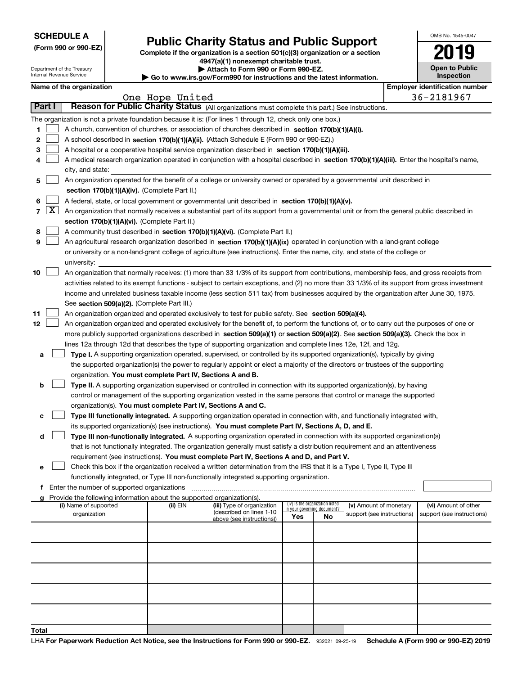|  | <b>SCHEDULE A</b> |
|--|-------------------|
|--|-------------------|

Department of the Treasury Internal Revenue Service

**(Form 990 or 990-EZ)**

## **Public Charity Status and Public Support**

**Complete if the organization is a section 501(c)(3) organization or a section 4947(a)(1) nonexempt charitable trust.**

| Attach to Form 990 or Form 990-EZ.                                       |  |
|--------------------------------------------------------------------------|--|
| ► Go to www.irs.gov/Form990 for instructions and the latest information. |  |

| OMB No 1545-0047                    |
|-------------------------------------|
| 2019                                |
| <b>Open to Public</b><br>Inspection |

|  | Name of the organization |
|--|--------------------------|
|--|--------------------------|

|        |                  | Name of the organization                                                                                                                      |                 |                                                        |                                                                |    |                            |  | <b>Employer identification number</b> |
|--------|------------------|-----------------------------------------------------------------------------------------------------------------------------------------------|-----------------|--------------------------------------------------------|----------------------------------------------------------------|----|----------------------------|--|---------------------------------------|
|        |                  |                                                                                                                                               | One Hope United |                                                        |                                                                |    |                            |  | 36-2181967                            |
| Part I |                  | Reason for Public Charity Status (All organizations must complete this part.) See instructions.                                               |                 |                                                        |                                                                |    |                            |  |                                       |
|        |                  | The organization is not a private foundation because it is: (For lines 1 through 12, check only one box.)                                     |                 |                                                        |                                                                |    |                            |  |                                       |
| 1.     |                  | A church, convention of churches, or association of churches described in section 170(b)(1)(A)(i).                                            |                 |                                                        |                                                                |    |                            |  |                                       |
| 2      |                  | A school described in section 170(b)(1)(A)(ii). (Attach Schedule E (Form 990 or 990-EZ).)                                                     |                 |                                                        |                                                                |    |                            |  |                                       |
| 3      |                  | A hospital or a cooperative hospital service organization described in section $170(b)(1)(A)(iii)$ .                                          |                 |                                                        |                                                                |    |                            |  |                                       |
| 4      |                  | A medical research organization operated in conjunction with a hospital described in section 170(b)(1)(A)(iii). Enter the hospital's name,    |                 |                                                        |                                                                |    |                            |  |                                       |
|        | city, and state: |                                                                                                                                               |                 |                                                        |                                                                |    |                            |  |                                       |
| 5      |                  | An organization operated for the benefit of a college or university owned or operated by a governmental unit described in                     |                 |                                                        |                                                                |    |                            |  |                                       |
|        |                  | section 170(b)(1)(A)(iv). (Complete Part II.)                                                                                                 |                 |                                                        |                                                                |    |                            |  |                                       |
| 6      |                  | A federal, state, or local government or governmental unit described in section 170(b)(1)(A)(v).                                              |                 |                                                        |                                                                |    |                            |  |                                       |
|        | $7 \times$       | An organization that normally receives a substantial part of its support from a governmental unit or from the general public described in     |                 |                                                        |                                                                |    |                            |  |                                       |
|        |                  | section 170(b)(1)(A)(vi). (Complete Part II.)                                                                                                 |                 |                                                        |                                                                |    |                            |  |                                       |
| 8      |                  | A community trust described in section 170(b)(1)(A)(vi). (Complete Part II.)                                                                  |                 |                                                        |                                                                |    |                            |  |                                       |
| 9      |                  | An agricultural research organization described in section 170(b)(1)(A)(ix) operated in conjunction with a land-grant college                 |                 |                                                        |                                                                |    |                            |  |                                       |
|        |                  | or university or a non-land-grant college of agriculture (see instructions). Enter the name, city, and state of the college or                |                 |                                                        |                                                                |    |                            |  |                                       |
|        |                  | university:                                                                                                                                   |                 |                                                        |                                                                |    |                            |  |                                       |
| 10     |                  | An organization that normally receives: (1) more than 33 1/3% of its support from contributions, membership fees, and gross receipts from     |                 |                                                        |                                                                |    |                            |  |                                       |
|        |                  | activities related to its exempt functions - subject to certain exceptions, and (2) no more than 33 1/3% of its support from gross investment |                 |                                                        |                                                                |    |                            |  |                                       |
|        |                  |                                                                                                                                               |                 |                                                        |                                                                |    |                            |  |                                       |
|        |                  | income and unrelated business taxable income (less section 511 tax) from businesses acquired by the organization after June 30, 1975.         |                 |                                                        |                                                                |    |                            |  |                                       |
|        |                  | See section 509(a)(2). (Complete Part III.)                                                                                                   |                 |                                                        |                                                                |    |                            |  |                                       |
| 11     |                  | An organization organized and operated exclusively to test for public safety. See section 509(a)(4).                                          |                 |                                                        |                                                                |    |                            |  |                                       |
| 12     |                  | An organization organized and operated exclusively for the benefit of, to perform the functions of, or to carry out the purposes of one or    |                 |                                                        |                                                                |    |                            |  |                                       |
|        |                  | more publicly supported organizations described in section 509(a)(1) or section 509(a)(2). See section 509(a)(3). Check the box in            |                 |                                                        |                                                                |    |                            |  |                                       |
|        |                  | lines 12a through 12d that describes the type of supporting organization and complete lines 12e, 12f, and 12g.                                |                 |                                                        |                                                                |    |                            |  |                                       |
| а      |                  | Type I. A supporting organization operated, supervised, or controlled by its supported organization(s), typically by giving                   |                 |                                                        |                                                                |    |                            |  |                                       |
|        |                  | the supported organization(s) the power to regularly appoint or elect a majority of the directors or trustees of the supporting               |                 |                                                        |                                                                |    |                            |  |                                       |
|        |                  | organization. You must complete Part IV, Sections A and B.                                                                                    |                 |                                                        |                                                                |    |                            |  |                                       |
| b      |                  | Type II. A supporting organization supervised or controlled in connection with its supported organization(s), by having                       |                 |                                                        |                                                                |    |                            |  |                                       |
|        |                  | control or management of the supporting organization vested in the same persons that control or manage the supported                          |                 |                                                        |                                                                |    |                            |  |                                       |
|        |                  | organization(s). You must complete Part IV, Sections A and C.                                                                                 |                 |                                                        |                                                                |    |                            |  |                                       |
| с      |                  | Type III functionally integrated. A supporting organization operated in connection with, and functionally integrated with,                    |                 |                                                        |                                                                |    |                            |  |                                       |
|        |                  | its supported organization(s) (see instructions). You must complete Part IV, Sections A, D, and E.                                            |                 |                                                        |                                                                |    |                            |  |                                       |
| d      |                  | Type III non-functionally integrated. A supporting organization operated in connection with its supported organization(s)                     |                 |                                                        |                                                                |    |                            |  |                                       |
|        |                  | that is not functionally integrated. The organization generally must satisfy a distribution requirement and an attentiveness                  |                 |                                                        |                                                                |    |                            |  |                                       |
|        |                  | requirement (see instructions). You must complete Part IV, Sections A and D, and Part V.                                                      |                 |                                                        |                                                                |    |                            |  |                                       |
|        |                  | □ Check this box if the organization received a written determination from the IRS that it is a Type I, Type II, Type III                     |                 |                                                        |                                                                |    |                            |  |                                       |
|        |                  | functionally integrated, or Type III non-functionally integrated supporting organization.                                                     |                 |                                                        |                                                                |    |                            |  |                                       |
|        |                  | f Enter the number of supported organizations                                                                                                 |                 |                                                        |                                                                |    |                            |  |                                       |
|        |                  | Provide the following information about the supported organization(s).                                                                        |                 |                                                        |                                                                |    |                            |  |                                       |
|        |                  | (i) Name of supported                                                                                                                         | (ii) EIN        | (iii) Type of organization<br>(described on lines 1-10 | (iv) Is the organization listed<br>in your governing document? |    | (v) Amount of monetary     |  | (vi) Amount of other                  |
|        |                  | organization                                                                                                                                  |                 | above (see instructions))                              | Yes                                                            | No | support (see instructions) |  | support (see instructions)            |
|        |                  |                                                                                                                                               |                 |                                                        |                                                                |    |                            |  |                                       |
|        |                  |                                                                                                                                               |                 |                                                        |                                                                |    |                            |  |                                       |
|        |                  |                                                                                                                                               |                 |                                                        |                                                                |    |                            |  |                                       |
|        |                  |                                                                                                                                               |                 |                                                        |                                                                |    |                            |  |                                       |
|        |                  |                                                                                                                                               |                 |                                                        |                                                                |    |                            |  |                                       |
|        |                  |                                                                                                                                               |                 |                                                        |                                                                |    |                            |  |                                       |
|        |                  |                                                                                                                                               |                 |                                                        |                                                                |    |                            |  |                                       |
|        |                  |                                                                                                                                               |                 |                                                        |                                                                |    |                            |  |                                       |
|        |                  |                                                                                                                                               |                 |                                                        |                                                                |    |                            |  |                                       |
|        |                  |                                                                                                                                               |                 |                                                        |                                                                |    |                            |  |                                       |
| Total  |                  |                                                                                                                                               |                 |                                                        |                                                                |    |                            |  |                                       |
|        |                  |                                                                                                                                               |                 |                                                        |                                                                |    |                            |  |                                       |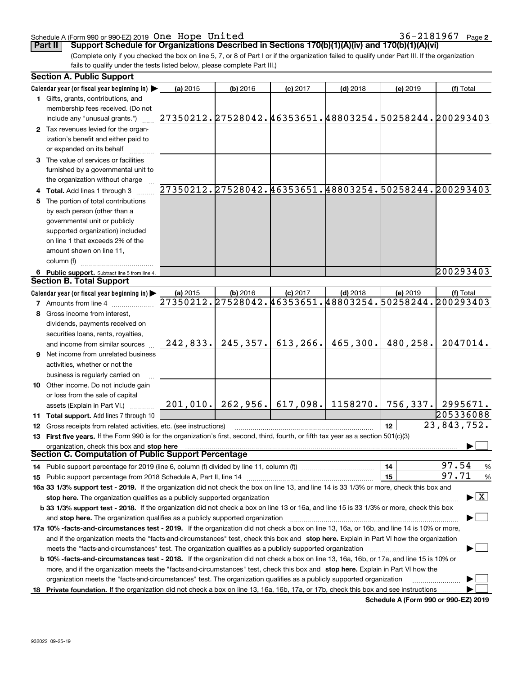| 932022 09-25-19 |  |
|-----------------|--|
|                 |  |

### Schedule A (Form 990 or 990-EZ) 2019 Page One Hope United 36-2181967

**Part II Support Schedule for Organizations Described in Sections 170(b)(1)(A)(iv) and 170(b)(1)(A)(vi)**

(Complete only if you checked the box on line 5, 7, or 8 of Part I or if the organization failed to qualify under Part III. If the organization fails to qualify under the tests listed below, please complete Part III.)

| <b>Section A. Public Support</b>                                                                                                               |          |            |                                |            |                                                               |                                                        |
|------------------------------------------------------------------------------------------------------------------------------------------------|----------|------------|--------------------------------|------------|---------------------------------------------------------------|--------------------------------------------------------|
| Calendar year (or fiscal year beginning in)                                                                                                    | (a) 2015 | $(b)$ 2016 | $(c)$ 2017                     | $(d)$ 2018 | (e) 2019                                                      | (f) Total                                              |
| 1 Gifts, grants, contributions, and                                                                                                            |          |            |                                |            |                                                               |                                                        |
| membership fees received. (Do not                                                                                                              |          |            |                                |            |                                                               |                                                        |
| include any "unusual grants.")                                                                                                                 |          |            |                                |            |                                                               | 27350212.27528042.46353651.48803254.50258244.200293403 |
| 2 Tax revenues levied for the organ-                                                                                                           |          |            |                                |            |                                                               |                                                        |
| ization's benefit and either paid to                                                                                                           |          |            |                                |            |                                                               |                                                        |
| or expended on its behalf                                                                                                                      |          |            |                                |            |                                                               |                                                        |
| 3 The value of services or facilities                                                                                                          |          |            |                                |            |                                                               |                                                        |
| furnished by a governmental unit to                                                                                                            |          |            |                                |            |                                                               |                                                        |
| the organization without charge                                                                                                                |          |            |                                |            |                                                               |                                                        |
| 4 Total. Add lines 1 through 3                                                                                                                 |          |            |                                |            |                                                               | 27350212.27528042.46353651.48803254.50258244.200293403 |
| The portion of total contributions                                                                                                             |          |            |                                |            |                                                               |                                                        |
| by each person (other than a                                                                                                                   |          |            |                                |            |                                                               |                                                        |
| governmental unit or publicly                                                                                                                  |          |            |                                |            |                                                               |                                                        |
| supported organization) included                                                                                                               |          |            |                                |            |                                                               |                                                        |
| on line 1 that exceeds 2% of the                                                                                                               |          |            |                                |            |                                                               |                                                        |
| amount shown on line 11,                                                                                                                       |          |            |                                |            |                                                               |                                                        |
| column (f)                                                                                                                                     |          |            |                                |            |                                                               |                                                        |
| 6 Public support. Subtract line 5 from line 4.                                                                                                 |          |            |                                |            |                                                               | 200293403                                              |
| <b>Section B. Total Support</b>                                                                                                                |          |            |                                |            |                                                               |                                                        |
| Calendar year (or fiscal year beginning in)                                                                                                    | (a) 2015 | $(b)$ 2016 | $(c)$ 2017                     | $(d)$ 2018 | (e) 2019                                                      | (f) Total                                              |
| <b>7</b> Amounts from line 4                                                                                                                   |          |            |                                |            |                                                               | 27350212.27528042.46353651.48803254.50258244.200293403 |
| 8 Gross income from interest,                                                                                                                  |          |            |                                |            |                                                               |                                                        |
| dividends, payments received on                                                                                                                |          |            |                                |            |                                                               |                                                        |
| securities loans, rents, royalties,                                                                                                            |          |            |                                |            |                                                               |                                                        |
| and income from similar sources                                                                                                                |          |            | $242,833.$ 245, 357. 613, 266. | 465,300.   | 480,258.                                                      | 2047014.                                               |
| <b>9</b> Net income from unrelated business                                                                                                    |          |            |                                |            |                                                               |                                                        |
| activities, whether or not the                                                                                                                 |          |            |                                |            |                                                               |                                                        |
| business is regularly carried on                                                                                                               |          |            |                                |            |                                                               |                                                        |
| 10 Other income. Do not include gain                                                                                                           |          |            |                                |            |                                                               |                                                        |
| or loss from the sale of capital                                                                                                               |          |            |                                |            |                                                               |                                                        |
| assets (Explain in Part VI.)                                                                                                                   |          |            |                                |            | $201, 010.$ $262, 956.$ 617, 098. 1158270. 756, 337. 2995671. |                                                        |
| 11 Total support. Add lines 7 through 10                                                                                                       |          |            |                                |            |                                                               | 205336088                                              |
| 12 Gross receipts from related activities, etc. (see instructions)                                                                             |          |            |                                |            | 12                                                            | 23,843,752.                                            |
| 13 First five years. If the Form 990 is for the organization's first, second, third, fourth, or fifth tax year as a section 501(c)(3)          |          |            |                                |            |                                                               |                                                        |
| organization, check this box and stop here                                                                                                     |          |            |                                |            |                                                               |                                                        |
| Section C. Computation of Public Support Percentage                                                                                            |          |            |                                |            |                                                               |                                                        |
| 14 Public support percentage for 2019 (line 6, column (f) divided by line 11, column (f) <i>mummumumum</i>                                     |          |            |                                |            | 14                                                            | 97.54<br>%                                             |
|                                                                                                                                                |          |            |                                |            | 15                                                            | 97.71<br>%                                             |
| 16a 33 1/3% support test - 2019. If the organization did not check the box on line 13, and line 14 is 33 1/3% or more, check this box and      |          |            |                                |            |                                                               |                                                        |
| stop here. The organization qualifies as a publicly supported organization                                                                     |          |            |                                |            |                                                               | $\blacktriangleright$ $\boxed{\text{X}}$               |
| b 33 1/3% support test - 2018. If the organization did not check a box on line 13 or 16a, and line 15 is 33 1/3% or more, check this box       |          |            |                                |            |                                                               |                                                        |
| and stop here. The organization qualifies as a publicly supported organization                                                                 |          |            |                                |            |                                                               |                                                        |
| 17a 10% -facts-and-circumstances test - 2019. If the organization did not check a box on line 13, 16a, or 16b, and line 14 is 10% or more,     |          |            |                                |            |                                                               |                                                        |
|                                                                                                                                                |          |            |                                |            |                                                               |                                                        |
| and if the organization meets the "facts-and-circumstances" test, check this box and stop here. Explain in Part VI how the organization        |          |            |                                |            |                                                               |                                                        |
|                                                                                                                                                |          |            |                                |            |                                                               |                                                        |
| <b>b 10% -facts-and-circumstances test - 2018.</b> If the organization did not check a box on line 13, 16a, 16b, or 17a, and line 15 is 10% or |          |            |                                |            |                                                               |                                                        |
| more, and if the organization meets the "facts-and-circumstances" test, check this box and stop here. Explain in Part VI how the               |          |            |                                |            |                                                               |                                                        |
| organization meets the "facts-and-circumstances" test. The organization qualifies as a publicly supported organization                         |          |            |                                |            |                                                               |                                                        |
| 18 Private foundation. If the organization did not check a box on line 13, 16a, 16b, 17a, or 17b, check this box and see instructions          |          |            |                                |            |                                                               |                                                        |

**2**

**Schedule A (Form 990 or 990-EZ) 2019**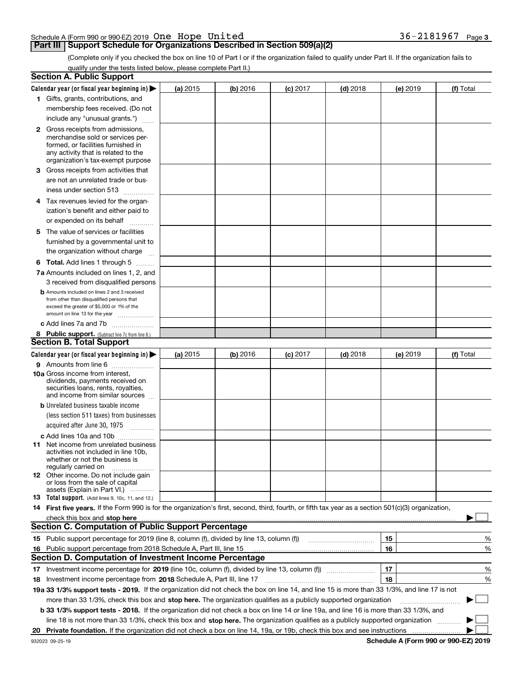|  | Schedule A (Form 990 or 990 EZ) 2019 $\,$ One $\,$ Hope $\,$ United $\,$ |  |  | 36-2181967 | Page 3 |
|--|--------------------------------------------------------------------------|--|--|------------|--------|
|  |                                                                          |  |  |            |        |

## **Part III Support Schedule for Organizations Described in Section 509(a)(2)**

(Complete only if you checked the box on line 10 of Part I or if the organization failed to qualify under Part II. If the organization fails to qualify under the tests listed below, please complete Part II.)

|    | <b>Section A. Public Support</b>                                                                                                                                                                                              |          |          |            |            |          |             |
|----|-------------------------------------------------------------------------------------------------------------------------------------------------------------------------------------------------------------------------------|----------|----------|------------|------------|----------|-------------|
|    | Calendar year (or fiscal year beginning in) $\blacktriangleright$                                                                                                                                                             | (a) 2015 | (b) 2016 | $(c)$ 2017 | $(d)$ 2018 | (e) 2019 | (f) Total   |
|    | 1 Gifts, grants, contributions, and                                                                                                                                                                                           |          |          |            |            |          |             |
|    | membership fees received. (Do not                                                                                                                                                                                             |          |          |            |            |          |             |
|    | include any "unusual grants.")                                                                                                                                                                                                |          |          |            |            |          |             |
|    | <b>2</b> Gross receipts from admissions,                                                                                                                                                                                      |          |          |            |            |          |             |
|    | merchandise sold or services per-                                                                                                                                                                                             |          |          |            |            |          |             |
|    | formed, or facilities furnished in                                                                                                                                                                                            |          |          |            |            |          |             |
|    | any activity that is related to the<br>organization's tax-exempt purpose                                                                                                                                                      |          |          |            |            |          |             |
|    | 3 Gross receipts from activities that                                                                                                                                                                                         |          |          |            |            |          |             |
|    | are not an unrelated trade or bus-                                                                                                                                                                                            |          |          |            |            |          |             |
|    | iness under section 513                                                                                                                                                                                                       |          |          |            |            |          |             |
|    | 4 Tax revenues levied for the organ-                                                                                                                                                                                          |          |          |            |            |          |             |
|    | ization's benefit and either paid to                                                                                                                                                                                          |          |          |            |            |          |             |
|    | or expended on its behalf                                                                                                                                                                                                     |          |          |            |            |          |             |
|    | .<br>5 The value of services or facilities                                                                                                                                                                                    |          |          |            |            |          |             |
|    | furnished by a governmental unit to                                                                                                                                                                                           |          |          |            |            |          |             |
|    | the organization without charge                                                                                                                                                                                               |          |          |            |            |          |             |
|    |                                                                                                                                                                                                                               |          |          |            |            |          |             |
|    | <b>6 Total.</b> Add lines 1 through 5                                                                                                                                                                                         |          |          |            |            |          |             |
|    | 7a Amounts included on lines 1, 2, and                                                                                                                                                                                        |          |          |            |            |          |             |
|    | 3 received from disqualified persons<br><b>b</b> Amounts included on lines 2 and 3 received                                                                                                                                   |          |          |            |            |          |             |
|    | from other than disqualified persons that                                                                                                                                                                                     |          |          |            |            |          |             |
|    | exceed the greater of \$5,000 or 1% of the                                                                                                                                                                                    |          |          |            |            |          |             |
|    | amount on line 13 for the year                                                                                                                                                                                                |          |          |            |            |          |             |
|    | c Add lines 7a and 7b                                                                                                                                                                                                         |          |          |            |            |          |             |
|    | 8 Public support. (Subtract line 7c from line 6.)<br><b>Section B. Total Support</b>                                                                                                                                          |          |          |            |            |          |             |
|    |                                                                                                                                                                                                                               |          |          |            |            |          |             |
|    | Calendar year (or fiscal year beginning in)                                                                                                                                                                                   | (a) 2015 | (b) 2016 | $(c)$ 2017 | $(d)$ 2018 | (e) 2019 | (f) Total   |
|    | 9 Amounts from line 6                                                                                                                                                                                                         |          |          |            |            |          |             |
|    | <b>10a</b> Gross income from interest,<br>dividends, payments received on                                                                                                                                                     |          |          |            |            |          |             |
|    | securities loans, rents, royalties,                                                                                                                                                                                           |          |          |            |            |          |             |
|    | and income from similar sources                                                                                                                                                                                               |          |          |            |            |          |             |
|    | <b>b</b> Unrelated business taxable income                                                                                                                                                                                    |          |          |            |            |          |             |
|    | (less section 511 taxes) from businesses                                                                                                                                                                                      |          |          |            |            |          |             |
|    | acquired after June 30, 1975 [10001]                                                                                                                                                                                          |          |          |            |            |          |             |
|    | c Add lines 10a and 10b                                                                                                                                                                                                       |          |          |            |            |          |             |
|    | 11 Net income from unrelated business                                                                                                                                                                                         |          |          |            |            |          |             |
|    | activities not included in line 10b,<br>whether or not the business is                                                                                                                                                        |          |          |            |            |          |             |
|    | regularly carried on                                                                                                                                                                                                          |          |          |            |            |          |             |
|    | <b>12</b> Other income. Do not include gain                                                                                                                                                                                   |          |          |            |            |          |             |
|    | or loss from the sale of capital<br>assets (Explain in Part VI.)                                                                                                                                                              |          |          |            |            |          |             |
|    | <b>13</b> Total support. (Add lines 9, 10c, 11, and 12.)                                                                                                                                                                      |          |          |            |            |          |             |
|    | 14 First five years. If the Form 990 is for the organization's first, second, third, fourth, or fifth tax year as a section 501(c)(3) organization,                                                                           |          |          |            |            |          |             |
|    | check this box and stop here with the continuum control to the change of the state of the state of the change of the change of the change of the change of the change of the change of the change of the change of the change |          |          |            |            |          |             |
|    | <b>Section C. Computation of Public Support Percentage</b>                                                                                                                                                                    |          |          |            |            |          |             |
|    | 15 Public support percentage for 2019 (line 8, column (f), divided by line 13, column (f))                                                                                                                                    |          |          |            |            | 15       | %           |
|    | 16 Public support percentage from 2018 Schedule A, Part III, line 15                                                                                                                                                          |          |          |            |            | 16       | %           |
|    | Section D. Computation of Investment Income Percentage                                                                                                                                                                        |          |          |            |            |          |             |
|    | 17 Investment income percentage for 2019 (line 10c, column (f), divided by line 13, column (f))                                                                                                                               |          |          |            |            | 17       | %           |
|    | <b>18</b> Investment income percentage from <b>2018</b> Schedule A, Part III, line 17                                                                                                                                         |          |          |            |            | 18       | %           |
|    | 19a 33 1/3% support tests - 2019. If the organization did not check the box on line 14, and line 15 is more than 33 1/3%, and line 17 is not                                                                                  |          |          |            |            |          |             |
|    | more than 33 1/3%, check this box and stop here. The organization qualifies as a publicly supported organization                                                                                                              |          |          |            |            |          | $\sim$<br>▶ |
|    | b 33 1/3% support tests - 2018. If the organization did not check a box on line 14 or line 19a, and line 16 is more than 33 1/3%, and                                                                                         |          |          |            |            |          |             |
|    | line 18 is not more than 33 1/3%, check this box and stop here. The organization qualifies as a publicly supported organization                                                                                               |          |          |            |            |          |             |
| 20 |                                                                                                                                                                                                                               |          |          |            |            |          |             |
|    |                                                                                                                                                                                                                               |          |          |            |            |          |             |

**Schedule A (Form 990 or 990-EZ) 2019**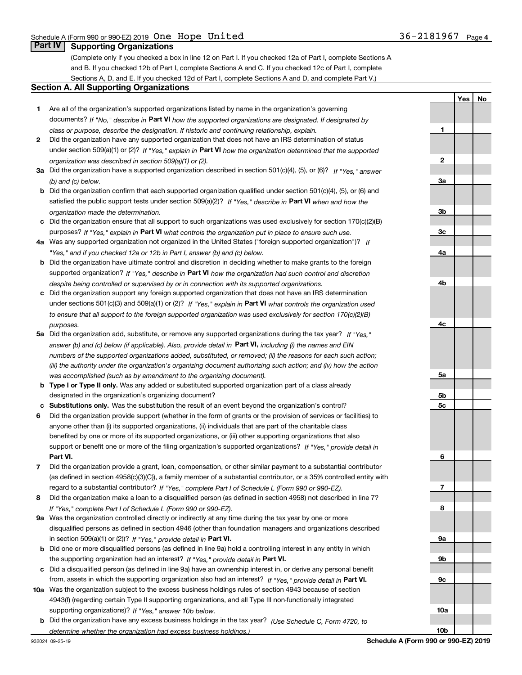**1**

**2**

**3a**

**YesNo**

## **Part IV Supporting Organizations**

(Complete only if you checked a box in line 12 on Part I. If you checked 12a of Part I, complete Sections A and B. If you checked 12b of Part I, complete Sections A and C. If you checked 12c of Part I, complete Sections A, D, and E. If you checked 12d of Part I, complete Sections A and D, and complete Part V.)

### **Section A. All Supporting Organizations**

- **1** Are all of the organization's supported organizations listed by name in the organization's governing documents? If "No," describe in **Part VI** how the supported organizations are designated. If designated by *class or purpose, describe the designation. If historic and continuing relationship, explain.*
- **2** Did the organization have any supported organization that does not have an IRS determination of status under section 509(a)(1) or (2)? If "Yes," explain in Part VI how the organization determined that the supported *organization was described in section 509(a)(1) or (2).*
- **3a** Did the organization have a supported organization described in section 501(c)(4), (5), or (6)? If "Yes," answer *(b) and (c) below.*
- **b** Did the organization confirm that each supported organization qualified under section 501(c)(4), (5), or (6) and satisfied the public support tests under section 509(a)(2)? If "Yes," describe in **Part VI** when and how the *organization made the determination.*
- **c**Did the organization ensure that all support to such organizations was used exclusively for section 170(c)(2)(B) purposes? If "Yes," explain in **Part VI** what controls the organization put in place to ensure such use.
- **4a***If* Was any supported organization not organized in the United States ("foreign supported organization")? *"Yes," and if you checked 12a or 12b in Part I, answer (b) and (c) below.*
- **b** Did the organization have ultimate control and discretion in deciding whether to make grants to the foreign supported organization? If "Yes," describe in **Part VI** how the organization had such control and discretion *despite being controlled or supervised by or in connection with its supported organizations.*
- **c** Did the organization support any foreign supported organization that does not have an IRS determination under sections 501(c)(3) and 509(a)(1) or (2)? If "Yes," explain in **Part VI** what controls the organization used *to ensure that all support to the foreign supported organization was used exclusively for section 170(c)(2)(B) purposes.*
- **5a***If "Yes,"* Did the organization add, substitute, or remove any supported organizations during the tax year? answer (b) and (c) below (if applicable). Also, provide detail in **Part VI,** including (i) the names and EIN *numbers of the supported organizations added, substituted, or removed; (ii) the reasons for each such action; (iii) the authority under the organization's organizing document authorizing such action; and (iv) how the action was accomplished (such as by amendment to the organizing document).*
- **b** Type I or Type II only. Was any added or substituted supported organization part of a class already designated in the organization's organizing document?
- **cSubstitutions only.**  Was the substitution the result of an event beyond the organization's control?
- **6** Did the organization provide support (whether in the form of grants or the provision of services or facilities) to **Part VI.** *If "Yes," provide detail in* support or benefit one or more of the filing organization's supported organizations? anyone other than (i) its supported organizations, (ii) individuals that are part of the charitable class benefited by one or more of its supported organizations, or (iii) other supporting organizations that also
- **7**Did the organization provide a grant, loan, compensation, or other similar payment to a substantial contributor *If "Yes," complete Part I of Schedule L (Form 990 or 990-EZ).* regard to a substantial contributor? (as defined in section 4958(c)(3)(C)), a family member of a substantial contributor, or a 35% controlled entity with
- **8** Did the organization make a loan to a disqualified person (as defined in section 4958) not described in line 7? *If "Yes," complete Part I of Schedule L (Form 990 or 990-EZ).*
- **9a** Was the organization controlled directly or indirectly at any time during the tax year by one or more in section 509(a)(1) or (2))? If "Yes," *provide detail in* <code>Part VI.</code> disqualified persons as defined in section 4946 (other than foundation managers and organizations described
- **b** Did one or more disqualified persons (as defined in line 9a) hold a controlling interest in any entity in which the supporting organization had an interest? If "Yes," provide detail in P**art VI**.
- **c**Did a disqualified person (as defined in line 9a) have an ownership interest in, or derive any personal benefit from, assets in which the supporting organization also had an interest? If "Yes," provide detail in P**art VI.**
- **10a** Was the organization subject to the excess business holdings rules of section 4943 because of section supporting organizations)? If "Yes," answer 10b below. 4943(f) (regarding certain Type II supporting organizations, and all Type III non-functionally integrated
- **b** Did the organization have any excess business holdings in the tax year? (Use Schedule C, Form 4720, to *determine whether the organization had excess business holdings.)*

**10b**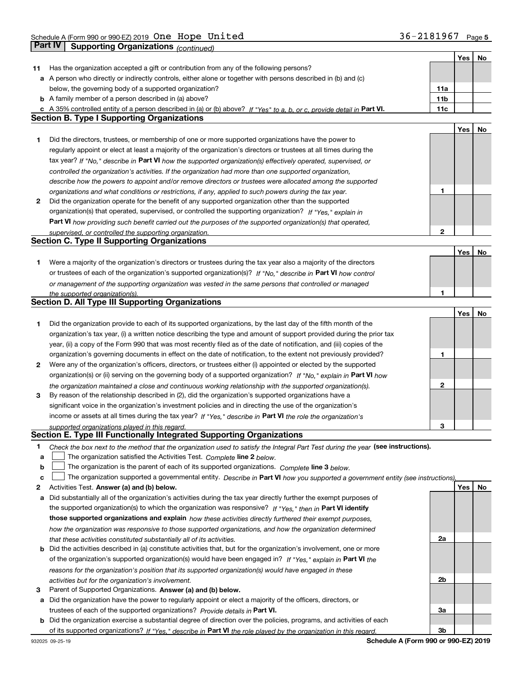|     |                                                                                                                                   |                 | Yes | No |
|-----|-----------------------------------------------------------------------------------------------------------------------------------|-----------------|-----|----|
| 11. | Has the organization accepted a gift or contribution from any of the following persons?                                           |                 |     |    |
|     | a A person who directly or indirectly controls, either alone or together with persons described in (b) and (c)                    |                 |     |    |
|     | below, the governing body of a supported organization?                                                                            | 11a             |     |    |
|     | <b>b</b> A family member of a person described in (a) above?                                                                      | 11 <sub>b</sub> |     |    |
|     | c A 35% controlled entity of a person described in (a) or (b) above? If "Yes" to a, b, or c, provide detail in Part VI.           | 11c             |     |    |
|     | <b>Section B. Type I Supporting Organizations</b>                                                                                 |                 |     |    |
|     |                                                                                                                                   |                 | Yes | No |
| 1   | Did the directors, trustees, or membership of one or more supported organizations have the power to                               |                 |     |    |
|     | regularly appoint or elect at least a majority of the organization's directors or trustees at all times during the                |                 |     |    |
|     | tax year? If "No," describe in Part VI how the supported organization(s) effectively operated, supervised, or                     |                 |     |    |
|     | controlled the organization's activities. If the organization had more than one supported organization,                           |                 |     |    |
|     |                                                                                                                                   |                 |     |    |
|     | describe how the powers to appoint and/or remove directors or trustees were allocated among the supported                         | 1               |     |    |
|     | organizations and what conditions or restrictions, if any, applied to such powers during the tax year.                            |                 |     |    |
| 2   | Did the organization operate for the benefit of any supported organization other than the supported                               |                 |     |    |
|     | organization(s) that operated, supervised, or controlled the supporting organization? If "Yes," explain in                        |                 |     |    |
|     | Part VI how providing such benefit carried out the purposes of the supported organization(s) that operated,                       |                 |     |    |
|     | supervised, or controlled the supporting organization.                                                                            | $\mathbf{2}$    |     |    |
|     | <b>Section C. Type II Supporting Organizations</b>                                                                                |                 |     |    |
|     |                                                                                                                                   |                 | Yes | No |
| 1   | Were a majority of the organization's directors or trustees during the tax year also a majority of the directors                  |                 |     |    |
|     | or trustees of each of the organization's supported organization(s)? If "No," describe in Part VI how control                     |                 |     |    |
|     | or management of the supporting organization was vested in the same persons that controlled or managed                            |                 |     |    |
|     | the supported organization(s).                                                                                                    | 1               |     |    |
|     | <b>Section D. All Type III Supporting Organizations</b>                                                                           |                 |     |    |
|     |                                                                                                                                   |                 | Yes | No |
| 1   | Did the organization provide to each of its supported organizations, by the last day of the fifth month of the                    |                 |     |    |
|     | organization's tax year, (i) a written notice describing the type and amount of support provided during the prior tax             |                 |     |    |
|     | year, (ii) a copy of the Form 990 that was most recently filed as of the date of notification, and (iii) copies of the            |                 |     |    |
|     | organization's governing documents in effect on the date of notification, to the extent not previously provided?                  | 1               |     |    |
| 2   | Were any of the organization's officers, directors, or trustees either (i) appointed or elected by the supported                  |                 |     |    |
|     | organization(s) or (ii) serving on the governing body of a supported organization? If "No," explain in Part VI how                |                 |     |    |
|     | the organization maintained a close and continuous working relationship with the supported organization(s).                       | 2               |     |    |
| 3   | By reason of the relationship described in (2), did the organization's supported organizations have a                             |                 |     |    |
|     | significant voice in the organization's investment policies and in directing the use of the organization's                        |                 |     |    |
|     | income or assets at all times during the tax year? If "Yes," describe in Part VI the role the organization's                      |                 |     |    |
|     | supported organizations played in this regard.                                                                                    | 3               |     |    |
|     | Section E. Type III Functionally Integrated Supporting Organizations                                                              |                 |     |    |
| 1   |                                                                                                                                   |                 |     |    |
|     | Check the box next to the method that the organization used to satisfy the Integral Part Test during the year (see instructions). |                 |     |    |
| а   | The organization satisfied the Activities Test. Complete line 2 below.                                                            |                 |     |    |
| b   | The organization is the parent of each of its supported organizations. Complete line 3 below.                                     |                 |     |    |
| c   | The organization supported a governmental entity. Describe in Part VI how you supported a government entity (see instructions),   |                 |     |    |
| 2   | Activities Test. Answer (a) and (b) below.                                                                                        |                 | Yes | No |
| а   | Did substantially all of the organization's activities during the tax year directly further the exempt purposes of                |                 |     |    |
|     | the supported organization(s) to which the organization was responsive? If "Yes," then in Part VI identify                        |                 |     |    |
|     | those supported organizations and explain how these activities directly furthered their exempt purposes,                          |                 |     |    |
|     | how the organization was responsive to those supported organizations, and how the organization determined                         |                 |     |    |
|     | that these activities constituted substantially all of its activities.                                                            | 2a              |     |    |
|     | <b>b</b> Did the activities described in (a) constitute activities that, but for the organization's involvement, one or more      |                 |     |    |
|     | of the organization's supported organization(s) would have been engaged in? If "Yes," explain in Part VI the                      |                 |     |    |
|     | reasons for the organization's position that its supported organization(s) would have engaged in these                            |                 |     |    |
|     | activities but for the organization's involvement.                                                                                | 2b              |     |    |
| з   | Parent of Supported Organizations. Answer (a) and (b) below.                                                                      |                 |     |    |
|     | a Did the organization have the power to regularly appoint or elect a majority of the officers, directors, or                     |                 |     |    |
|     | trustees of each of the supported organizations? Provide details in Part VI.                                                      | За              |     |    |
|     | <b>b</b> Did the organization exercise a substantial degree of direction over the policies, programs, and activities of each      |                 |     |    |
|     | of its supported organizations? If "Yes." describe in Part VI the role played by the organization in this regard.                 | Зb              |     |    |
|     |                                                                                                                                   |                 |     |    |

**Schedule A (Form 990 or 990-EZ) 2019**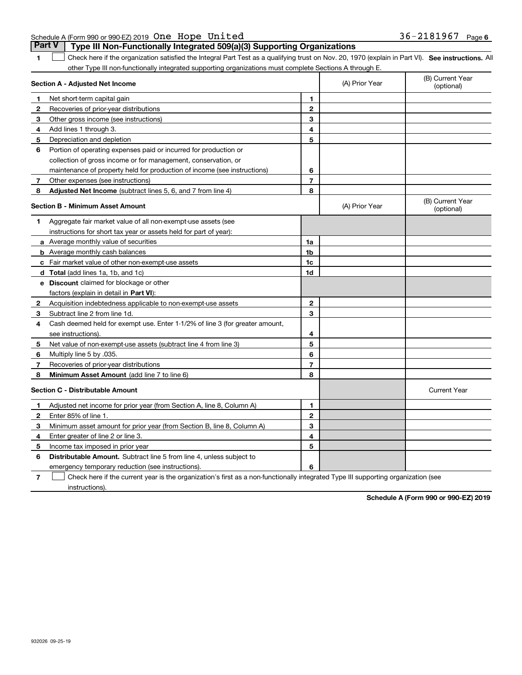| Schedule A (Form 990 or 990-EZ) 2019 One Hope United                                  | 36-2181967 | Page 6 |
|---------------------------------------------------------------------------------------|------------|--------|
| <b>Part V</b> Type III Non-Functionally Integrated 509(a)(3) Supporting Organizations |            |        |

**1**

1 Check here if the organization satisfied the Integral Part Test as a qualifying trust on Nov. 20, 1970 (explain in Part VI). See instructions. All other Type III non-functionally integrated supporting organizations must complete Sections A through E.

|              | Section A - Adjusted Net Income                                              |                         | (A) Prior Year | (B) Current Year<br>(optional) |
|--------------|------------------------------------------------------------------------------|-------------------------|----------------|--------------------------------|
| 1            | Net short-term capital gain                                                  | 1                       |                |                                |
| 2            | Recoveries of prior-year distributions                                       | $\mathbf{2}$            |                |                                |
| з            | Other gross income (see instructions)                                        | 3                       |                |                                |
| 4            | Add lines 1 through 3.                                                       | 4                       |                |                                |
| 5            | Depreciation and depletion                                                   | 5                       |                |                                |
| 6            | Portion of operating expenses paid or incurred for production or             |                         |                |                                |
|              | collection of gross income or for management, conservation, or               |                         |                |                                |
|              | maintenance of property held for production of income (see instructions)     | 6                       |                |                                |
| 7            | Other expenses (see instructions)                                            | $\overline{7}$          |                |                                |
| 8            | Adjusted Net Income (subtract lines 5, 6, and 7 from line 4)                 | 8                       |                |                                |
|              | <b>Section B - Minimum Asset Amount</b>                                      |                         | (A) Prior Year | (B) Current Year<br>(optional) |
| 1.           | Aggregate fair market value of all non-exempt-use assets (see                |                         |                |                                |
|              | instructions for short tax year or assets held for part of year):            |                         |                |                                |
|              | <b>a</b> Average monthly value of securities                                 | 1a                      |                |                                |
|              | <b>b</b> Average monthly cash balances                                       | 1 <sub>b</sub>          |                |                                |
|              | c Fair market value of other non-exempt-use assets                           | 1c                      |                |                                |
|              | d Total (add lines 1a, 1b, and 1c)                                           | 1d                      |                |                                |
|              | <b>e</b> Discount claimed for blockage or other                              |                         |                |                                |
|              | factors (explain in detail in Part VI):                                      |                         |                |                                |
| $\mathbf{2}$ | Acquisition indebtedness applicable to non-exempt-use assets                 | $\mathbf{2}$            |                |                                |
| 3            | Subtract line 2 from line 1d.                                                | 3                       |                |                                |
| 4            | Cash deemed held for exempt use. Enter 1-1/2% of line 3 (for greater amount, |                         |                |                                |
|              | see instructions).                                                           | 4                       |                |                                |
| 5            | Net value of non-exempt-use assets (subtract line 4 from line 3)             | 5                       |                |                                |
| 6            | Multiply line 5 by .035.                                                     | 6                       |                |                                |
| 7            | Recoveries of prior-year distributions                                       | $\overline{\mathbf{r}}$ |                |                                |
| 8            | Minimum Asset Amount (add line 7 to line 6)                                  | 8                       |                |                                |
|              | <b>Section C - Distributable Amount</b>                                      |                         |                | <b>Current Year</b>            |
| 1            | Adjusted net income for prior year (from Section A, line 8, Column A)        | 1                       |                |                                |
| 2            | Enter 85% of line 1.                                                         | $\mathbf{2}$            |                |                                |
| З            | Minimum asset amount for prior year (from Section B, line 8, Column A)       | 3                       |                |                                |
| 4            | Enter greater of line 2 or line 3.                                           | 4                       |                |                                |
| 5            | Income tax imposed in prior year                                             | 5                       |                |                                |
| 6            | Distributable Amount. Subtract line 5 from line 4, unless subject to         |                         |                |                                |
|              | emergency temporary reduction (see instructions).                            | 6                       |                |                                |

**7**Check here if the current year is the organization's first as a non-functionally integrated Type III supporting organization (see instructions).

**Schedule A (Form 990 or 990-EZ) 2019**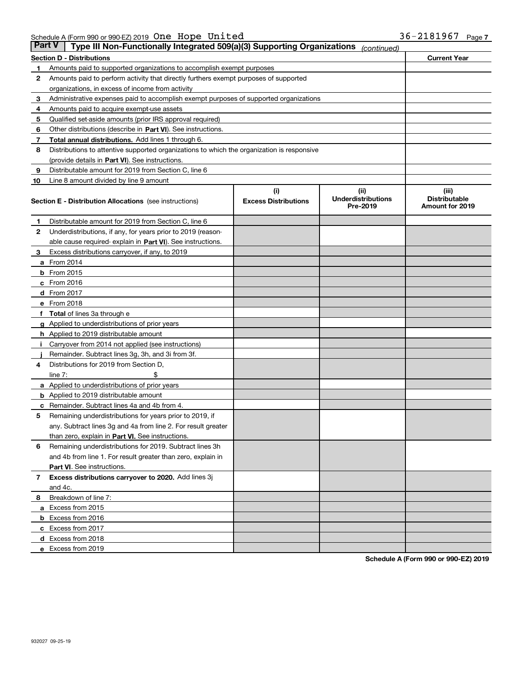| Part V | Type III Non-Functionally Integrated 509(a)(3) Supporting Organizations                    |                             | (continued)                           |                                         |
|--------|--------------------------------------------------------------------------------------------|-----------------------------|---------------------------------------|-----------------------------------------|
|        | <b>Section D - Distributions</b>                                                           |                             |                                       | <b>Current Year</b>                     |
| 1      | Amounts paid to supported organizations to accomplish exempt purposes                      |                             |                                       |                                         |
| 2      | Amounts paid to perform activity that directly furthers exempt purposes of supported       |                             |                                       |                                         |
|        | organizations, in excess of income from activity                                           |                             |                                       |                                         |
| з      | Administrative expenses paid to accomplish exempt purposes of supported organizations      |                             |                                       |                                         |
| 4      | Amounts paid to acquire exempt-use assets                                                  |                             |                                       |                                         |
| 5      | Qualified set-aside amounts (prior IRS approval required)                                  |                             |                                       |                                         |
| 6      | Other distributions (describe in Part VI). See instructions.                               |                             |                                       |                                         |
| 7      | <b>Total annual distributions.</b> Add lines 1 through 6.                                  |                             |                                       |                                         |
| 8      | Distributions to attentive supported organizations to which the organization is responsive |                             |                                       |                                         |
|        | (provide details in Part VI). See instructions.                                            |                             |                                       |                                         |
| 9      | Distributable amount for 2019 from Section C, line 6                                       |                             |                                       |                                         |
| 10     | Line 8 amount divided by line 9 amount                                                     |                             |                                       |                                         |
|        |                                                                                            | (i)                         | (iii)                                 | (iii)                                   |
|        | <b>Section E - Distribution Allocations</b> (see instructions)                             | <b>Excess Distributions</b> | <b>Underdistributions</b><br>Pre-2019 | <b>Distributable</b><br>Amount for 2019 |
| 1      | Distributable amount for 2019 from Section C, line 6                                       |                             |                                       |                                         |
| 2      | Underdistributions, if any, for years prior to 2019 (reason-                               |                             |                                       |                                         |
|        | able cause required- explain in Part VI). See instructions.                                |                             |                                       |                                         |
| з      | Excess distributions carryover, if any, to 2019                                            |                             |                                       |                                         |
|        | <b>a</b> From 2014                                                                         |                             |                                       |                                         |
|        | <b>b</b> From 2015                                                                         |                             |                                       |                                         |
|        | $c$ From 2016                                                                              |                             |                                       |                                         |
|        | d From 2017                                                                                |                             |                                       |                                         |
|        | e From 2018                                                                                |                             |                                       |                                         |
|        | Total of lines 3a through e                                                                |                             |                                       |                                         |
|        | <b>g</b> Applied to underdistributions of prior years                                      |                             |                                       |                                         |
|        | <b>h</b> Applied to 2019 distributable amount                                              |                             |                                       |                                         |
|        | Carryover from 2014 not applied (see instructions)                                         |                             |                                       |                                         |
|        | Remainder. Subtract lines 3g, 3h, and 3i from 3f.                                          |                             |                                       |                                         |
| 4      | Distributions for 2019 from Section D,                                                     |                             |                                       |                                         |
|        | line $7:$                                                                                  |                             |                                       |                                         |
|        | <b>a</b> Applied to underdistributions of prior years                                      |                             |                                       |                                         |
|        | <b>b</b> Applied to 2019 distributable amount                                              |                             |                                       |                                         |
| c      | Remainder. Subtract lines 4a and 4b from 4.                                                |                             |                                       |                                         |
| 5      | Remaining underdistributions for years prior to 2019, if                                   |                             |                                       |                                         |
|        | any. Subtract lines 3g and 4a from line 2. For result greater                              |                             |                                       |                                         |
|        | than zero, explain in Part VI. See instructions.                                           |                             |                                       |                                         |
| 6      | Remaining underdistributions for 2019. Subtract lines 3h                                   |                             |                                       |                                         |
|        | and 4b from line 1. For result greater than zero, explain in                               |                             |                                       |                                         |
|        | Part VI. See instructions.                                                                 |                             |                                       |                                         |
| 7      | Excess distributions carryover to 2020. Add lines 3j                                       |                             |                                       |                                         |
|        | and 4c.                                                                                    |                             |                                       |                                         |
| 8      | Breakdown of line 7:                                                                       |                             |                                       |                                         |
|        | a Excess from 2015                                                                         |                             |                                       |                                         |
|        | <b>b</b> Excess from 2016                                                                  |                             |                                       |                                         |
|        | c Excess from 2017                                                                         |                             |                                       |                                         |
|        | d Excess from 2018                                                                         |                             |                                       |                                         |
|        | e Excess from 2019                                                                         |                             |                                       |                                         |
|        |                                                                                            |                             |                                       |                                         |

**Schedule A (Form 990 or 990-EZ) 2019**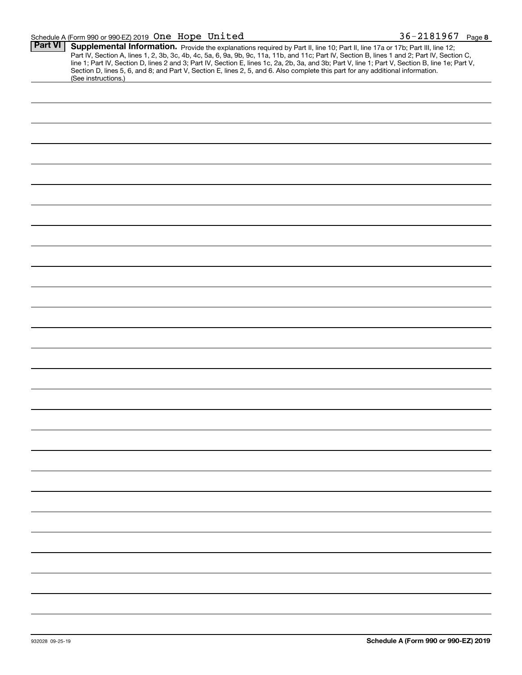## Schedule A (Form 990 or 990-EZ) 2019 Page One Hope United 36-2181967

| <b>Part VI</b> |                                                                                                                                                  |
|----------------|--------------------------------------------------------------------------------------------------------------------------------------------------|
|                | Supplemental Information. Provide the explanations required by Part II, line 10; Part II, line 17a or 17b; Part III, line 12;                    |
|                | Part IV, Section A, lines 1, 2, 3b, 3c, 4b, 4c, 5a, 6, 9a, 9b, 9c, 11a, 11b, and 11c; Part IV, Section B, lines 1 and 2; Part IV, Section C,     |
|                | line 1; Part IV, Section D, lines 2 and 3; Part IV, Section E, lines 1c, 2a, 2b, 3a, and 3b; Part V, line 1; Part V, Section B, line 1e; Part V, |
|                | Section D, lines 5, 6, and 8; and Part V, Section E, lines 2, 5, and 6. Also complete this part for any additional information.                  |
|                | (See instructions.)                                                                                                                              |
|                |                                                                                                                                                  |
|                |                                                                                                                                                  |
|                |                                                                                                                                                  |
|                |                                                                                                                                                  |
|                |                                                                                                                                                  |
|                |                                                                                                                                                  |
|                |                                                                                                                                                  |
|                |                                                                                                                                                  |
|                |                                                                                                                                                  |
|                |                                                                                                                                                  |
|                |                                                                                                                                                  |
|                |                                                                                                                                                  |
|                |                                                                                                                                                  |
|                |                                                                                                                                                  |
|                |                                                                                                                                                  |
|                |                                                                                                                                                  |
|                |                                                                                                                                                  |
|                |                                                                                                                                                  |
|                |                                                                                                                                                  |
|                |                                                                                                                                                  |
|                |                                                                                                                                                  |
|                |                                                                                                                                                  |
|                |                                                                                                                                                  |
|                |                                                                                                                                                  |
|                |                                                                                                                                                  |
|                |                                                                                                                                                  |
|                |                                                                                                                                                  |
|                |                                                                                                                                                  |
|                |                                                                                                                                                  |
|                |                                                                                                                                                  |
|                |                                                                                                                                                  |
|                |                                                                                                                                                  |
|                |                                                                                                                                                  |
|                |                                                                                                                                                  |
|                |                                                                                                                                                  |
|                |                                                                                                                                                  |
|                |                                                                                                                                                  |
|                |                                                                                                                                                  |
|                |                                                                                                                                                  |
|                |                                                                                                                                                  |
|                |                                                                                                                                                  |
|                |                                                                                                                                                  |
|                |                                                                                                                                                  |
|                |                                                                                                                                                  |
|                |                                                                                                                                                  |
|                |                                                                                                                                                  |
|                |                                                                                                                                                  |
|                |                                                                                                                                                  |
|                |                                                                                                                                                  |
|                |                                                                                                                                                  |
|                |                                                                                                                                                  |
|                |                                                                                                                                                  |
|                |                                                                                                                                                  |
|                |                                                                                                                                                  |
|                |                                                                                                                                                  |
|                |                                                                                                                                                  |
|                |                                                                                                                                                  |
|                |                                                                                                                                                  |
|                |                                                                                                                                                  |
|                |                                                                                                                                                  |
|                |                                                                                                                                                  |
|                |                                                                                                                                                  |
|                |                                                                                                                                                  |
|                |                                                                                                                                                  |
|                |                                                                                                                                                  |
|                |                                                                                                                                                  |
|                |                                                                                                                                                  |
|                |                                                                                                                                                  |
|                |                                                                                                                                                  |
|                |                                                                                                                                                  |
|                |                                                                                                                                                  |
|                |                                                                                                                                                  |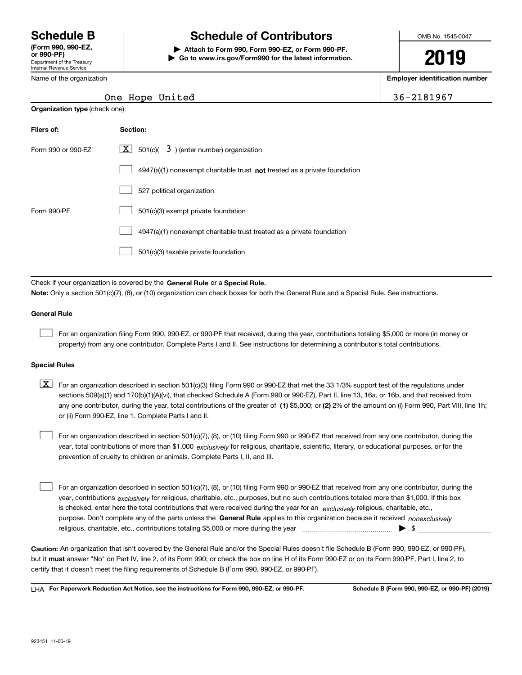Department of the Treasury Internal Revenue Service **(Form 990, 990-EZ, or 990-PF)** Name of the organization

**Organization type** (check one):

## **Schedule B Schedule of Contributors**

**| Attach to Form 990, Form 990-EZ, or Form 990-PF. | Go to www.irs.gov/Form990 for the latest information.** OMB No. 1545-0047

# **2019**

**Employer identification number**

| $6 - 2181967$ |  |  |  |
|---------------|--|--|--|
|---------------|--|--|--|

## One Hope United 36-2181967 36-2181967 36-2181967 36-2181967 36-2181967 36-2181967 36-2181967 36-2181967 36-218

| Filers of:         | Section:                                                                           |
|--------------------|------------------------------------------------------------------------------------|
| Form 990 or 990-FZ | $ \mathbf{X} $ 501(c)( 3) (enter number) organization                              |
|                    | $4947(a)(1)$ nonexempt charitable trust <b>not</b> treated as a private foundation |
|                    | 527 political organization                                                         |
| Form 990-PF        | 501(c)(3) exempt private foundation                                                |
|                    | 4947(a)(1) nonexempt charitable trust treated as a private foundation              |
|                    | 501(c)(3) taxable private foundation                                               |

Check if your organization is covered by the **General Rule** or a **Special Rule. Note:**  Only a section 501(c)(7), (8), or (10) organization can check boxes for both the General Rule and a Special Rule. See instructions.

## **General Rule**

 $\mathcal{L}^{\text{max}}$ 

For an organization filing Form 990, 990-EZ, or 990-PF that received, during the year, contributions totaling \$5,000 or more (in money or property) from any one contributor. Complete Parts I and II. See instructions for determining a contributor's total contributions.

#### **Special Rules**

any one contributor, during the year, total contributions of the greater of  $\,$  (1) \$5,000; or **(2)** 2% of the amount on (i) Form 990, Part VIII, line 1h;  $\boxed{\textbf{X}}$  For an organization described in section 501(c)(3) filing Form 990 or 990-EZ that met the 33 1/3% support test of the regulations under sections 509(a)(1) and 170(b)(1)(A)(vi), that checked Schedule A (Form 990 or 990-EZ), Part II, line 13, 16a, or 16b, and that received from or (ii) Form 990-EZ, line 1. Complete Parts I and II.

year, total contributions of more than \$1,000 *exclusively* for religious, charitable, scientific, literary, or educational purposes, or for the For an organization described in section 501(c)(7), (8), or (10) filing Form 990 or 990-EZ that received from any one contributor, during the prevention of cruelty to children or animals. Complete Parts I, II, and III.  $\mathcal{L}^{\text{max}}$ 

purpose. Don't complete any of the parts unless the **General Rule** applies to this organization because it received *nonexclusively* year, contributions <sub>exclusively</sub> for religious, charitable, etc., purposes, but no such contributions totaled more than \$1,000. If this box is checked, enter here the total contributions that were received during the year for an  $\;$ exclusively religious, charitable, etc., For an organization described in section 501(c)(7), (8), or (10) filing Form 990 or 990-EZ that received from any one contributor, during the religious, charitable, etc., contributions totaling \$5,000 or more during the year  $\Box$ — $\Box$   $\Box$  $\mathcal{L}^{\text{max}}$ 

**Caution:**  An organization that isn't covered by the General Rule and/or the Special Rules doesn't file Schedule B (Form 990, 990-EZ, or 990-PF),  **must** but it answer "No" on Part IV, line 2, of its Form 990; or check the box on line H of its Form 990-EZ or on its Form 990-PF, Part I, line 2, to certify that it doesn't meet the filing requirements of Schedule B (Form 990, 990-EZ, or 990-PF).

**For Paperwork Reduction Act Notice, see the instructions for Form 990, 990-EZ, or 990-PF. Schedule B (Form 990, 990-EZ, or 990-PF) (2019)** LHA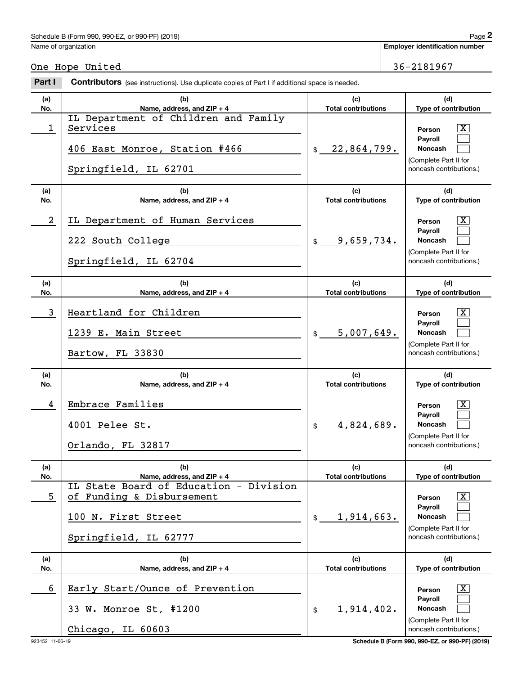## Schedule B (Form 990, 990-EZ, or 990-PF) (2019)  $P_0 = 2$

Name of organization

**Employer identification number**

One Hope United 36-2181967

#### **(a)No.(b)Name, address, and ZIP + 4 (c)Total contributions (d)Type of contribution PersonPayrollNoncash (a)No.(b)Name, address, and ZIP + 4 (c)Total contributions (d)Type of contribution PersonPayrollNoncash (a)No.(b)Name, address, and ZIP + 4 (c)Total contributions (d)Type of contribution PersonPayrollNoncash (a)No.(b)Name, address, and ZIP + 4 (c)Total contributions (d)Type of contribution PersonPayrollNoncash (a)No.(b)Name, address, and ZIP + 4 (c)Total contributions (d)Type of contribution PersonPayrollNoncash (a)No.(b)Name, address, and ZIP + 4 (c)Total contributions (d)Type of contribution PersonPayrollNoncash Contributors** (see instructions). Use duplicate copies of Part I if additional space is needed.  $\ddot{\mathbf{r}}$ (Complete Part II for noncash contributions.) \$(Complete Part II for noncash contributions.) \$(Complete Part II for noncash contributions.) \$(Complete Part II for noncash contributions.) \$(Complete Part II for noncash contributions.) \$1,914,402. (Complete Part II for noncash contributions.) Employer identification Page 2<br>
Jame of organization<br> **2Part I 2Part I Contributors** (see instructions). Use duplicate copies of Part I if additional space is needed.  $\lceil \text{X} \rceil$  $\mathcal{L}^{\text{max}}$  $\mathcal{L}^{\text{max}}$  $|X|$  $\mathcal{L}^{\text{max}}$  $\mathcal{L}^{\text{max}}$  $\lceil \text{X} \rceil$  $\mathcal{L}^{\text{max}}$  $\mathcal{L}^{\text{max}}$  $\lceil \text{X} \rceil$  $\mathcal{L}^{\text{max}}$  $\mathcal{L}^{\text{max}}$  $|X|$  $\mathcal{L}^{\text{max}}$  $\mathcal{L}^{\text{max}}$  $|X|$  $\mathcal{L}^{\text{max}}$  $\mathcal{L}^{\text{max}}$ 1 Services and the services of the services of the services of the services of the services of the services of the services of the services of the service of the service of the service of the service of the service of the 22,864,799. IL Department of Children and Family 406 East Monroe, Station #466 Springfield, IL 62701 2 IL Department of Human Services and the control of the Person in the Person in the Service of Table 9,659,734. 222 South College Springfield, IL 62704 3 X Heartland for Children 5,007,649. 1239 E. Main Street Bartow, FL 33830 4 X Embrace Families 4,824,689. 4001 Pelee St. Orlando, FL 32817 5 of Funding & Disbursement the contract of the series of  $\overline{X}$ 1,914,663. IL State Board of Education - Division 100 N. First Street Springfield, IL 62777 6 X Early Start/Ounce of Prevention 33 W. Monroe St, #1200 Chicago, IL 60603

923452 11-06-19 **Schedule B (Form 990, 990-EZ, or 990-PF) (2019)**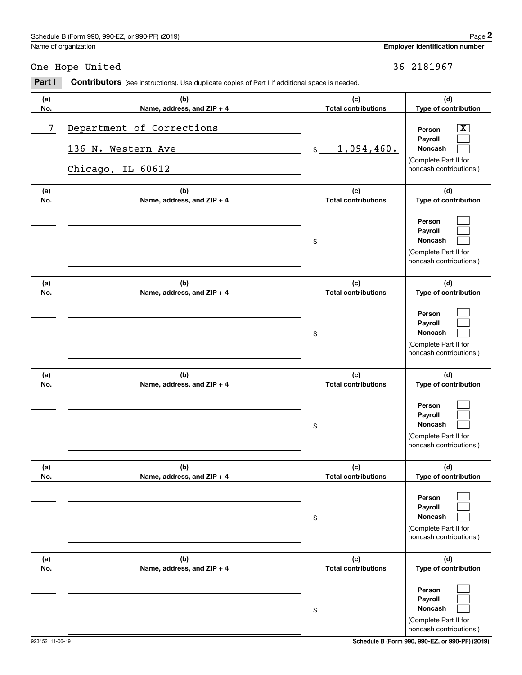## Schedule B (Form 990, 990-EZ, or 990-PF) (2019) **Page 2** and the state of the state of the state of the state of the state of the state of the state of the state of the state of the state of the state of the state of the s Name of organization

#### **(a)No.(b)Name, address, and ZIP + 4 (c)Total contributions (d)Type of contribution PersonPayrollNoncash (a)No.(b)Name, address, and ZIP + 4 (c)Total contributions (d)Type of contribution PersonPayrollNoncash (a)No.(b)Name, address, and ZIP + 4 (c)Total contributions (d)Type of contribution PersonPayrollNoncash (a) No.(b)Name, address, and ZIP + 4 (c) Total contributions (d) Type of contribution PersonPayrollNoncash(a) No.(b)Name, address, and ZIP + 4 (c) Total contributions (d) Type of contribution PersonPayrollNoncash (a) No.(b)Name, address, and ZIP + 4 (c) Total contributions (d)Type of contribution PersonPayrollNoncash Contributors** (see instructions). Use duplicate copies of Part I if additional space is needed. \$(Complete Part II for noncash contributions.) \$(Complete Part II for noncash contributions.) \$(Complete Part II for noncash contributions.) \$(Complete Part II for noncash contributions.) \$(Complete Part II for noncash contributions.) \$(Complete Part II for noncash contributions.) Employer identification Page 2<br>
Jame of organization<br> **2Part I 2Part I Contributors** (see instructions). Use duplicate copies of Part I if additional space is needed.  $\lceil \text{X} \rceil$  $\mathcal{L}^{\text{max}}$  $\mathcal{L}^{\text{max}}$  $\mathcal{L}^{\text{max}}$  $\mathcal{L}^{\text{max}}$  $\mathcal{L}^{\text{max}}$  $\mathcal{L}^{\text{max}}$  $\mathcal{L}^{\text{max}}$  $\mathcal{L}^{\text{max}}$  $\mathcal{L}^{\text{max}}$  $\mathcal{L}^{\text{max}}$  $\mathcal{L}^{\text{max}}$  $\mathcal{L}^{\text{max}}$  $\mathcal{L}^{\text{max}}$  $\mathcal{L}^{\text{max}}$  $\mathcal{L}^{\text{max}}$  $\mathcal{L}^{\text{max}}$  $\mathcal{L}^{\text{max}}$ 7 Department of Corrections and the contract of  $\overline{X}$ 1,094,460. 136 N. Western Ave Chicago, IL 60612

923452 11-06-19 **Schedule B (Form 990, 990-EZ, or 990-PF) (2019)**

One Hope United 36-2181967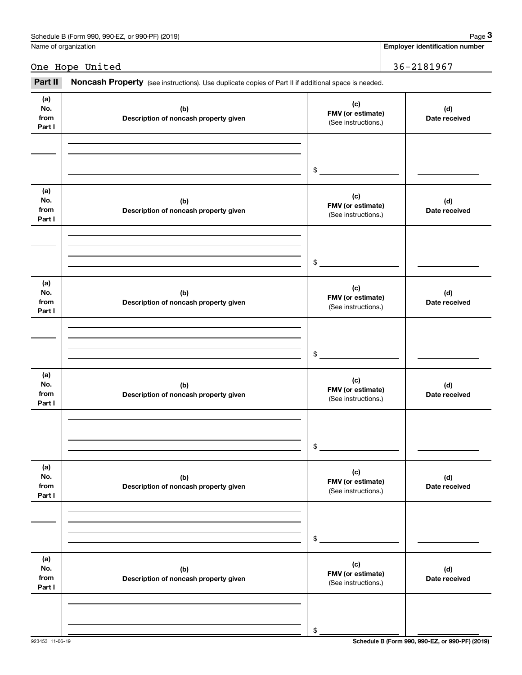| Schedule B (Form 990, 990-EZ, or 990-PF) (2019) | Page |
|-------------------------------------------------|------|
|                                                 |      |

Name of organization

**Employer identification number**

One Hope United 36-2181967

#### **(a) No.fromPart I (c) FMV (or estimate) (b) Description of noncash property given (d) Date received (a)No.from Part I (c) FMV (or estimate) (b) Description of noncash property given (d) Date received (a)No.fromPart I (c) FMV (or estimate) (b) Description of noncash property given (d) Date received (a) No.fromPart I (c) FMV (or estimate) (b)Description of noncash property given (d)Date received (a) No.fromPart I (c) FMV (or estimate) (b) Description of noncash property given (d) Date received (a) No.fromPart I (c) FMV (or estimate) (b)Description of noncash property given (d)Date received** (see instructions). Use duplicate copies of Part II if additional space is needed.<br> **2Part II Noncash Property** (see instructions). Use duplicate copies of Part II if additional space is needed. (See instructions.) \$(See instructions.) \$(See instructions.) \$(See instructions.) \$(See instructions.) \$(See instructions.) \$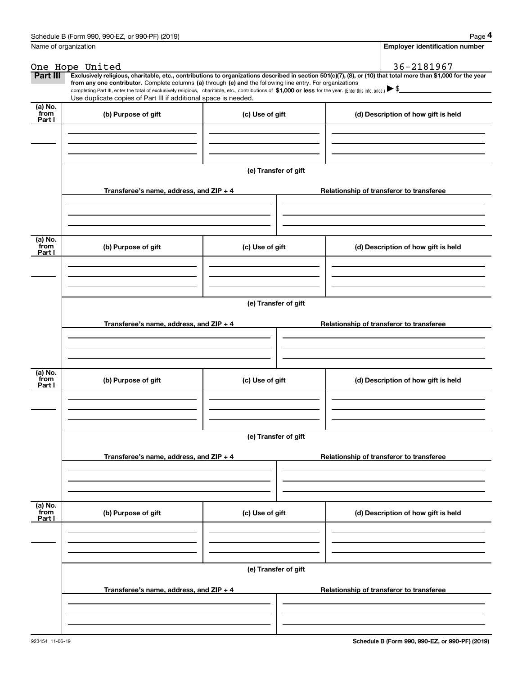|                 | Schedule B (Form 990, 990-EZ, or 990-PF) (2019)                                                                                                                                                                                                                                                 |                                          | Page 4                                                                                                                                                         |  |  |  |  |  |  |
|-----------------|-------------------------------------------------------------------------------------------------------------------------------------------------------------------------------------------------------------------------------------------------------------------------------------------------|------------------------------------------|----------------------------------------------------------------------------------------------------------------------------------------------------------------|--|--|--|--|--|--|
|                 | Name of organization                                                                                                                                                                                                                                                                            |                                          | <b>Employer identification number</b>                                                                                                                          |  |  |  |  |  |  |
|                 | One Hope United                                                                                                                                                                                                                                                                                 |                                          | 36-2181967                                                                                                                                                     |  |  |  |  |  |  |
| Part III        |                                                                                                                                                                                                                                                                                                 |                                          | Exclusively religious, charitable, etc., contributions to organizations described in section 501(c)(7), (8), or (10) that total more than \$1,000 for the year |  |  |  |  |  |  |
|                 | from any one contributor. Complete columns (a) through (e) and the following line entry. For organizations<br>completing Part III, enter the total of exclusively religious, charitable, etc., contributions of \$1,000 or less for the year. (Enter this info. once.) $\blacktriangleright$ \$ |                                          |                                                                                                                                                                |  |  |  |  |  |  |
|                 | Use duplicate copies of Part III if additional space is needed.                                                                                                                                                                                                                                 |                                          |                                                                                                                                                                |  |  |  |  |  |  |
| (a) No.<br>from | (b) Purpose of gift<br>(c) Use of gift                                                                                                                                                                                                                                                          |                                          | (d) Description of how gift is held                                                                                                                            |  |  |  |  |  |  |
| Part I          |                                                                                                                                                                                                                                                                                                 |                                          |                                                                                                                                                                |  |  |  |  |  |  |
|                 |                                                                                                                                                                                                                                                                                                 |                                          |                                                                                                                                                                |  |  |  |  |  |  |
|                 |                                                                                                                                                                                                                                                                                                 |                                          |                                                                                                                                                                |  |  |  |  |  |  |
|                 |                                                                                                                                                                                                                                                                                                 |                                          |                                                                                                                                                                |  |  |  |  |  |  |
|                 |                                                                                                                                                                                                                                                                                                 | (e) Transfer of gift                     |                                                                                                                                                                |  |  |  |  |  |  |
|                 | Transferee's name, address, and ZIP + 4                                                                                                                                                                                                                                                         |                                          | Relationship of transferor to transferee                                                                                                                       |  |  |  |  |  |  |
|                 |                                                                                                                                                                                                                                                                                                 |                                          |                                                                                                                                                                |  |  |  |  |  |  |
|                 |                                                                                                                                                                                                                                                                                                 |                                          |                                                                                                                                                                |  |  |  |  |  |  |
|                 |                                                                                                                                                                                                                                                                                                 |                                          |                                                                                                                                                                |  |  |  |  |  |  |
| (a) No.         |                                                                                                                                                                                                                                                                                                 |                                          |                                                                                                                                                                |  |  |  |  |  |  |
| from<br>Part I  | (b) Purpose of gift<br>(c) Use of gift                                                                                                                                                                                                                                                          |                                          | (d) Description of how gift is held                                                                                                                            |  |  |  |  |  |  |
|                 |                                                                                                                                                                                                                                                                                                 |                                          |                                                                                                                                                                |  |  |  |  |  |  |
|                 |                                                                                                                                                                                                                                                                                                 |                                          |                                                                                                                                                                |  |  |  |  |  |  |
|                 |                                                                                                                                                                                                                                                                                                 |                                          |                                                                                                                                                                |  |  |  |  |  |  |
|                 | (e) Transfer of gift                                                                                                                                                                                                                                                                            |                                          |                                                                                                                                                                |  |  |  |  |  |  |
|                 |                                                                                                                                                                                                                                                                                                 |                                          |                                                                                                                                                                |  |  |  |  |  |  |
|                 | Transferee's name, address, and ZIP + 4                                                                                                                                                                                                                                                         | Relationship of transferor to transferee |                                                                                                                                                                |  |  |  |  |  |  |
|                 |                                                                                                                                                                                                                                                                                                 |                                          |                                                                                                                                                                |  |  |  |  |  |  |
|                 |                                                                                                                                                                                                                                                                                                 |                                          |                                                                                                                                                                |  |  |  |  |  |  |
|                 |                                                                                                                                                                                                                                                                                                 |                                          |                                                                                                                                                                |  |  |  |  |  |  |
| (a) No.<br>from | (b) Purpose of gift                                                                                                                                                                                                                                                                             | (c) Use of gift                          | (d) Description of how gift is held                                                                                                                            |  |  |  |  |  |  |
| Part I          |                                                                                                                                                                                                                                                                                                 |                                          |                                                                                                                                                                |  |  |  |  |  |  |
|                 |                                                                                                                                                                                                                                                                                                 |                                          |                                                                                                                                                                |  |  |  |  |  |  |
|                 |                                                                                                                                                                                                                                                                                                 |                                          |                                                                                                                                                                |  |  |  |  |  |  |
|                 |                                                                                                                                                                                                                                                                                                 |                                          |                                                                                                                                                                |  |  |  |  |  |  |
|                 |                                                                                                                                                                                                                                                                                                 | (e) Transfer of gift                     |                                                                                                                                                                |  |  |  |  |  |  |
|                 | Transferee's name, address, and ZIP + 4                                                                                                                                                                                                                                                         |                                          | Relationship of transferor to transferee                                                                                                                       |  |  |  |  |  |  |
|                 |                                                                                                                                                                                                                                                                                                 |                                          |                                                                                                                                                                |  |  |  |  |  |  |
|                 |                                                                                                                                                                                                                                                                                                 |                                          |                                                                                                                                                                |  |  |  |  |  |  |
|                 |                                                                                                                                                                                                                                                                                                 |                                          |                                                                                                                                                                |  |  |  |  |  |  |
| (a) No.<br>from |                                                                                                                                                                                                                                                                                                 |                                          |                                                                                                                                                                |  |  |  |  |  |  |
| Part I          | (b) Purpose of gift                                                                                                                                                                                                                                                                             | (c) Use of gift                          | (d) Description of how gift is held                                                                                                                            |  |  |  |  |  |  |
|                 |                                                                                                                                                                                                                                                                                                 |                                          |                                                                                                                                                                |  |  |  |  |  |  |
|                 |                                                                                                                                                                                                                                                                                                 |                                          |                                                                                                                                                                |  |  |  |  |  |  |
|                 |                                                                                                                                                                                                                                                                                                 |                                          |                                                                                                                                                                |  |  |  |  |  |  |
|                 | (e) Transfer of gift                                                                                                                                                                                                                                                                            |                                          |                                                                                                                                                                |  |  |  |  |  |  |
|                 |                                                                                                                                                                                                                                                                                                 |                                          |                                                                                                                                                                |  |  |  |  |  |  |
|                 | Transferee's name, address, and ZIP + 4                                                                                                                                                                                                                                                         |                                          | Relationship of transferor to transferee                                                                                                                       |  |  |  |  |  |  |
|                 |                                                                                                                                                                                                                                                                                                 |                                          |                                                                                                                                                                |  |  |  |  |  |  |
|                 |                                                                                                                                                                                                                                                                                                 |                                          |                                                                                                                                                                |  |  |  |  |  |  |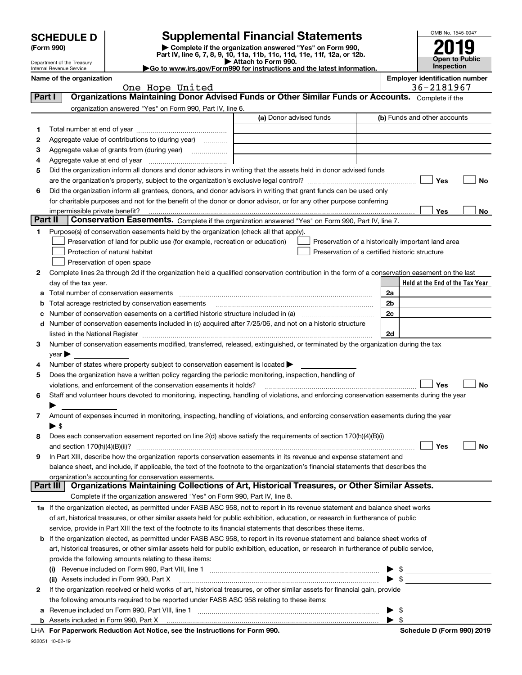| <b>SCHEDULE D</b> |  |
|-------------------|--|
|-------------------|--|

932051 10-02-19

## **SCHEDULE D Supplemental Financial Statements**

**(Form 990)** (**Form 990,**<br>Part IV, line 6, 7, 8, 9, 10, 11a, 11b, 11c, 11d, 11e, 11f, 12a, or 12b.<br>Department of the Treasury **and Exercise Connect Connect Connect Connect Connect Connect Connect Connect Connect** 

| OMB No. 1545-0047     |  |  |  |
|-----------------------|--|--|--|
|                       |  |  |  |
| 2019                  |  |  |  |
| <b>Open to Public</b> |  |  |  |
| Inspection            |  |  |  |

Department of the Treasury Internal Revenue Service

| Attach to Form 990.                                                                          |  |  |  |  |  |  |
|----------------------------------------------------------------------------------------------|--|--|--|--|--|--|
| $\blacktriangleright$ Go to www.irs.gov/Form990 for instructions and the latest information. |  |  |  |  |  |  |

|          | Name of the organization                                                                                                                       |                         |                                                | <b>Employer identification number</b>              |
|----------|------------------------------------------------------------------------------------------------------------------------------------------------|-------------------------|------------------------------------------------|----------------------------------------------------|
| Part I   | One Hope United<br>Organizations Maintaining Donor Advised Funds or Other Similar Funds or Accounts. Complete if the                           |                         |                                                | 36-2181967                                         |
|          |                                                                                                                                                |                         |                                                |                                                    |
|          | organization answered "Yes" on Form 990, Part IV, line 6.                                                                                      |                         |                                                |                                                    |
|          |                                                                                                                                                | (a) Donor advised funds |                                                | (b) Funds and other accounts                       |
| 1.       |                                                                                                                                                |                         |                                                |                                                    |
| 2        | Aggregate value of contributions to (during year)                                                                                              |                         |                                                |                                                    |
| з        |                                                                                                                                                |                         |                                                |                                                    |
| 4        |                                                                                                                                                |                         |                                                |                                                    |
| 5        | Did the organization inform all donors and donor advisors in writing that the assets held in donor advised funds                               |                         |                                                |                                                    |
|          |                                                                                                                                                |                         |                                                | Yes<br>No                                          |
| 6        | Did the organization inform all grantees, donors, and donor advisors in writing that grant funds can be used only                              |                         |                                                |                                                    |
|          | for charitable purposes and not for the benefit of the donor or donor advisor, or for any other purpose conferring                             |                         |                                                |                                                    |
| Part II  | Conservation Easements. Complete if the organization answered "Yes" on Form 990, Part IV, line 7.                                              |                         |                                                | Yes<br>No                                          |
|          |                                                                                                                                                |                         |                                                |                                                    |
| 1.       | Purpose(s) of conservation easements held by the organization (check all that apply).                                                          |                         |                                                |                                                    |
|          | Preservation of land for public use (for example, recreation or education)<br>Protection of natural habitat                                    |                         | Preservation of a certified historic structure | Preservation of a historically important land area |
|          | Preservation of open space                                                                                                                     |                         |                                                |                                                    |
| 2        | Complete lines 2a through 2d if the organization held a qualified conservation contribution in the form of a conservation easement on the last |                         |                                                |                                                    |
|          | day of the tax year.                                                                                                                           |                         |                                                | Held at the End of the Tax Year                    |
| а        | Total number of conservation easements                                                                                                         |                         |                                                | 2a                                                 |
| b        | Total acreage restricted by conservation easements                                                                                             |                         |                                                | 2b                                                 |
|          |                                                                                                                                                |                         |                                                | 2c                                                 |
|          | d Number of conservation easements included in (c) acquired after 7/25/06, and not on a historic structure                                     |                         |                                                |                                                    |
|          |                                                                                                                                                |                         |                                                | 2d                                                 |
| 3        | Number of conservation easements modified, transferred, released, extinguished, or terminated by the organization during the tax               |                         |                                                |                                                    |
|          | $\vee$ ear $\blacktriangleright$                                                                                                               |                         |                                                |                                                    |
| 4        | Number of states where property subject to conservation easement is located >                                                                  |                         |                                                |                                                    |
| 5        | Does the organization have a written policy regarding the periodic monitoring, inspection, handling of                                         |                         |                                                |                                                    |
|          | violations, and enforcement of the conservation easements it holds?                                                                            |                         |                                                | Yes<br>No                                          |
| 6        | Staff and volunteer hours devoted to monitoring, inspecting, handling of violations, and enforcing conservation easements during the year      |                         |                                                |                                                    |
|          |                                                                                                                                                |                         |                                                |                                                    |
| 7        | Amount of expenses incurred in monitoring, inspecting, handling of violations, and enforcing conservation easements during the year            |                         |                                                |                                                    |
|          | $\blacktriangleright$ S                                                                                                                        |                         |                                                |                                                    |
| 8        | Does each conservation easement reported on line 2(d) above satisfy the requirements of section 170(h)(4)(B)(i)                                |                         |                                                |                                                    |
|          |                                                                                                                                                |                         |                                                | Yes<br>No                                          |
|          | In Part XIII, describe how the organization reports conservation easements in its revenue and expense statement and                            |                         |                                                |                                                    |
|          | balance sheet, and include, if applicable, the text of the footnote to the organization's financial statements that describes the              |                         |                                                |                                                    |
|          | organization's accounting for conservation easements.                                                                                          |                         |                                                |                                                    |
| Part III | Organizations Maintaining Collections of Art, Historical Treasures, or Other Similar Assets.                                                   |                         |                                                |                                                    |
|          | Complete if the organization answered "Yes" on Form 990, Part IV, line 8.                                                                      |                         |                                                |                                                    |
|          | 1a If the organization elected, as permitted under FASB ASC 958, not to report in its revenue statement and balance sheet works                |                         |                                                |                                                    |
|          | of art, historical treasures, or other similar assets held for public exhibition, education, or research in furtherance of public              |                         |                                                |                                                    |
|          | service, provide in Part XIII the text of the footnote to its financial statements that describes these items.                                 |                         |                                                |                                                    |
|          | <b>b</b> If the organization elected, as permitted under FASB ASC 958, to report in its revenue statement and balance sheet works of           |                         |                                                |                                                    |
|          | art, historical treasures, or other similar assets held for public exhibition, education, or research in furtherance of public service,        |                         |                                                |                                                    |
|          | provide the following amounts relating to these items:                                                                                         |                         |                                                |                                                    |
|          | (i)                                                                                                                                            |                         |                                                |                                                    |
|          | (ii) Assets included in Form 990, Part X                                                                                                       |                         |                                                | $\triangleright$ \$                                |
| 2        | If the organization received or held works of art, historical treasures, or other similar assets for financial gain, provide                   |                         |                                                |                                                    |
|          | the following amounts required to be reported under FASB ASC 958 relating to these items:                                                      |                         |                                                |                                                    |
| а        |                                                                                                                                                |                         |                                                | \$                                                 |
|          | LHA For Paperwork Reduction Act Notice, see the Instructions for Form 990.                                                                     |                         |                                                | Schedule D (Form 990) 2019                         |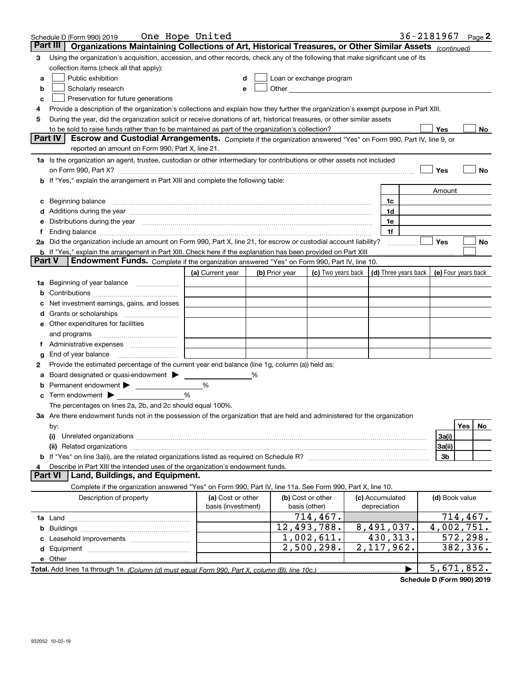|               | Schedule D (Form 990) 2019                                                                                                                                                                                                     | One Hope United    |   |                |                                                                                                                                                                                                                               |                          | 36-2181967 |                |          | Page $2$ |
|---------------|--------------------------------------------------------------------------------------------------------------------------------------------------------------------------------------------------------------------------------|--------------------|---|----------------|-------------------------------------------------------------------------------------------------------------------------------------------------------------------------------------------------------------------------------|--------------------------|------------|----------------|----------|----------|
|               | Part III<br>Organizations Maintaining Collections of Art, Historical Treasures, or Other Similar Assets (continued)                                                                                                            |                    |   |                |                                                                                                                                                                                                                               |                          |            |                |          |          |
| 3             | Using the organization's acquisition, accession, and other records, check any of the following that make significant use of its                                                                                                |                    |   |                |                                                                                                                                                                                                                               |                          |            |                |          |          |
|               | collection items (check all that apply):                                                                                                                                                                                       |                    |   |                |                                                                                                                                                                                                                               |                          |            |                |          |          |
| a             | Public exhibition                                                                                                                                                                                                              |                    | d |                | Loan or exchange program                                                                                                                                                                                                      |                          |            |                |          |          |
| b             | Scholarly research                                                                                                                                                                                                             | е                  |   |                | Other and the contract of the contract of the contract of the contract of the contract of the contract of the contract of the contract of the contract of the contract of the contract of the contract of the contract of the |                          |            |                |          |          |
| c             | Preservation for future generations                                                                                                                                                                                            |                    |   |                |                                                                                                                                                                                                                               |                          |            |                |          |          |
| 4             | Provide a description of the organization's collections and explain how they further the organization's exempt purpose in Part XIII.                                                                                           |                    |   |                |                                                                                                                                                                                                                               |                          |            |                |          |          |
| 5             | During the year, did the organization solicit or receive donations of art, historical treasures, or other similar assets                                                                                                       |                    |   |                |                                                                                                                                                                                                                               |                          |            |                |          |          |
|               | to be sold to raise funds rather than to be maintained as part of the organization's collection?                                                                                                                               |                    |   |                |                                                                                                                                                                                                                               |                          |            | Yes            |          | No       |
|               | <b>Part IV</b><br>Escrow and Custodial Arrangements. Complete if the organization answered "Yes" on Form 990, Part IV, line 9, or                                                                                              |                    |   |                |                                                                                                                                                                                                                               |                          |            |                |          |          |
|               | reported an amount on Form 990, Part X, line 21.                                                                                                                                                                               |                    |   |                |                                                                                                                                                                                                                               |                          |            |                |          |          |
|               | 1a Is the organization an agent, trustee, custodian or other intermediary for contributions or other assets not included                                                                                                       |                    |   |                |                                                                                                                                                                                                                               |                          |            |                |          |          |
|               | on Form 990, Part X? [11] matter contracts and contracts and contracts are contracted as a function of the set of the set of the set of the set of the set of the set of the set of the set of the set of the set of the set o |                    |   |                |                                                                                                                                                                                                                               |                          |            | Yes            |          | No       |
|               | b If "Yes," explain the arrangement in Part XIII and complete the following table:                                                                                                                                             |                    |   |                |                                                                                                                                                                                                                               |                          |            |                |          |          |
|               |                                                                                                                                                                                                                                |                    |   |                |                                                                                                                                                                                                                               |                          |            | Amount         |          |          |
| c             | Beginning balance                                                                                                                                                                                                              |                    |   |                |                                                                                                                                                                                                                               | 1c                       |            |                |          |          |
|               | Additions during the year manufactured and an account of the year manufactured and account of the year manufactured and account of the year manufactured and account of the year manufactured and account of the year manufact |                    |   |                |                                                                                                                                                                                                                               | 1d                       |            |                |          |          |
| е             | Distributions during the year measurement contains and all the state of the state of the state of the state of                                                                                                                 |                    |   |                |                                                                                                                                                                                                                               | 1e                       |            |                |          |          |
|               | Ending balance manufactured and the contract of the contract of the contract of the contract of the contract of the contract of the contract of the contract of the contract of the contract of the contract of the contract o |                    |   |                |                                                                                                                                                                                                                               | 1f                       |            |                |          |          |
|               | 2a Did the organization include an amount on Form 990, Part X, line 21, for escrow or custodial account liability?                                                                                                             |                    |   |                |                                                                                                                                                                                                                               |                          |            | Yes            |          | No       |
| <b>Part V</b> | b If "Yes," explain the arrangement in Part XIII. Check here if the explanation has been provided on Part XIII<br>Endowment Funds. Complete if the organization answered "Yes" on Form 990, Part IV, line 10.                  |                    |   |                |                                                                                                                                                                                                                               |                          |            |                |          |          |
|               |                                                                                                                                                                                                                                | (a) Current year   |   |                | (c) Two years back $\vert$ (d) Three years back $\vert$ (e) Four years back                                                                                                                                                   |                          |            |                |          |          |
|               | Beginning of year balance                                                                                                                                                                                                      |                    |   | (b) Prior year |                                                                                                                                                                                                                               |                          |            |                |          |          |
| 1a            |                                                                                                                                                                                                                                |                    |   |                |                                                                                                                                                                                                                               |                          |            |                |          |          |
|               | Net investment earnings, gains, and losses                                                                                                                                                                                     |                    |   |                |                                                                                                                                                                                                                               |                          |            |                |          |          |
|               |                                                                                                                                                                                                                                |                    |   |                |                                                                                                                                                                                                                               |                          |            |                |          |          |
| е             | Other expenditures for facilities                                                                                                                                                                                              |                    |   |                |                                                                                                                                                                                                                               |                          |            |                |          |          |
|               | and programs                                                                                                                                                                                                                   |                    |   |                |                                                                                                                                                                                                                               |                          |            |                |          |          |
|               |                                                                                                                                                                                                                                |                    |   |                |                                                                                                                                                                                                                               |                          |            |                |          |          |
| g             | End of year balance                                                                                                                                                                                                            |                    |   |                |                                                                                                                                                                                                                               |                          |            |                |          |          |
| 2             | Provide the estimated percentage of the current year end balance (line 1g, column (a)) held as:                                                                                                                                |                    |   |                |                                                                                                                                                                                                                               |                          |            |                |          |          |
|               | Board designated or quasi-endowment > _____                                                                                                                                                                                    |                    |   |                |                                                                                                                                                                                                                               |                          |            |                |          |          |
| b             |                                                                                                                                                                                                                                | %                  |   |                |                                                                                                                                                                                                                               |                          |            |                |          |          |
| c             | Term endowment $\blacktriangleright$                                                                                                                                                                                           | %                  |   |                |                                                                                                                                                                                                                               |                          |            |                |          |          |
|               | The percentages on lines 2a, 2b, and 2c should equal 100%.                                                                                                                                                                     |                    |   |                |                                                                                                                                                                                                                               |                          |            |                |          |          |
|               | 3a Are there endowment funds not in the possession of the organization that are held and administered for the organization                                                                                                     |                    |   |                |                                                                                                                                                                                                                               |                          |            |                |          |          |
|               | by:                                                                                                                                                                                                                            |                    |   |                |                                                                                                                                                                                                                               |                          |            |                | Yes      | No       |
|               | (i)                                                                                                                                                                                                                            |                    |   |                |                                                                                                                                                                                                                               |                          |            | 3a(i)          |          |          |
|               |                                                                                                                                                                                                                                |                    |   |                |                                                                                                                                                                                                                               |                          |            | 3a(ii)         |          |          |
|               |                                                                                                                                                                                                                                |                    |   |                |                                                                                                                                                                                                                               |                          |            | 3b             |          |          |
| 4             | Describe in Part XIII the intended uses of the organization's endowment funds.                                                                                                                                                 |                    |   |                |                                                                                                                                                                                                                               |                          |            |                |          |          |
|               | Land, Buildings, and Equipment.<br><b>Part VI</b>                                                                                                                                                                              |                    |   |                |                                                                                                                                                                                                                               |                          |            |                |          |          |
|               | Complete if the organization answered "Yes" on Form 990, Part IV, line 11a. See Form 990, Part X, line 10.                                                                                                                     |                    |   |                |                                                                                                                                                                                                                               |                          |            |                |          |          |
|               | Description of property                                                                                                                                                                                                        | (a) Cost or other  |   |                | (b) Cost or other                                                                                                                                                                                                             | (c) Accumulated          |            | (d) Book value |          |          |
|               |                                                                                                                                                                                                                                | basis (investment) |   |                | basis (other)                                                                                                                                                                                                                 | depreciation             |            |                |          |          |
|               |                                                                                                                                                                                                                                |                    |   |                | 714,467.                                                                                                                                                                                                                      |                          |            |                | 714,467. |          |
|               |                                                                                                                                                                                                                                |                    |   |                | 12,493,788.                                                                                                                                                                                                                   | 8,491,037.               |            | 4,002,751.     |          |          |
|               |                                                                                                                                                                                                                                |                    |   |                | 1,002,611.                                                                                                                                                                                                                    | 430,313.                 |            |                | 572,298. |          |
|               |                                                                                                                                                                                                                                |                    |   |                | 2,500,298.                                                                                                                                                                                                                    | $\overline{2,117,962}$ . |            |                | 382,336. |          |
|               | e Other.                                                                                                                                                                                                                       |                    |   |                |                                                                                                                                                                                                                               |                          |            |                |          |          |
|               |                                                                                                                                                                                                                                |                    |   |                |                                                                                                                                                                                                                               |                          | ▶          | 5,671,852.     |          |          |

**Schedule D (Form 990) 2019**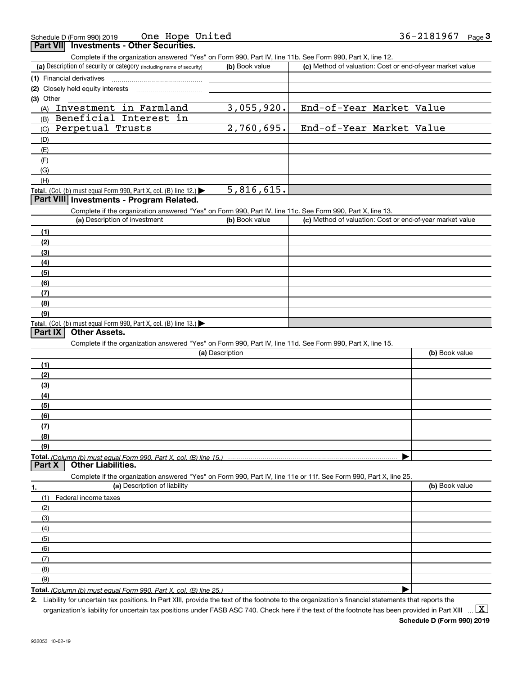| Schedule D (Form 990) 2019                      | One Hope United | 36-2181967 | Page |
|-------------------------------------------------|-----------------|------------|------|
| <b>Part VII</b> Investments - Other Securities. |                 |            |      |

| rant vill<br><b>INVESUPENTS - Other Securities.</b><br>Complete if the organization answered "Yes" on Form 990, Part IV, line 11b. See Form 990, Part X, line 12. |                 |                                                           |                |
|-------------------------------------------------------------------------------------------------------------------------------------------------------------------|-----------------|-----------------------------------------------------------|----------------|
| (a) Description of security or category (including name of security)                                                                                              | (b) Book value  | (c) Method of valuation: Cost or end-of-year market value |                |
| (1) Financial derivatives                                                                                                                                         |                 |                                                           |                |
| (2) Closely held equity interests                                                                                                                                 |                 |                                                           |                |
| (3) Other                                                                                                                                                         |                 |                                                           |                |
| Investment in Farmland<br>(A)                                                                                                                                     | 3,055,920.      | End-of-Year Market Value                                  |                |
| Beneficial Interest in<br>(B)                                                                                                                                     |                 |                                                           |                |
| Perpetual Trusts<br>(C)                                                                                                                                           | 2,760,695.      | End-of-Year Market Value                                  |                |
| (D)                                                                                                                                                               |                 |                                                           |                |
| (E)                                                                                                                                                               |                 |                                                           |                |
| (F)                                                                                                                                                               |                 |                                                           |                |
| (G)                                                                                                                                                               |                 |                                                           |                |
| (H)                                                                                                                                                               |                 |                                                           |                |
| Total. (Col. (b) must equal Form 990, Part X, col. (B) line 12.)                                                                                                  | 5,816,615.      |                                                           |                |
| Part VIII Investments - Program Related.                                                                                                                          |                 |                                                           |                |
| Complete if the organization answered "Yes" on Form 990, Part IV, line 11c. See Form 990, Part X, line 13.                                                        |                 |                                                           |                |
| (a) Description of investment                                                                                                                                     | (b) Book value  | (c) Method of valuation: Cost or end-of-year market value |                |
| (1)                                                                                                                                                               |                 |                                                           |                |
| (2)                                                                                                                                                               |                 |                                                           |                |
| (3)                                                                                                                                                               |                 |                                                           |                |
| (4)                                                                                                                                                               |                 |                                                           |                |
| (5)                                                                                                                                                               |                 |                                                           |                |
| (6)                                                                                                                                                               |                 |                                                           |                |
| (7)                                                                                                                                                               |                 |                                                           |                |
| (8)                                                                                                                                                               |                 |                                                           |                |
| (9)                                                                                                                                                               |                 |                                                           |                |
| Total. (Col. (b) must equal Form 990, Part X, col. (B) line 13.)                                                                                                  |                 |                                                           |                |
| Part IX<br><b>Other Assets.</b>                                                                                                                                   |                 |                                                           |                |
| Complete if the organization answered "Yes" on Form 990, Part IV, line 11d. See Form 990, Part X, line 15.                                                        |                 |                                                           |                |
|                                                                                                                                                                   | (a) Description |                                                           | (b) Book value |
| (1)                                                                                                                                                               |                 |                                                           |                |
| (2)                                                                                                                                                               |                 |                                                           |                |
| (3)                                                                                                                                                               |                 |                                                           |                |
| (4)                                                                                                                                                               |                 |                                                           |                |
| (5)                                                                                                                                                               |                 |                                                           |                |
| (6)                                                                                                                                                               |                 |                                                           |                |
| (7)                                                                                                                                                               |                 |                                                           |                |
| (8)                                                                                                                                                               |                 |                                                           |                |
| (9)                                                                                                                                                               |                 |                                                           |                |
| Total. (Column (b) must equal Form 990. Part X. col. (B) line 15.)<br><b>Other Liabilities.</b><br>Part X                                                         |                 |                                                           |                |
|                                                                                                                                                                   |                 |                                                           |                |
| Complete if the organization answered "Yes" on Form 990, Part IV, line 11e or 11f. See Form 990, Part X, line 25.<br>(a) Description of liability                 |                 |                                                           | (b) Book value |
| 1.                                                                                                                                                                |                 |                                                           |                |
| (1)<br>Federal income taxes                                                                                                                                       |                 |                                                           |                |
| (2)                                                                                                                                                               |                 |                                                           |                |
| (3)                                                                                                                                                               |                 |                                                           |                |
| (4)                                                                                                                                                               |                 |                                                           |                |
| (5)                                                                                                                                                               |                 |                                                           |                |
| (6)                                                                                                                                                               |                 |                                                           |                |
| (7)                                                                                                                                                               |                 |                                                           |                |
| (8)<br>(9)                                                                                                                                                        |                 |                                                           |                |
|                                                                                                                                                                   |                 |                                                           |                |
| Total. (Column (b) must equal Form 990, Part X, col. (B) line 25.)                                                                                                |                 |                                                           |                |

**Total.**  *(Column (b) must equal Form 990, Part X, col. (B) line 25.)*

**2.** Liability for uncertain tax positions. In Part XIII, provide the text of the footnote to the organization's financial statements that reports the

organization's liability for uncertain tax positions under FASB ASC 740. Check here if the text of the footnote has been provided in Part XIII  $\vert$  X  $\vert$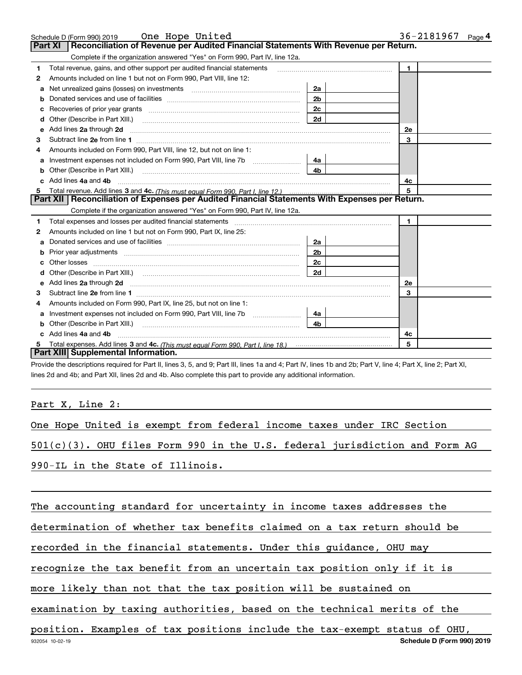|    | Schedule D (Form 990) 2019    Qne Hope United                                                                                                                                                                                        |                | 36-2181967<br>Page <sup>4</sup> |
|----|--------------------------------------------------------------------------------------------------------------------------------------------------------------------------------------------------------------------------------------|----------------|---------------------------------|
|    | Reconciliation of Revenue per Audited Financial Statements With Revenue per Return.<br><b>Part XI</b>                                                                                                                                |                |                                 |
|    | Complete if the organization answered "Yes" on Form 990, Part IV, line 12a.                                                                                                                                                          |                |                                 |
| 1  | Total revenue, gains, and other support per audited financial statements                                                                                                                                                             |                | $\mathbf{1}$                    |
| 2  | Amounts included on line 1 but not on Form 990, Part VIII, line 12:                                                                                                                                                                  |                |                                 |
| а  | Net unrealized gains (losses) on investments [11] matter contracts and the unrealized gains (losses) on investments                                                                                                                  | 2a             |                                 |
|    |                                                                                                                                                                                                                                      | 2 <sub>b</sub> |                                 |
| с  | Recoveries of prior year grants [11,111] [11] Recoveries of prior year grants [11] [11] [12] [12] [12] [12] [1                                                                                                                       | 2c             |                                 |
| d  | Other (Describe in Part XIII.) <b>2006</b> 2007 2010 2010 2010 2010 2011 2012 2013 2014 2015 2016 2017 2018 2019 2016 2016 2017 2018 2019 2016 2017 2018 2019 2016 2017 2018 2019 2018 2019 2016 2017 2018 2019 2018 2019 2018 2019  | 2d             |                                 |
| е  | Add lines 2a through 2d                                                                                                                                                                                                              |                | <b>2e</b>                       |
| 3  |                                                                                                                                                                                                                                      |                | 3                               |
| 4  | Amounts included on Form 990. Part VIII, line 12, but not on line 1:                                                                                                                                                                 |                |                                 |
| а  |                                                                                                                                                                                                                                      | 4a             |                                 |
| b  | Other (Describe in Part XIII.) <b>Construction Construction</b> Chern Construction Chern Chern Chern Chern Chern Chern                                                                                                               | 4 <sub>b</sub> |                                 |
| C. | Add lines 4a and 4b                                                                                                                                                                                                                  |                | 4с                              |
| 5  |                                                                                                                                                                                                                                      |                | 5                               |
|    | Part XII   Reconciliation of Expenses per Audited Financial Statements With Expenses per Return.                                                                                                                                     |                |                                 |
|    | Complete if the organization answered "Yes" on Form 990, Part IV, line 12a.                                                                                                                                                          |                |                                 |
| 1  | Total expenses and losses per audited financial statements [11] [12] manuscription control expenses and losses per audited financial statements [11] [12] manuscription of the statements [12] manuscription of the statements       |                | $\mathbf{1}$                    |
| 2  | Amounts included on line 1 but not on Form 990, Part IX, line 25:                                                                                                                                                                    |                |                                 |
| a  |                                                                                                                                                                                                                                      | 2a             |                                 |
| b  |                                                                                                                                                                                                                                      | 2 <sub>b</sub> |                                 |
| c  |                                                                                                                                                                                                                                      | 2c             |                                 |
|    |                                                                                                                                                                                                                                      | 2d             |                                 |
| е  | Add lines 2a through 2d <b>continuum contract and all contract and all contract and all contract and all contract and all contract and all contract and all contract and all contract and all contract and all contract and all </b> |                | 2e                              |
| 3  |                                                                                                                                                                                                                                      |                | 3                               |
| 4  | Amounts included on Form 990, Part IX, line 25, but not on line 1:                                                                                                                                                                   |                |                                 |
| а  | Investment expenses not included on Form 990, Part VIII, line 7b [1000000000000000000000000000000000                                                                                                                                 | 4a             |                                 |
|    |                                                                                                                                                                                                                                      | 4b             |                                 |
|    | Add lines 4a and 4b                                                                                                                                                                                                                  |                | 4c                              |
|    |                                                                                                                                                                                                                                      |                | 5                               |
|    | Part XIII Supplemental Information.                                                                                                                                                                                                  |                |                                 |

Provide the descriptions required for Part II, lines 3, 5, and 9; Part III, lines 1a and 4; Part IV, lines 1b and 2b; Part V, line 4; Part X, line 2; Part XI, lines 2d and 4b; and Part XII, lines 2d and 4b. Also complete this part to provide any additional information.

## Part X, Line 2:

|  |                                  |  |  |  |  | One Hope United is exempt from federal income taxes under IRC Section         |  |  |
|--|----------------------------------|--|--|--|--|-------------------------------------------------------------------------------|--|--|
|  |                                  |  |  |  |  | $501(c)(3)$ . OHU files Form 990 in the U.S. federal jurisdiction and Form AG |  |  |
|  | 990-IL in the State of Illinois. |  |  |  |  |                                                                               |  |  |

The accounting standard for uncertainty in income taxes addresses the determination of whether tax benefits claimed on a tax return should be recorded in the financial statements. Under this guidance, OHU may recognize the tax benefit from an uncertain tax position only if it is more likely than not that the tax position will be sustained on examination by taxing authorities, based on the technical merits of the position. Examples of tax positions include the tax-exempt status of OHU,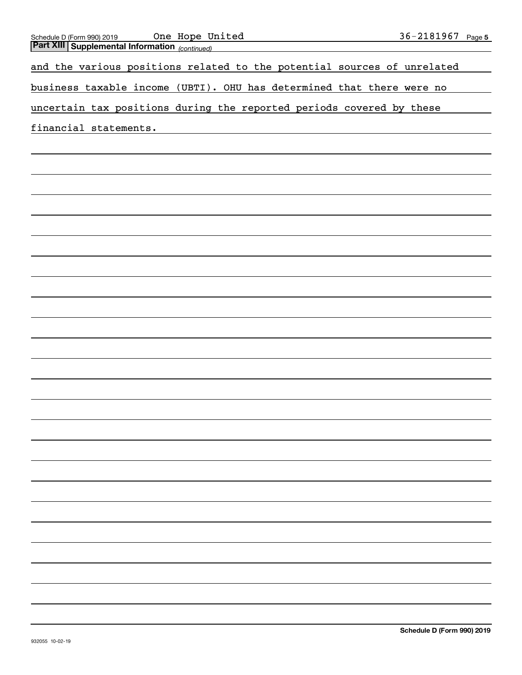| One Hope United<br>Schedule D (Form 990) 2019                           | <u>36-2181967 Page 5</u> |
|-------------------------------------------------------------------------|--------------------------|
| <b>Part XIII Supplemental Information</b> (continued)                   |                          |
|                                                                         |                          |
| and the various positions related to the potential sources of unrelated |                          |
|                                                                         |                          |
|                                                                         |                          |
| business taxable income (UBTI). OHU has determined that there were no   |                          |
|                                                                         |                          |
| uncertain tax positions during the reported periods covered by these    |                          |
|                                                                         |                          |
| financial statements.                                                   |                          |
|                                                                         |                          |
|                                                                         |                          |
|                                                                         |                          |
|                                                                         |                          |
|                                                                         |                          |
|                                                                         |                          |
|                                                                         |                          |
|                                                                         |                          |
|                                                                         |                          |
|                                                                         |                          |
|                                                                         |                          |
|                                                                         |                          |
|                                                                         |                          |
|                                                                         |                          |
|                                                                         |                          |
|                                                                         |                          |
|                                                                         |                          |
|                                                                         |                          |
|                                                                         |                          |
|                                                                         |                          |
|                                                                         |                          |
|                                                                         |                          |
|                                                                         |                          |
|                                                                         |                          |
|                                                                         |                          |
|                                                                         |                          |
|                                                                         |                          |
|                                                                         |                          |
|                                                                         |                          |
|                                                                         |                          |
|                                                                         |                          |
|                                                                         |                          |
|                                                                         |                          |
|                                                                         |                          |
|                                                                         |                          |
|                                                                         |                          |
|                                                                         |                          |
|                                                                         |                          |
|                                                                         |                          |
|                                                                         |                          |
|                                                                         |                          |
|                                                                         |                          |
|                                                                         |                          |
|                                                                         |                          |
|                                                                         |                          |
|                                                                         |                          |
|                                                                         |                          |
|                                                                         |                          |
|                                                                         |                          |
|                                                                         |                          |
|                                                                         |                          |
|                                                                         |                          |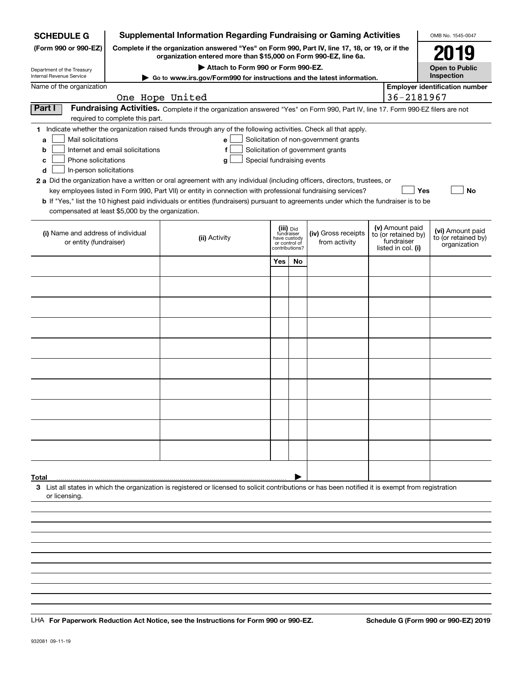| <b>SCHEDULE G</b>                                    |                                                                                                                                                                     | <b>Supplemental Information Regarding Fundraising or Gaming Activities</b>                                                                                                                                                                                  |     |                                         |                                                                            |                                  |                     | OMB No. 1545-0047                       |    |
|------------------------------------------------------|---------------------------------------------------------------------------------------------------------------------------------------------------------------------|-------------------------------------------------------------------------------------------------------------------------------------------------------------------------------------------------------------------------------------------------------------|-----|-----------------------------------------|----------------------------------------------------------------------------|----------------------------------|---------------------|-----------------------------------------|----|
| (Form 990 or 990-EZ)                                 | Complete if the organization answered "Yes" on Form 990, Part IV, line 17, 18, or 19, or if the<br>organization entered more than \$15,000 on Form 990-EZ, line 6a. |                                                                                                                                                                                                                                                             |     |                                         |                                                                            |                                  |                     |                                         |    |
| Department of the Treasury                           |                                                                                                                                                                     | Attach to Form 990 or Form 990-EZ.                                                                                                                                                                                                                          |     |                                         |                                                                            |                                  |                     | <b>Open to Public</b><br>Inspection     |    |
| Internal Revenue Service<br>Name of the organization |                                                                                                                                                                     | Go to www.irs.gov/Form990 for instructions and the latest information.                                                                                                                                                                                      |     |                                         |                                                                            |                                  |                     | <b>Employer identification number</b>   |    |
|                                                      |                                                                                                                                                                     | One Hope United                                                                                                                                                                                                                                             |     |                                         |                                                                            |                                  | 36-2181967          |                                         |    |
| Part I                                               |                                                                                                                                                                     | Fundraising Activities. Complete if the organization answered "Yes" on Form 990, Part IV, line 17. Form 990-EZ filers are not                                                                                                                               |     |                                         |                                                                            |                                  |                     |                                         |    |
|                                                      | required to complete this part.                                                                                                                                     |                                                                                                                                                                                                                                                             |     |                                         |                                                                            |                                  |                     |                                         |    |
|                                                      |                                                                                                                                                                     | 1 Indicate whether the organization raised funds through any of the following activities. Check all that apply.                                                                                                                                             |     |                                         |                                                                            |                                  |                     |                                         |    |
| Mail solicitations<br>a<br>b                         | Internet and email solicitations                                                                                                                                    | е<br>f                                                                                                                                                                                                                                                      |     |                                         | Solicitation of non-government grants<br>Solicitation of government grants |                                  |                     |                                         |    |
| Phone solicitations<br>c                             |                                                                                                                                                                     | Special fundraising events<br>g                                                                                                                                                                                                                             |     |                                         |                                                                            |                                  |                     |                                         |    |
| In-person solicitations<br>d                         |                                                                                                                                                                     |                                                                                                                                                                                                                                                             |     |                                         |                                                                            |                                  |                     |                                         |    |
|                                                      |                                                                                                                                                                     | 2 a Did the organization have a written or oral agreement with any individual (including officers, directors, trustees, or                                                                                                                                  |     |                                         |                                                                            |                                  |                     |                                         |    |
|                                                      |                                                                                                                                                                     | key employees listed in Form 990, Part VII) or entity in connection with professional fundraising services?<br><b>b</b> If "Yes," list the 10 highest paid individuals or entities (fundraisers) pursuant to agreements under which the fundraiser is to be |     |                                         |                                                                            |                                  |                     | Yes                                     | No |
| compensated at least \$5,000 by the organization.    |                                                                                                                                                                     |                                                                                                                                                                                                                                                             |     |                                         |                                                                            |                                  |                     |                                         |    |
|                                                      |                                                                                                                                                                     |                                                                                                                                                                                                                                                             |     |                                         |                                                                            |                                  | (v) Amount paid     |                                         |    |
| (i) Name and address of individual                   |                                                                                                                                                                     | (ii) Activity                                                                                                                                                                                                                                               |     | (iii) Did<br>fundraiser<br>have custody | (iv) Gross receipts                                                        |                                  | to (or retained by) | (vi) Amount paid<br>to (or retained by) |    |
| or entity (fundraiser)                               |                                                                                                                                                                     |                                                                                                                                                                                                                                                             |     | or control of<br>contributions?         | from activity                                                              | fundraiser<br>listed in col. (i) |                     | organization                            |    |
|                                                      |                                                                                                                                                                     |                                                                                                                                                                                                                                                             | Yes | No                                      |                                                                            |                                  |                     |                                         |    |
|                                                      |                                                                                                                                                                     |                                                                                                                                                                                                                                                             |     |                                         |                                                                            |                                  |                     |                                         |    |
|                                                      |                                                                                                                                                                     |                                                                                                                                                                                                                                                             |     |                                         |                                                                            |                                  |                     |                                         |    |
|                                                      |                                                                                                                                                                     |                                                                                                                                                                                                                                                             |     |                                         |                                                                            |                                  |                     |                                         |    |
|                                                      |                                                                                                                                                                     |                                                                                                                                                                                                                                                             |     |                                         |                                                                            |                                  |                     |                                         |    |
|                                                      |                                                                                                                                                                     |                                                                                                                                                                                                                                                             |     |                                         |                                                                            |                                  |                     |                                         |    |
|                                                      |                                                                                                                                                                     |                                                                                                                                                                                                                                                             |     |                                         |                                                                            |                                  |                     |                                         |    |
|                                                      |                                                                                                                                                                     |                                                                                                                                                                                                                                                             |     |                                         |                                                                            |                                  |                     |                                         |    |
|                                                      |                                                                                                                                                                     |                                                                                                                                                                                                                                                             |     |                                         |                                                                            |                                  |                     |                                         |    |
|                                                      |                                                                                                                                                                     |                                                                                                                                                                                                                                                             |     |                                         |                                                                            |                                  |                     |                                         |    |
|                                                      |                                                                                                                                                                     |                                                                                                                                                                                                                                                             |     |                                         |                                                                            |                                  |                     |                                         |    |
|                                                      |                                                                                                                                                                     |                                                                                                                                                                                                                                                             |     |                                         |                                                                            |                                  |                     |                                         |    |
|                                                      |                                                                                                                                                                     |                                                                                                                                                                                                                                                             |     |                                         |                                                                            |                                  |                     |                                         |    |
|                                                      |                                                                                                                                                                     |                                                                                                                                                                                                                                                             |     |                                         |                                                                            |                                  |                     |                                         |    |
|                                                      |                                                                                                                                                                     |                                                                                                                                                                                                                                                             |     |                                         |                                                                            |                                  |                     |                                         |    |
|                                                      |                                                                                                                                                                     |                                                                                                                                                                                                                                                             |     |                                         |                                                                            |                                  |                     |                                         |    |
| Total                                                |                                                                                                                                                                     |                                                                                                                                                                                                                                                             |     |                                         |                                                                            |                                  |                     |                                         |    |
|                                                      |                                                                                                                                                                     | 3 List all states in which the organization is registered or licensed to solicit contributions or has been notified it is exempt from registration                                                                                                          |     |                                         |                                                                            |                                  |                     |                                         |    |
| or licensing.                                        |                                                                                                                                                                     |                                                                                                                                                                                                                                                             |     |                                         |                                                                            |                                  |                     |                                         |    |
|                                                      |                                                                                                                                                                     |                                                                                                                                                                                                                                                             |     |                                         |                                                                            |                                  |                     |                                         |    |
|                                                      |                                                                                                                                                                     |                                                                                                                                                                                                                                                             |     |                                         |                                                                            |                                  |                     |                                         |    |
|                                                      |                                                                                                                                                                     |                                                                                                                                                                                                                                                             |     |                                         |                                                                            |                                  |                     |                                         |    |
|                                                      |                                                                                                                                                                     |                                                                                                                                                                                                                                                             |     |                                         |                                                                            |                                  |                     |                                         |    |
|                                                      |                                                                                                                                                                     |                                                                                                                                                                                                                                                             |     |                                         |                                                                            |                                  |                     |                                         |    |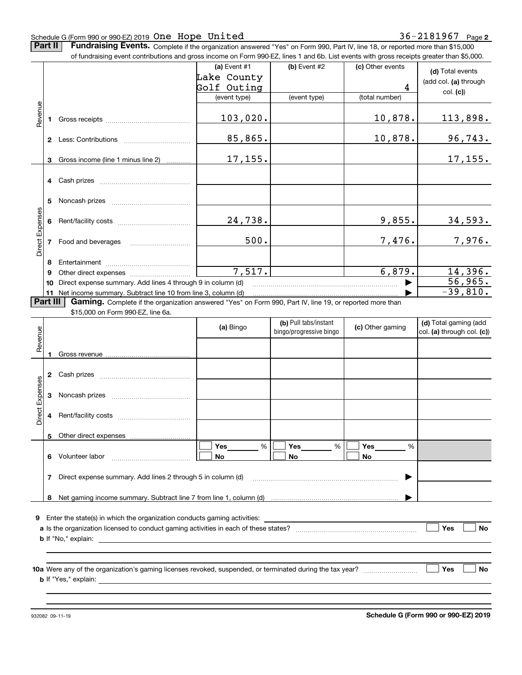### Schedule G (Form 990 or 990-EZ) 2019 Page One Hope United 36-2181967

**Part II** | Fundraising Events. Complete if the organization answered "Yes" on Form 990, Part IV, line 18, or reported more than \$15,000

|                 |          | of fundraising event contributions and gross income on Form 990-EZ, lines 1 and 6b. List events with gross receipts greater than \$5,000. |                |                         |                  |                            |
|-----------------|----------|-------------------------------------------------------------------------------------------------------------------------------------------|----------------|-------------------------|------------------|----------------------------|
|                 |          |                                                                                                                                           | (a) Event $#1$ | $(b)$ Event #2          | (c) Other events | (d) Total events           |
|                 |          |                                                                                                                                           | Lake County    |                         |                  | (add col. (a) through      |
|                 |          |                                                                                                                                           | Golf Outing    |                         | 4                | col. (c)                   |
|                 |          |                                                                                                                                           | (event type)   | (event type)            | (total number)   |                            |
| Revenue         |          |                                                                                                                                           |                |                         |                  |                            |
|                 | 1.       |                                                                                                                                           | 103,020.       |                         | 10,878.          | <u>113,898.</u>            |
|                 |          |                                                                                                                                           |                |                         |                  |                            |
|                 |          |                                                                                                                                           | 85,865.        |                         | 10,878.          | <u>96,743.</u>             |
|                 |          |                                                                                                                                           |                |                         |                  |                            |
|                 | 3        | Gross income (line 1 minus line 2)                                                                                                        | 17,155.        |                         |                  | 17, 155.                   |
|                 |          |                                                                                                                                           |                |                         |                  |                            |
|                 |          |                                                                                                                                           |                |                         |                  |                            |
|                 |          |                                                                                                                                           |                |                         |                  |                            |
|                 | 5        |                                                                                                                                           |                |                         |                  |                            |
|                 |          |                                                                                                                                           |                |                         |                  |                            |
|                 |          |                                                                                                                                           | 24,738.        |                         | 9,855.           | <u>34,593.</u>             |
| Direct Expenses |          |                                                                                                                                           |                |                         |                  |                            |
|                 |          | 7 Food and beverages                                                                                                                      | 500.           |                         | 7,476.           | 7,976.                     |
|                 |          |                                                                                                                                           |                |                         |                  |                            |
|                 | 8        |                                                                                                                                           |                |                         |                  |                            |
|                 | 9        |                                                                                                                                           | 7,517.         |                         | 6,879.           | 14,396.                    |
|                 | 10       | Direct expense summary. Add lines 4 through 9 in column (d)                                                                               |                |                         |                  | 56,965.                    |
|                 |          | 11 Net income summary. Subtract line 10 from line 3, column (d)                                                                           |                |                         |                  | $-39,810.$                 |
|                 | Part III | Gaming. Complete if the organization answered "Yes" on Form 990, Part IV, line 19, or reported more than                                  |                |                         |                  |                            |
|                 |          | \$15,000 on Form 990-EZ, line 6a.                                                                                                         |                |                         |                  |                            |
|                 |          |                                                                                                                                           | (a) Bingo      | (b) Pull tabs/instant   | (c) Other gaming | (d) Total gaming (add      |
| Revenue         |          |                                                                                                                                           |                | bingo/progressive bingo |                  | col. (a) through col. (c)) |
|                 |          |                                                                                                                                           |                |                         |                  |                            |
|                 |          |                                                                                                                                           |                |                         |                  |                            |
|                 |          |                                                                                                                                           |                |                         |                  |                            |
|                 |          |                                                                                                                                           |                |                         |                  |                            |
|                 |          |                                                                                                                                           |                |                         |                  |                            |
| Expenses        |          |                                                                                                                                           |                |                         |                  |                            |
|                 |          |                                                                                                                                           |                |                         |                  |                            |
| <b>Direct</b>   |          |                                                                                                                                           |                |                         |                  |                            |
|                 |          |                                                                                                                                           |                |                         |                  |                            |
|                 |          | 5 Other direct expenses                                                                                                                   |                |                         |                  |                            |
|                 |          |                                                                                                                                           | %<br>Yes       | %<br>Yes                | Yes<br>%         |                            |
|                 |          | 6 Volunteer labor                                                                                                                         | No             | No                      | No               |                            |
|                 |          |                                                                                                                                           |                |                         |                  |                            |
|                 | 7        | Direct expense summary. Add lines 2 through 5 in column (d)                                                                               |                |                         |                  |                            |
|                 |          |                                                                                                                                           |                |                         |                  |                            |
|                 |          |                                                                                                                                           |                |                         |                  |                            |
|                 |          |                                                                                                                                           |                |                         |                  |                            |
|                 |          | <b>9</b> Enter the state(s) in which the organization conducts gaming activities:                                                         |                |                         |                  |                            |
|                 |          |                                                                                                                                           |                |                         |                  | Yes<br>No                  |
|                 |          |                                                                                                                                           |                |                         |                  |                            |
|                 |          |                                                                                                                                           |                |                         |                  |                            |
|                 |          |                                                                                                                                           |                |                         |                  |                            |
|                 |          |                                                                                                                                           |                |                         |                  | Yes<br>No                  |
|                 |          |                                                                                                                                           |                |                         |                  |                            |
|                 |          |                                                                                                                                           |                |                         |                  |                            |
|                 |          |                                                                                                                                           |                |                         |                  |                            |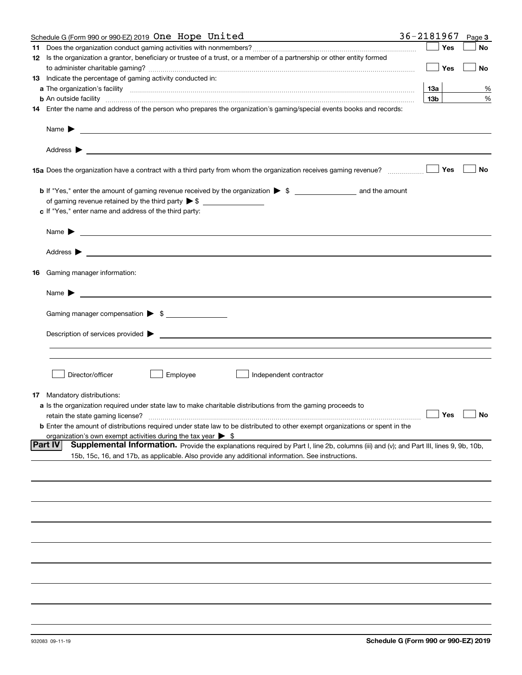| Schedule G (Form 990 or 990-EZ) 2019 One Hope United                                                                                                                                                                                                         | 36-2181967 |                 | Page 3               |
|--------------------------------------------------------------------------------------------------------------------------------------------------------------------------------------------------------------------------------------------------------------|------------|-----------------|----------------------|
|                                                                                                                                                                                                                                                              |            | Yes             | No                   |
| 12 Is the organization a grantor, beneficiary or trustee of a trust, or a member of a partnership or other entity formed                                                                                                                                     |            |                 |                      |
|                                                                                                                                                                                                                                                              |            | Yes             | No                   |
| 13 Indicate the percentage of gaming activity conducted in:                                                                                                                                                                                                  |            |                 |                      |
|                                                                                                                                                                                                                                                              |            | 13а             | %                    |
| <b>b</b> An outside facility <i>www.communically.communically.communically.communically.communically.communically.communically.communically.communically.communically.communically.communically.communically.communically.communicall</i>                    |            | 13 <sub>b</sub> | %                    |
| 14 Enter the name and address of the person who prepares the organization's gaming/special events books and records:                                                                                                                                         |            |                 |                      |
| Name $\blacktriangleright$<br><u> 1989 - Johann Harry Harry Harry Harry Harry Harry Harry Harry Harry Harry Harry Harry Harry Harry Harry Harry</u>                                                                                                          |            |                 |                      |
| Address $\blacktriangleright$<br><u> 1989 - Johann Harry Harry Harry Harry Harry Harry Harry Harry Harry Harry Harry Harry Harry Harry Harry Harry</u>                                                                                                       |            |                 |                      |
|                                                                                                                                                                                                                                                              |            | Yes             | No                   |
|                                                                                                                                                                                                                                                              |            |                 |                      |
|                                                                                                                                                                                                                                                              |            |                 |                      |
| c If "Yes," enter name and address of the third party:                                                                                                                                                                                                       |            |                 |                      |
| Name $\blacktriangleright$<br><u> 1989 - Johann Stoff, amerikansk politiker (</u>                                                                                                                                                                            |            |                 |                      |
|                                                                                                                                                                                                                                                              |            |                 |                      |
|                                                                                                                                                                                                                                                              |            |                 |                      |
| <b>16</b> Gaming manager information:                                                                                                                                                                                                                        |            |                 |                      |
| Name $\blacktriangleright$                                                                                                                                                                                                                                   |            |                 |                      |
| Gaming manager compensation > \$                                                                                                                                                                                                                             |            |                 |                      |
| Description of services provided $\blacktriangleright$                                                                                                                                                                                                       |            |                 |                      |
|                                                                                                                                                                                                                                                              |            |                 |                      |
|                                                                                                                                                                                                                                                              |            |                 |                      |
| Director/officer<br>Employee<br>Independent contractor                                                                                                                                                                                                       |            |                 |                      |
| <b>17</b> Mandatory distributions:                                                                                                                                                                                                                           |            |                 |                      |
| <b>a</b> Is the organization required under state law to make charitable distributions from the gaming proceeds to                                                                                                                                           |            |                 |                      |
| retain the state gaming license?                                                                                                                                                                                                                             |            |                 | $\Box$ Yes $\Box$ No |
| <b>b</b> Enter the amount of distributions required under state law to be distributed to other exempt organizations or spent in the                                                                                                                          |            |                 |                      |
| organization's own exempt activities during the tax year $\triangleright$ \$                                                                                                                                                                                 |            |                 |                      |
| <b>Part IV</b><br>Supplemental Information. Provide the explanations required by Part I, line 2b, columns (iii) and (v); and Part III, lines 9, 9b, 10b,<br>15b, 15c, 16, and 17b, as applicable. Also provide any additional information. See instructions. |            |                 |                      |
|                                                                                                                                                                                                                                                              |            |                 |                      |
|                                                                                                                                                                                                                                                              |            |                 |                      |
|                                                                                                                                                                                                                                                              |            |                 |                      |
|                                                                                                                                                                                                                                                              |            |                 |                      |
|                                                                                                                                                                                                                                                              |            |                 |                      |
|                                                                                                                                                                                                                                                              |            |                 |                      |
|                                                                                                                                                                                                                                                              |            |                 |                      |
|                                                                                                                                                                                                                                                              |            |                 |                      |
|                                                                                                                                                                                                                                                              |            |                 |                      |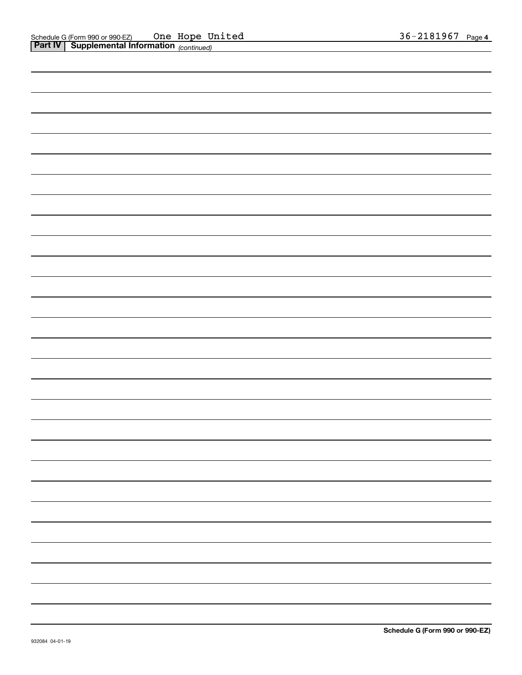| <b>Part IV   Supplemental Information</b> (continued) |  |
|-------------------------------------------------------|--|
|                                                       |  |
|                                                       |  |
|                                                       |  |
|                                                       |  |
|                                                       |  |
|                                                       |  |
|                                                       |  |
|                                                       |  |
|                                                       |  |
|                                                       |  |
|                                                       |  |
|                                                       |  |
|                                                       |  |
|                                                       |  |
|                                                       |  |
|                                                       |  |
|                                                       |  |
|                                                       |  |
|                                                       |  |
|                                                       |  |
|                                                       |  |
|                                                       |  |
|                                                       |  |
|                                                       |  |
|                                                       |  |
|                                                       |  |
|                                                       |  |
|                                                       |  |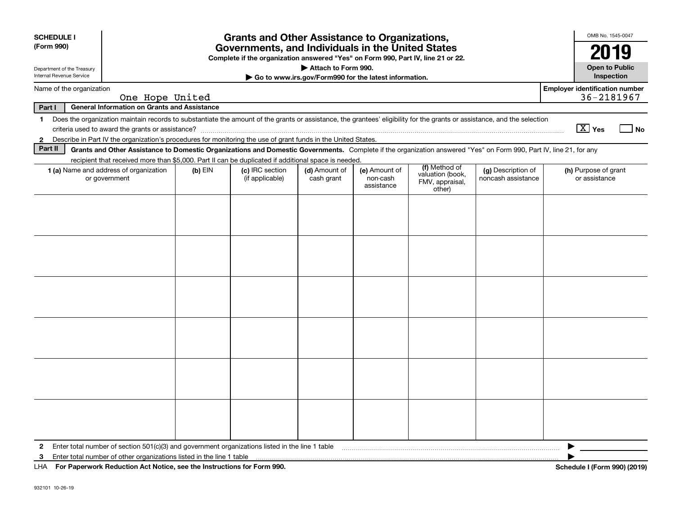| <b>SCHEDULE I</b><br>(Form 990)                        |                                                                                                                                                                                                                                                                                           |           | <b>Grants and Other Assistance to Organizations,</b><br>Governments, and Individuals in the United States |                                                                              |                                         |                                                                |                                          | OMB No. 1545-0047<br>20                             |
|--------------------------------------------------------|-------------------------------------------------------------------------------------------------------------------------------------------------------------------------------------------------------------------------------------------------------------------------------------------|-----------|-----------------------------------------------------------------------------------------------------------|------------------------------------------------------------------------------|-----------------------------------------|----------------------------------------------------------------|------------------------------------------|-----------------------------------------------------|
| Department of the Treasury<br>Internal Revenue Service |                                                                                                                                                                                                                                                                                           |           | Complete if the organization answered "Yes" on Form 990, Part IV, line 21 or 22.                          | Attach to Form 990.<br>Go to www.irs.gov/Form990 for the latest information. |                                         |                                                                |                                          | <b>Open to Public</b><br>Inspection                 |
| Name of the organization                               | One Hope United                                                                                                                                                                                                                                                                           |           |                                                                                                           |                                                                              |                                         |                                                                |                                          | <b>Employer identification number</b><br>36-2181967 |
| Part I                                                 | <b>General Information on Grants and Assistance</b>                                                                                                                                                                                                                                       |           |                                                                                                           |                                                                              |                                         |                                                                |                                          |                                                     |
| 1<br>$\mathbf{2}$                                      | Does the organization maintain records to substantiate the amount of the grants or assistance, the grantees' eligibility for the grants or assistance, and the selection<br>Describe in Part IV the organization's procedures for monitoring the use of grant funds in the United States. |           |                                                                                                           |                                                                              |                                         |                                                                |                                          | $\boxed{\text{X}}$ Yes<br>_l No                     |
| Part II                                                | Grants and Other Assistance to Domestic Organizations and Domestic Governments. Complete if the organization answered "Yes" on Form 990, Part IV, line 21, for any<br>recipient that received more than \$5,000. Part II can be duplicated if additional space is needed.                 |           |                                                                                                           |                                                                              |                                         |                                                                |                                          |                                                     |
|                                                        | <b>1 (a)</b> Name and address of organization<br>or government                                                                                                                                                                                                                            | $(b)$ EIN | (c) IRC section<br>(if applicable)                                                                        | (d) Amount of<br>cash grant                                                  | (e) Amount of<br>non-cash<br>assistance | (f) Method of<br>valuation (book,<br>FMV, appraisal,<br>other) | (g) Description of<br>noncash assistance | (h) Purpose of grant<br>or assistance               |
|                                                        |                                                                                                                                                                                                                                                                                           |           |                                                                                                           |                                                                              |                                         |                                                                |                                          |                                                     |
|                                                        |                                                                                                                                                                                                                                                                                           |           |                                                                                                           |                                                                              |                                         |                                                                |                                          |                                                     |
|                                                        |                                                                                                                                                                                                                                                                                           |           |                                                                                                           |                                                                              |                                         |                                                                |                                          |                                                     |
|                                                        |                                                                                                                                                                                                                                                                                           |           |                                                                                                           |                                                                              |                                         |                                                                |                                          |                                                     |
|                                                        |                                                                                                                                                                                                                                                                                           |           |                                                                                                           |                                                                              |                                         |                                                                |                                          |                                                     |
|                                                        |                                                                                                                                                                                                                                                                                           |           |                                                                                                           |                                                                              |                                         |                                                                |                                          |                                                     |
| $\mathbf{2}$<br>3                                      | Enter total number of section $501(c)(3)$ and government organizations listed in the line 1 table<br>Enter total number of other organizations listed in the line 1 table                                                                                                                 |           |                                                                                                           |                                                                              |                                         |                                                                |                                          |                                                     |
|                                                        | LHA For Paperwork Reduction Act Notice, see the Instructions for Form 990.                                                                                                                                                                                                                |           |                                                                                                           |                                                                              |                                         |                                                                |                                          | Schedule I (Form 990) (2019)                        |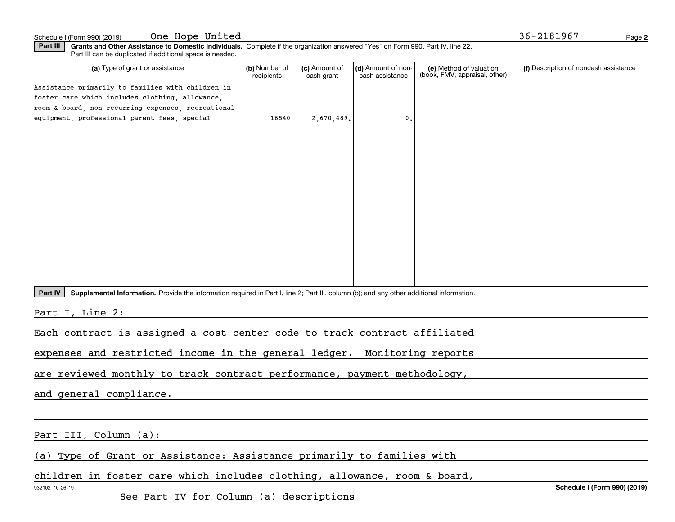Schedule I (Form 990) (2019) **One Hope United National According to the Schedule I** (Form 990) (2019) Page

**2**

**Part III | Grants and Other Assistance to Domestic Individuals. Complete if the organization answered "Yes" on Form 990, Part IV, line 22.** Part III can be duplicated if additional space is needed.

| (a) Type of grant or assistance                                                                                                                             | (b) Number of<br>recipients | (c) Amount of<br>cash grant | (d) Amount of non-<br>cash assistance | (e) Method of valuation<br>(book, FMV, appraisal, other) | (f) Description of noncash assistance |
|-------------------------------------------------------------------------------------------------------------------------------------------------------------|-----------------------------|-----------------------------|---------------------------------------|----------------------------------------------------------|---------------------------------------|
| Assistance primarily to families with children in                                                                                                           |                             |                             |                                       |                                                          |                                       |
| foster care which includes clothing, allowance,                                                                                                             |                             |                             |                                       |                                                          |                                       |
| room & board, non-recurring expenses, recreational                                                                                                          |                             |                             |                                       |                                                          |                                       |
| equipment, professional parent fees, special                                                                                                                | 16540                       | 2,670,489.                  | 0.                                    |                                                          |                                       |
|                                                                                                                                                             |                             |                             |                                       |                                                          |                                       |
|                                                                                                                                                             |                             |                             |                                       |                                                          |                                       |
|                                                                                                                                                             |                             |                             |                                       |                                                          |                                       |
|                                                                                                                                                             |                             |                             |                                       |                                                          |                                       |
| Supplemental Information. Provide the information required in Part I, line 2; Part III, column (b); and any other additional information.<br><b>Part IV</b> |                             |                             |                                       |                                                          |                                       |
| Part I, Line 2:                                                                                                                                             |                             |                             |                                       |                                                          |                                       |
| Each contract is assigned a cost center code to track contract affiliated                                                                                   |                             |                             |                                       |                                                          |                                       |

expenses and restricted income in the general ledger. Monitoring reports

are reviewed monthly to track contract performance, payment methodology,

and general compliance.

Part III, Column (a):

(a) Type of Grant or Assistance: Assistance primarily to families with

children in foster care which includes clothing, allowance, room & board,

932102 10-26-19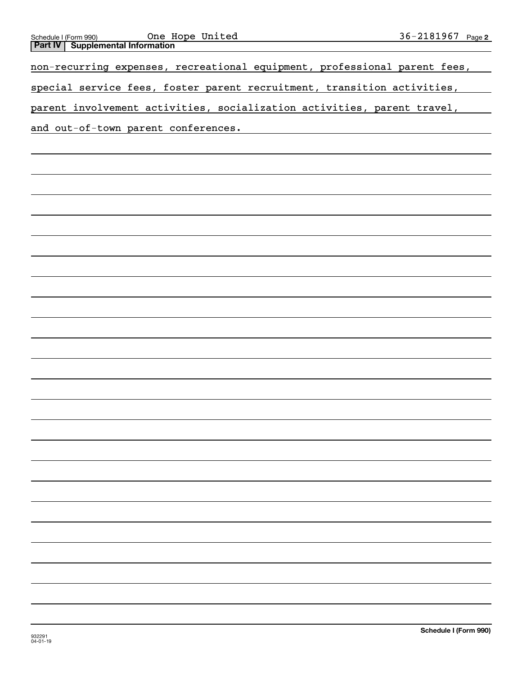| One Hope United<br>Schedule I (Form 990)                                                                                                                                                                                       | 36-2181967 Page 2 |  |
|--------------------------------------------------------------------------------------------------------------------------------------------------------------------------------------------------------------------------------|-------------------|--|
| <b>Part IV   Supplemental Information</b>                                                                                                                                                                                      |                   |  |
| non-recurring expenses, recreational equipment, professional parent fees,                                                                                                                                                      |                   |  |
| special service fees, foster parent recruitment, transition activities,                                                                                                                                                        |                   |  |
| parent involvement activities, socialization activities, parent travel,                                                                                                                                                        |                   |  |
| and out-of-town parent conferences. The context of the context of the context of the context of the context of the context of the context of the context of the context of the context of the context of the context of the co |                   |  |
|                                                                                                                                                                                                                                |                   |  |
|                                                                                                                                                                                                                                |                   |  |
|                                                                                                                                                                                                                                |                   |  |
|                                                                                                                                                                                                                                |                   |  |
|                                                                                                                                                                                                                                |                   |  |
|                                                                                                                                                                                                                                |                   |  |
|                                                                                                                                                                                                                                |                   |  |
|                                                                                                                                                                                                                                |                   |  |
|                                                                                                                                                                                                                                |                   |  |
|                                                                                                                                                                                                                                |                   |  |
|                                                                                                                                                                                                                                |                   |  |
|                                                                                                                                                                                                                                |                   |  |
|                                                                                                                                                                                                                                |                   |  |
|                                                                                                                                                                                                                                |                   |  |
|                                                                                                                                                                                                                                |                   |  |
|                                                                                                                                                                                                                                |                   |  |
|                                                                                                                                                                                                                                |                   |  |
|                                                                                                                                                                                                                                |                   |  |
|                                                                                                                                                                                                                                |                   |  |
|                                                                                                                                                                                                                                |                   |  |
|                                                                                                                                                                                                                                |                   |  |
|                                                                                                                                                                                                                                |                   |  |
|                                                                                                                                                                                                                                |                   |  |
|                                                                                                                                                                                                                                |                   |  |
|                                                                                                                                                                                                                                |                   |  |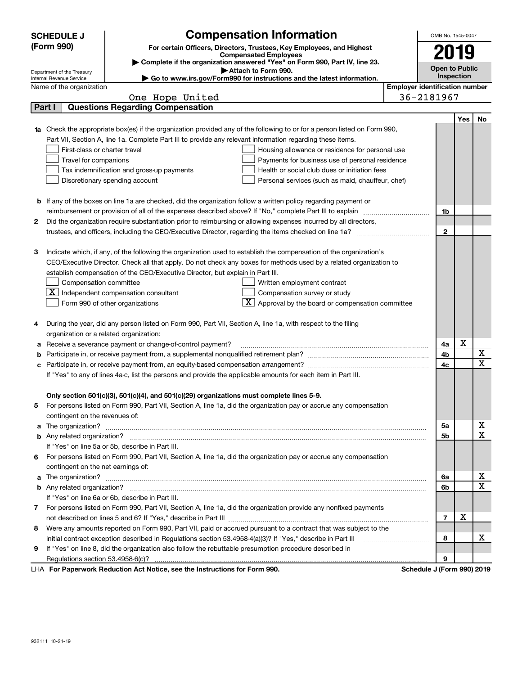|    | <b>SCHEDULE J</b>                                                                          | <b>Compensation Information</b>                                                                                                                                                                                                      |  |  | OMB No. 1545-0047                     |            |              |
|----|--------------------------------------------------------------------------------------------|--------------------------------------------------------------------------------------------------------------------------------------------------------------------------------------------------------------------------------------|--|--|---------------------------------------|------------|--------------|
|    | (Form 990)                                                                                 | For certain Officers, Directors, Trustees, Key Employees, and Highest                                                                                                                                                                |  |  |                                       |            |              |
|    |                                                                                            | <b>Compensated Employees</b>                                                                                                                                                                                                         |  |  | 2019                                  |            |              |
|    |                                                                                            | Complete if the organization answered "Yes" on Form 990, Part IV, line 23.<br>Attach to Form 990.                                                                                                                                    |  |  | <b>Open to Public</b>                 |            |              |
|    | Department of the Treasury<br>Internal Revenue Service                                     | ► Go to www.irs.gov/Form990 for instructions and the latest information.                                                                                                                                                             |  |  |                                       | Inspection |              |
|    | Name of the organization                                                                   |                                                                                                                                                                                                                                      |  |  | <b>Employer identification number</b> |            |              |
|    |                                                                                            | One Hope United                                                                                                                                                                                                                      |  |  | 36-2181967                            |            |              |
|    | Part I                                                                                     | <b>Questions Regarding Compensation</b>                                                                                                                                                                                              |  |  |                                       |            |              |
|    |                                                                                            |                                                                                                                                                                                                                                      |  |  |                                       | Yes        | No           |
| 1a |                                                                                            | Check the appropriate box(es) if the organization provided any of the following to or for a person listed on Form 990,                                                                                                               |  |  |                                       |            |              |
|    |                                                                                            | Part VII, Section A, line 1a. Complete Part III to provide any relevant information regarding these items.                                                                                                                           |  |  |                                       |            |              |
|    | First-class or charter travel                                                              | Housing allowance or residence for personal use                                                                                                                                                                                      |  |  |                                       |            |              |
|    | Travel for companions<br>Payments for business use of personal residence                   |                                                                                                                                                                                                                                      |  |  |                                       |            |              |
|    | Health or social club dues or initiation fees<br>Tax indemnification and gross-up payments |                                                                                                                                                                                                                                      |  |  |                                       |            |              |
|    |                                                                                            | Discretionary spending account<br>Personal services (such as maid, chauffeur, chef)                                                                                                                                                  |  |  |                                       |            |              |
|    |                                                                                            |                                                                                                                                                                                                                                      |  |  |                                       |            |              |
|    |                                                                                            | <b>b</b> If any of the boxes on line 1a are checked, did the organization follow a written policy regarding payment or                                                                                                               |  |  |                                       |            |              |
|    |                                                                                            | reimbursement or provision of all of the expenses described above? If "No," complete Part III to explain                                                                                                                             |  |  | 1b                                    |            |              |
| 2  |                                                                                            | Did the organization require substantiation prior to reimbursing or allowing expenses incurred by all directors,                                                                                                                     |  |  |                                       |            |              |
|    |                                                                                            |                                                                                                                                                                                                                                      |  |  | $\mathbf{2}$                          |            |              |
|    |                                                                                            |                                                                                                                                                                                                                                      |  |  |                                       |            |              |
| з  |                                                                                            | Indicate which, if any, of the following the organization used to establish the compensation of the organization's                                                                                                                   |  |  |                                       |            |              |
|    |                                                                                            | CEO/Executive Director. Check all that apply. Do not check any boxes for methods used by a related organization to                                                                                                                   |  |  |                                       |            |              |
|    |                                                                                            | establish compensation of the CEO/Executive Director, but explain in Part III.                                                                                                                                                       |  |  |                                       |            |              |
|    | Compensation committee                                                                     | Written employment contract                                                                                                                                                                                                          |  |  |                                       |            |              |
|    |                                                                                            | $\underline{\mathbf{X}}$ Independent compensation consultant<br>Compensation survey or study                                                                                                                                         |  |  |                                       |            |              |
|    |                                                                                            | $\lfloor x \rfloor$ Approval by the board or compensation committee<br>Form 990 of other organizations                                                                                                                               |  |  |                                       |            |              |
|    |                                                                                            |                                                                                                                                                                                                                                      |  |  |                                       |            |              |
| 4  |                                                                                            | During the year, did any person listed on Form 990, Part VII, Section A, line 1a, with respect to the filing                                                                                                                         |  |  |                                       |            |              |
|    | organization or a related organization:                                                    |                                                                                                                                                                                                                                      |  |  |                                       |            |              |
| а  |                                                                                            | Receive a severance payment or change-of-control payment?                                                                                                                                                                            |  |  | 4a                                    | X          |              |
| b  |                                                                                            |                                                                                                                                                                                                                                      |  |  | 4b                                    |            | X            |
|    |                                                                                            |                                                                                                                                                                                                                                      |  |  | 4c                                    |            | X            |
|    |                                                                                            | If "Yes" to any of lines 4a-c, list the persons and provide the applicable amounts for each item in Part III.                                                                                                                        |  |  |                                       |            |              |
|    |                                                                                            |                                                                                                                                                                                                                                      |  |  |                                       |            |              |
|    |                                                                                            | Only section 501(c)(3), 501(c)(4), and 501(c)(29) organizations must complete lines 5-9.                                                                                                                                             |  |  |                                       |            |              |
|    |                                                                                            | For persons listed on Form 990, Part VII, Section A, line 1a, did the organization pay or accrue any compensation                                                                                                                    |  |  |                                       |            |              |
|    | contingent on the revenues of:                                                             |                                                                                                                                                                                                                                      |  |  |                                       |            |              |
| a  |                                                                                            | The organization? <b>With the contract of the contract of the contract of the contract of the contract of the contract of the contract of the contract of the contract of the contract of the contract of the contract of the co</b> |  |  | 5a                                    |            | х            |
|    |                                                                                            |                                                                                                                                                                                                                                      |  |  | 5b                                    |            | $\mathbf{x}$ |
|    |                                                                                            | If "Yes" on line 5a or 5b, describe in Part III.                                                                                                                                                                                     |  |  |                                       |            |              |
| 6  |                                                                                            | For persons listed on Form 990, Part VII, Section A, line 1a, did the organization pay or accrue any compensation                                                                                                                    |  |  |                                       |            |              |
|    | contingent on the net earnings of:                                                         |                                                                                                                                                                                                                                      |  |  |                                       |            |              |
| a  |                                                                                            |                                                                                                                                                                                                                                      |  |  | 6a                                    |            | х            |
|    |                                                                                            |                                                                                                                                                                                                                                      |  |  | 6b                                    |            | $\mathbf X$  |
|    |                                                                                            | If "Yes" on line 6a or 6b, describe in Part III.                                                                                                                                                                                     |  |  |                                       |            |              |
| 7  |                                                                                            | For persons listed on Form 990, Part VII, Section A, line 1a, did the organization provide any nonfixed payments                                                                                                                     |  |  | $\overline{7}$                        | X          |              |
|    |                                                                                            |                                                                                                                                                                                                                                      |  |  |                                       |            |              |
| 8  |                                                                                            | Were any amounts reported on Form 990, Part VII, paid or accrued pursuant to a contract that was subject to the                                                                                                                      |  |  |                                       |            |              |
|    |                                                                                            | initial contract exception described in Regulations section 53.4958-4(a)(3)? If "Yes," describe in Part III                                                                                                                          |  |  | 8                                     |            | х            |
| 9  |                                                                                            | If "Yes" on line 8, did the organization also follow the rebuttable presumption procedure described in                                                                                                                               |  |  |                                       |            |              |
|    |                                                                                            | For Departuarly Reduction Act Notice, see the Instructions for Form 000                                                                                                                                                              |  |  | 9<br>Cohodule I (Form 000) 2010       |            |              |

LHA For Paperwork Reduction Act Notice, see the Instructions for Form 990. Schedule J (Form 990) 2019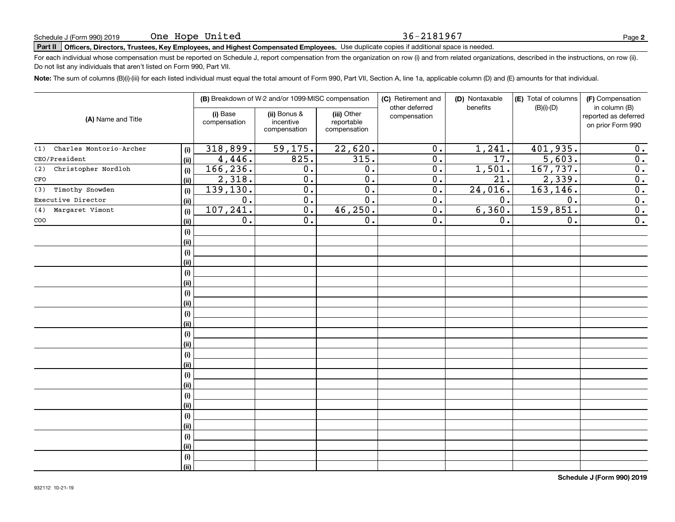#### 36-2181967

## **Part II Officers, Directors, Trustees, Key Employees, and Highest Compensated Employees.**  Schedule J (Form 990) 2019 Page Use duplicate copies if additional space is needed.

For each individual whose compensation must be reported on Schedule J, report compensation from the organization on row (i) and from related organizations, described in the instructions, on row (ii). Do not list any individuals that aren't listed on Form 990, Part VII.

**Note:**  The sum of columns (B)(i)-(iii) for each listed individual must equal the total amount of Form 990, Part VII, Section A, line 1a, applicable column (D) and (E) amounts for that individual.

|                                |             |                          | (B) Breakdown of W-2 and/or 1099-MISC compensation |                                           | (C) Retirement and<br>other deferred | (D) Nontaxable<br>benefits | (E) Total of columns<br>$(B)(i)-(D)$ | (F) Compensation<br>in column (B)         |
|--------------------------------|-------------|--------------------------|----------------------------------------------------|-------------------------------------------|--------------------------------------|----------------------------|--------------------------------------|-------------------------------------------|
| (A) Name and Title             |             | (i) Base<br>compensation | (ii) Bonus &<br>incentive<br>compensation          | (iii) Other<br>reportable<br>compensation | compensation                         |                            |                                      | reported as deferred<br>on prior Form 990 |
| Charles Montorio-Archer<br>(1) | (i)         | 318,899.                 | 59, 175.                                           | 22,620.                                   | $\overline{0}$ .                     | 1,241.                     | 401,935.                             | 0.                                        |
| CEO/President                  | (ii)        | 4,446.                   | 825.                                               | 315.                                      | $\overline{0}$ .                     | 17.                        | $\overline{5,603}$ .                 | $\overline{\mathbf{0}}$ .                 |
| Christopher Nordloh<br>(2)     | (i)         | 166, 236.                | $0$ .                                              | 0.                                        | $\overline{0}$ .                     | 1,501.                     | 167,737.                             | $\overline{\mathbf{0}}$ .                 |
| CFO                            | (ii)        | 2,318.                   | $\overline{0}$ .                                   | $\overline{0}$ .                          | $\overline{0}$ .                     | $\overline{21}$ .          | 2,339.                               | $\overline{0}$ .                          |
| Timothy Snowden<br>(3)         | (i)         | 139,130.                 | $\overline{0}$ .                                   | $\overline{0}$ .                          | $\overline{0}$ .                     | 24,016.                    | 163,146.                             | $\overline{\mathbf{0}}$ .                 |
| Executive Director             | (ii)        | $\overline{0}$ .         | $\overline{0}$ .                                   | $\overline{0}$ .                          | $\overline{0}$ .                     | 0.                         | $\overline{0}$ .                     | $\overline{0}$ .                          |
| Margaret Vimont<br>(4)         | (i)         | 107, 241.                | $\overline{0}$ .                                   | 46, 250.                                  | $\overline{0}$ .                     | 6,360.                     | 159,851.                             | $\overline{0}$ .                          |
| $_{\rm COO}$                   | (ii)        | $\overline{0}$ .         | $\overline{0}$ .                                   | $\overline{0}$ .                          | $\overline{0}$ .                     | 0.                         | $\overline{0}$ .                     | $\overline{0}$ .                          |
|                                | (i)         |                          |                                                    |                                           |                                      |                            |                                      |                                           |
|                                | (ii)        |                          |                                                    |                                           |                                      |                            |                                      |                                           |
|                                | (i)         |                          |                                                    |                                           |                                      |                            |                                      |                                           |
|                                | (ii)        |                          |                                                    |                                           |                                      |                            |                                      |                                           |
|                                | (i)         |                          |                                                    |                                           |                                      |                            |                                      |                                           |
|                                | (ii)        |                          |                                                    |                                           |                                      |                            |                                      |                                           |
|                                | (i)         |                          |                                                    |                                           |                                      |                            |                                      |                                           |
|                                | (ii)        |                          |                                                    |                                           |                                      |                            |                                      |                                           |
|                                | (i)<br>(ii) |                          |                                                    |                                           |                                      |                            |                                      |                                           |
|                                | (i)         |                          |                                                    |                                           |                                      |                            |                                      |                                           |
|                                | (ii)        |                          |                                                    |                                           |                                      |                            |                                      |                                           |
|                                | (i)         |                          |                                                    |                                           |                                      |                            |                                      |                                           |
|                                | (ii)        |                          |                                                    |                                           |                                      |                            |                                      |                                           |
|                                | (i)         |                          |                                                    |                                           |                                      |                            |                                      |                                           |
|                                | (ii)        |                          |                                                    |                                           |                                      |                            |                                      |                                           |
|                                | (i)         |                          |                                                    |                                           |                                      |                            |                                      |                                           |
|                                | (ii)        |                          |                                                    |                                           |                                      |                            |                                      |                                           |
|                                | (i)         |                          |                                                    |                                           |                                      |                            |                                      |                                           |
|                                | (ii)        |                          |                                                    |                                           |                                      |                            |                                      |                                           |
|                                | (i)         |                          |                                                    |                                           |                                      |                            |                                      |                                           |
|                                | (ii)        |                          |                                                    |                                           |                                      |                            |                                      |                                           |
|                                | (i)         |                          |                                                    |                                           |                                      |                            |                                      |                                           |
|                                | (ii)        |                          |                                                    |                                           |                                      |                            |                                      |                                           |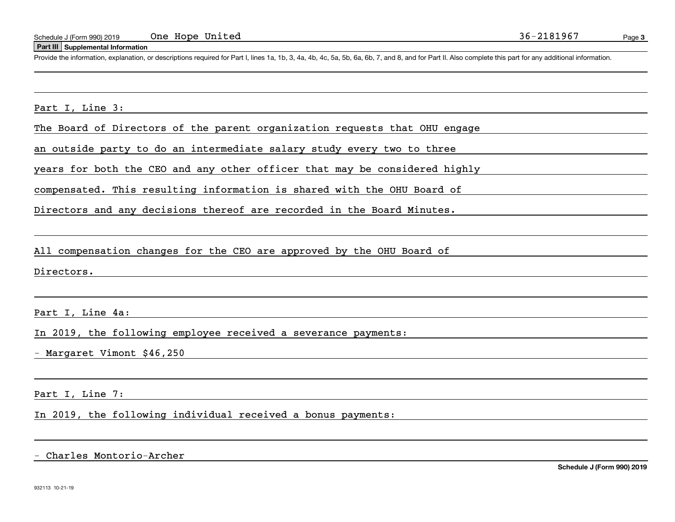#### **Part III Supplemental Information**

Schedule J (Form 990) 2019 One Hope United 36-2181967<br>
Part III Supplemental Information<br>
Provide the information, explanation, or descriptions required for Part I. lines 1a, 1b, 3, 4a, 4b, 4c, 5a, 5b, 6a, 6b, 7, and 8, an

the control of the control of the control of the control of the control of the control of the control of the control of the control of the control of the control of the control of the control of the control of the control

Part I, Line 3:

The Board of Directors of the parent organization requests that OHU engage

an outside party to do an intermediate salary study every two to three

years for both the CEO and any other officer that may be considered highly

compensated. This resulting information is shared with the OHU Board of

Directors and any decisions thereof are recorded in the Board Minutes.

All compensation changes for the CEO are approved by the OHU Board of

Directors.

Part I, Line 4a:

In 2019, the following employee received a severance payments:

- Margaret Vimont \$46,250

Part I, Line 7:

In 2019, the following individual received a bonus payments:

- Charles Montorio-Archer

**Schedule J (Form 990) 2019**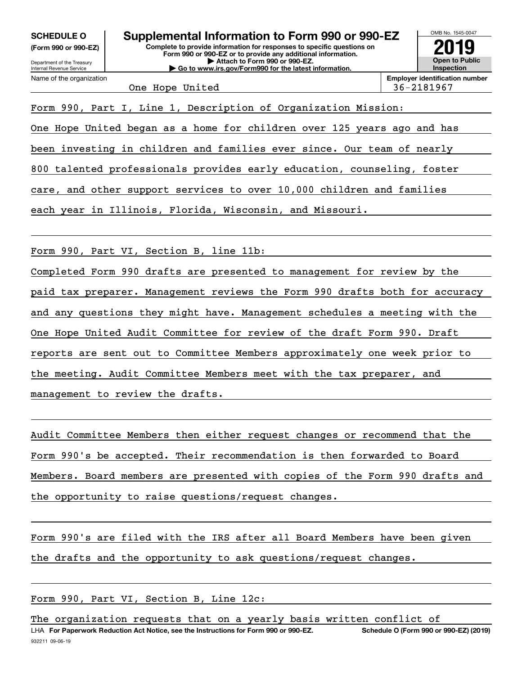**(Form 990 or 990-EZ)**



One Hope United 36-2181967

Form 990, Part I, Line 1, Description of Organization Mission:

One Hope United began as a home for children over 125 years ago and has

been investing in children and families ever since. Our team of nearly

800 talented professionals provides early education, counseling, foster

care, and other support services to over 10,000 children and families

each year in Illinois, Florida, Wisconsin, and Missouri.

Form 990, Part VI, Section B, line 11b:

Completed Form 990 drafts are presented to management for review by the paid tax preparer. Management reviews the Form 990 drafts both for accuracy and any questions they might have. Management schedules a meeting with the One Hope United Audit Committee for review of the draft Form 990. Draft reports are sent out to Committee Members approximately one week prior to the meeting. Audit Committee Members meet with the tax preparer, and management to review the drafts.

Audit Committee Members then either request changes or recommend that the Form 990's be accepted. Their recommendation is then forwarded to Board Members. Board members are presented with copies of the Form 990 drafts and the opportunity to raise questions/request changes.

Form 990's are filed with the IRS after all Board Members have been given the drafts and the opportunity to ask questions/request changes.

Form 990, Part VI, Section B, Line 12c:

The organization requests that on a yearly basis written conflict of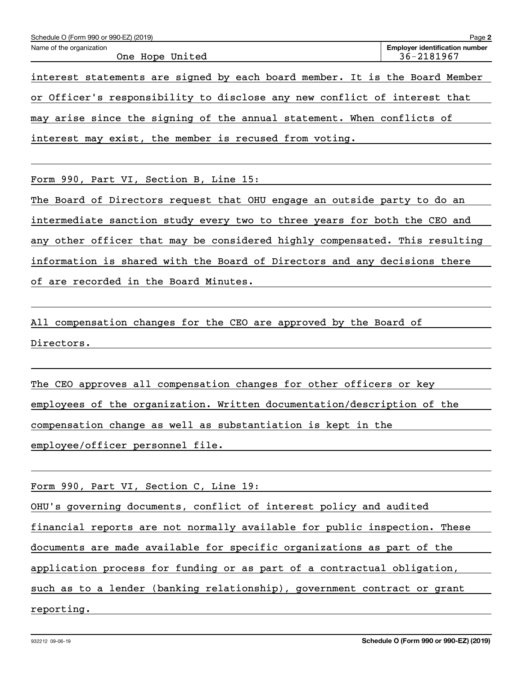| Page 2<br>Schedule O (Form 990 or 990-EZ) (2019)                            |                                                     |  |  |  |  |  |  |  |  |  |
|-----------------------------------------------------------------------------|-----------------------------------------------------|--|--|--|--|--|--|--|--|--|
| Name of the organization<br>One Hope United                                 | <b>Employer identification number</b><br>36-2181967 |  |  |  |  |  |  |  |  |  |
| interest statements are signed by each board member. It is the Board Member |                                                     |  |  |  |  |  |  |  |  |  |
| or Officer's responsibility to disclose any new conflict of interest that   |                                                     |  |  |  |  |  |  |  |  |  |
| may arise since the signing of the annual statement. When conflicts of      |                                                     |  |  |  |  |  |  |  |  |  |
| interest may exist, the member is recused from voting.                      |                                                     |  |  |  |  |  |  |  |  |  |

Form 990, Part VI, Section B, Line 15:

The Board of Directors request that OHU engage an outside party to do an intermediate sanction study every two to three years for both the CEO and any other officer that may be considered highly compensated. This resulting information is shared with the Board of Directors and any decisions there of are recorded in the Board Minutes.

All compensation changes for the CEO are approved by the Board of Directors.

The CEO approves all compensation changes for other officers or key employees of the organization. Written documentation/description of the compensation change as well as substantiation is kept in the employee/officer personnel file.

Form 990, Part VI, Section C, Line 19:

OHU's governing documents, conflict of interest policy and audited

financial reports are not normally available for public inspection. These

documents are made available for specific organizations as part of the

application process for funding or as part of a contractual obligation,

such as to a lender (banking relationship), government contract or grant

reporting.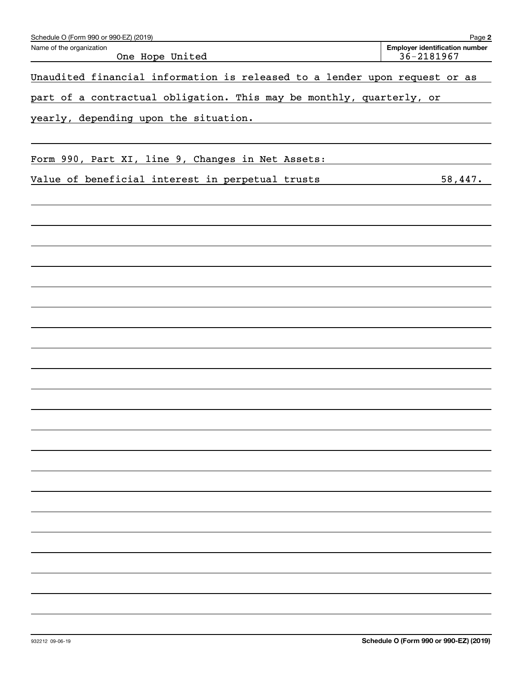| Schedule O (Form 990 or 990-EZ) (2019)                                     | Page 2                                              |
|----------------------------------------------------------------------------|-----------------------------------------------------|
| Name of the organization<br>One Hope United                                | <b>Employer identification number</b><br>36-2181967 |
| Unaudited financial information is released to a lender upon request or as |                                                     |
| part of a contractual obligation. This may be monthly, quarterly, or       |                                                     |
| yearly, depending upon the situation.                                      |                                                     |
|                                                                            |                                                     |
| Form 990, Part XI, line 9, Changes in Net Assets:                          |                                                     |
| Value of beneficial interest in perpetual trusts                           | 58,447.                                             |
|                                                                            |                                                     |
|                                                                            |                                                     |
|                                                                            |                                                     |
|                                                                            |                                                     |
|                                                                            |                                                     |
|                                                                            |                                                     |
|                                                                            |                                                     |
|                                                                            |                                                     |
|                                                                            |                                                     |
|                                                                            |                                                     |
|                                                                            |                                                     |
|                                                                            |                                                     |
|                                                                            |                                                     |
|                                                                            |                                                     |
|                                                                            |                                                     |
|                                                                            |                                                     |
|                                                                            |                                                     |
|                                                                            |                                                     |
|                                                                            |                                                     |
|                                                                            |                                                     |
|                                                                            |                                                     |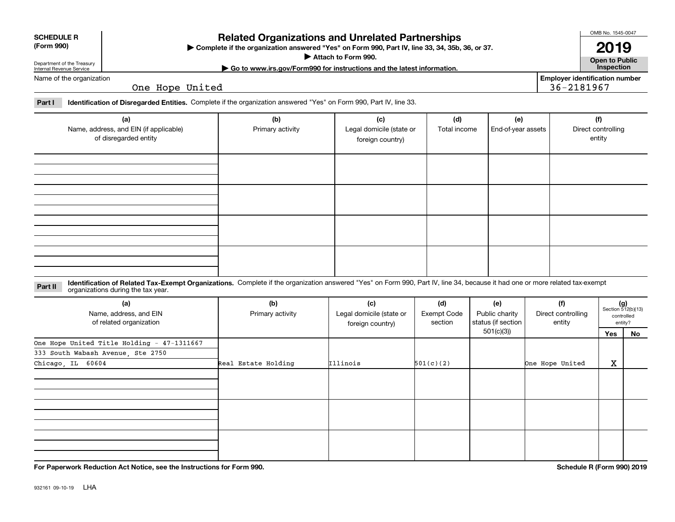| <b>SCHEDULE R</b> |
|-------------------|
|                   |

## **(Form 990)**

## **Related Organizations and Unrelated Partnerships**

**Complete if the organization answered "Yes" on Form 990, Part IV, line 33, 34, 35b, 36, or 37.** |

**Attach to Form 990.**  |

OMB No. 1545-0047

**Open to Public | Go to www.irs.gov/Form990 for instructions and the latest information. Inspection 2019**

Department of the Treasury Internal Revenue Service Name of the organization

One Hope United

**Employer identification number** 36-2181967

**Part I Identification of Disregarded Entities.**  Complete if the organization answered "Yes" on Form 990, Part IV, line 33.

| (a)<br>Name, address, and EIN (if applicable)<br>of disregarded entity | (b)<br>Primary activity | (c)<br>Legal domicile (state or<br>foreign country) | (d)<br>Total income | (e)<br>End-of-year assets | (f)<br>Direct controlling<br>entity |
|------------------------------------------------------------------------|-------------------------|-----------------------------------------------------|---------------------|---------------------------|-------------------------------------|
|                                                                        |                         |                                                     |                     |                           |                                     |
|                                                                        |                         |                                                     |                     |                           |                                     |
|                                                                        |                         |                                                     |                     |                           |                                     |
|                                                                        |                         |                                                     |                     |                           |                                     |

**Identification of Related Tax-Exempt Organizations.** Complete if the organization answered "Yes" on Form 990, Part IV, line 34, because it had one or more related tax-exempt **Part II** organizations during the tax year.

| (a)<br>Name, address, and EIN<br>of related organization | (b)<br>Primary activity | (c)<br>Legal domicile (state or<br>foreign country) | (d)<br>Exempt Code<br>section | (e)<br>Public charity<br>status (if section | (f)<br>Direct controlling<br>entity |     | $(g)$<br>Section 512(b)(13)<br>controlled<br>entity? |
|----------------------------------------------------------|-------------------------|-----------------------------------------------------|-------------------------------|---------------------------------------------|-------------------------------------|-----|------------------------------------------------------|
|                                                          |                         |                                                     |                               | 501(c)(3))                                  |                                     | Yes | No                                                   |
| One Hope United Title Holding - 47-1311667               |                         |                                                     |                               |                                             |                                     |     |                                                      |
| 333 South Wabash Avenue, Ste 2750                        |                         |                                                     |                               |                                             |                                     |     |                                                      |
| Chicago, IL 60604                                        | Real Estate Holding     | <b>Illinois</b>                                     | 501(c)(2)                     |                                             | One Hope United                     | X   |                                                      |
|                                                          |                         |                                                     |                               |                                             |                                     |     |                                                      |
|                                                          |                         |                                                     |                               |                                             |                                     |     |                                                      |
|                                                          |                         |                                                     |                               |                                             |                                     |     |                                                      |

**For Paperwork Reduction Act Notice, see the Instructions for Form 990. Schedule R (Form 990) 2019**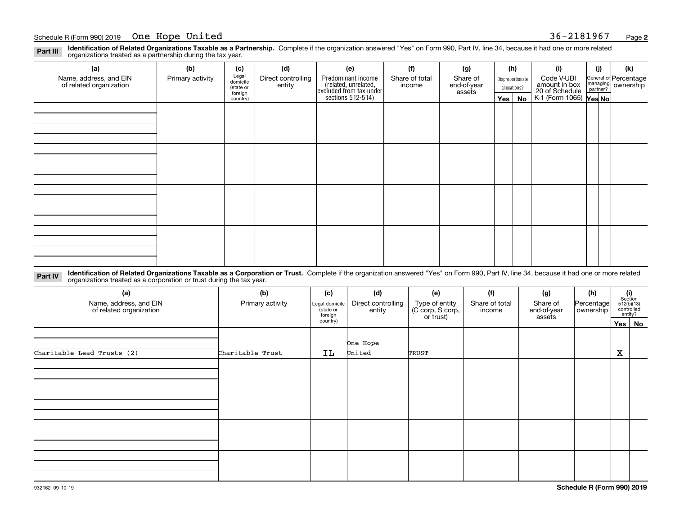**Identification of Related Organizations Taxable as a Partnership.** Complete if the organization answered "Yes" on Form 990, Part IV, line 34, because it had one or more related **Part III** organizations treated as a partnership during the tax year.

| (a)                                               | (b)              | (c)                  | (d)                          | (e)                                                                 | (f)                      | (g)                     |              | (h)              | (i)                                       | (i) | (k)                                                     |
|---------------------------------------------------|------------------|----------------------|------------------------------|---------------------------------------------------------------------|--------------------------|-------------------------|--------------|------------------|-------------------------------------------|-----|---------------------------------------------------------|
| Name, address, and EIN<br>of related organization | Primary activity | Legal<br>domicile    | Direct controlling<br>entity | Predominant income                                                  | Share of total<br>income | Share of<br>end-of-year |              | Disproportionate | Code V-UBI<br>amount in box               |     | General or Percentage<br>managing ownership<br>partner? |
|                                                   |                  | (state or<br>foreign |                              | related, unrelated,<br>excluded from tax under<br>sections 512-514) |                          | assets                  | allocations? |                  |                                           |     |                                                         |
|                                                   |                  | country)             |                              |                                                                     |                          |                         | Yes $ $      | No               | 20 of Schedule<br>K-1 (Form 1065) Yes No. |     |                                                         |
|                                                   |                  |                      |                              |                                                                     |                          |                         |              |                  |                                           |     |                                                         |
|                                                   |                  |                      |                              |                                                                     |                          |                         |              |                  |                                           |     |                                                         |
|                                                   |                  |                      |                              |                                                                     |                          |                         |              |                  |                                           |     |                                                         |
|                                                   |                  |                      |                              |                                                                     |                          |                         |              |                  |                                           |     |                                                         |
|                                                   |                  |                      |                              |                                                                     |                          |                         |              |                  |                                           |     |                                                         |
|                                                   |                  |                      |                              |                                                                     |                          |                         |              |                  |                                           |     |                                                         |
|                                                   |                  |                      |                              |                                                                     |                          |                         |              |                  |                                           |     |                                                         |
|                                                   |                  |                      |                              |                                                                     |                          |                         |              |                  |                                           |     |                                                         |
|                                                   |                  |                      |                              |                                                                     |                          |                         |              |                  |                                           |     |                                                         |
|                                                   |                  |                      |                              |                                                                     |                          |                         |              |                  |                                           |     |                                                         |
|                                                   |                  |                      |                              |                                                                     |                          |                         |              |                  |                                           |     |                                                         |
|                                                   |                  |                      |                              |                                                                     |                          |                         |              |                  |                                           |     |                                                         |
|                                                   |                  |                      |                              |                                                                     |                          |                         |              |                  |                                           |     |                                                         |
|                                                   |                  |                      |                              |                                                                     |                          |                         |              |                  |                                           |     |                                                         |
|                                                   |                  |                      |                              |                                                                     |                          |                         |              |                  |                                           |     |                                                         |
|                                                   |                  |                      |                              |                                                                     |                          |                         |              |                  |                                           |     |                                                         |
|                                                   |                  |                      |                              |                                                                     |                          |                         |              |                  |                                           |     |                                                         |

**Identification of Related Organizations Taxable as a Corporation or Trust.** Complete if the organization answered "Yes" on Form 990, Part IV, line 34, because it had one or more related **Part IV** organizations treated as a corporation or trust during the tax year.

| (a)<br>Name, address, and EIN<br>of related organization | (b)<br>Primary activity | (c)<br>Legal domicile<br>(state or<br>foreign | (d)<br>Direct controlling<br>entity | (e)<br>Type of entity<br>(C corp, S corp,<br>or trust) | (f)<br>Share of total<br>income | (g)<br>Share of<br>end-of-year<br>assets | (h)<br>Percentage<br>ownership | $\begin{array}{c} \textbf{(i)}\\ \text{Section}\\ 512 \text{(b)} \text{(13)}\\ \text{controlled}\end{array}$ | entity? |
|----------------------------------------------------------|-------------------------|-----------------------------------------------|-------------------------------------|--------------------------------------------------------|---------------------------------|------------------------------------------|--------------------------------|--------------------------------------------------------------------------------------------------------------|---------|
|                                                          |                         | country)                                      |                                     |                                                        |                                 |                                          |                                | Yes No                                                                                                       |         |
|                                                          |                         |                                               | One Hope                            |                                                        |                                 |                                          |                                |                                                                                                              |         |
| Charitable Lead Trusts (2)                               | Charitable Trust        | IL                                            | United                              | TRUST                                                  |                                 |                                          |                                | $\mathbf X$                                                                                                  |         |
|                                                          |                         |                                               |                                     |                                                        |                                 |                                          |                                |                                                                                                              |         |
|                                                          |                         |                                               |                                     |                                                        |                                 |                                          |                                |                                                                                                              |         |
|                                                          |                         |                                               |                                     |                                                        |                                 |                                          |                                |                                                                                                              |         |
|                                                          |                         |                                               |                                     |                                                        |                                 |                                          |                                |                                                                                                              |         |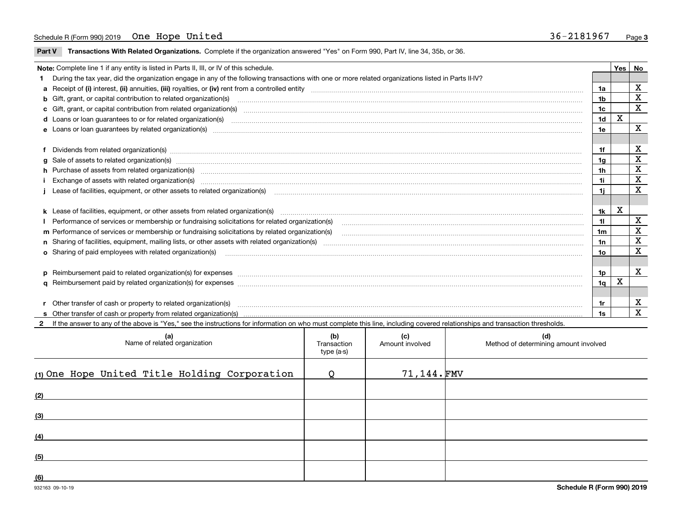**Part V** T**ransactions With Related Organizations.** Complete if the organization answered "Yes" on Form 990, Part IV, line 34, 35b, or 36.

|  | Note: Complete line 1 if any entity is listed in Parts II, III, or IV of this schedule.                                                                                                                                        |                | Yes   No |                         |  |  |  |
|--|--------------------------------------------------------------------------------------------------------------------------------------------------------------------------------------------------------------------------------|----------------|----------|-------------------------|--|--|--|
|  | 1 During the tax year, did the organization engage in any of the following transactions with one or more related organizations listed in Parts II-IV?                                                                          |                |          |                         |  |  |  |
|  |                                                                                                                                                                                                                                | 1a             |          | X                       |  |  |  |
|  | b Gift, grant, or capital contribution to related organization(s) material contracts and contribution to related organization(s)                                                                                               | 1b             |          | X                       |  |  |  |
|  | c Gift, grant, or capital contribution from related organization(s) manufaction(s) and contain an account of the substitution of the state or capital contribution from related organization(s) manufaction contains and conta | 1c             |          | X                       |  |  |  |
|  | <b>d</b> Loans or loan quarantees to or for related organization(s)                                                                                                                                                            | 1 <sub>d</sub> | X        |                         |  |  |  |
|  |                                                                                                                                                                                                                                | 1e             |          | X                       |  |  |  |
|  |                                                                                                                                                                                                                                |                |          |                         |  |  |  |
|  |                                                                                                                                                                                                                                | 1f             |          | x                       |  |  |  |
|  |                                                                                                                                                                                                                                | 1g             |          | X                       |  |  |  |
|  | h Purchase of assets from related organization(s) manufactured and content and content and content and content and content and content and content and content and content and content and content and content and content and | 1 <sub>h</sub> |          | $\overline{\mathbf{X}}$ |  |  |  |
|  | Exchange of assets with related organization(s) www.wallen.com/www.wallen.com/www.wallen.com/www.wallen.com/www.wallen.com/www.wallen.com/www.wallen.com/www.wallen.com/www.wallen.com/www.wallen.com/www.wallen.com/www.walle | 1i.            |          | X                       |  |  |  |
|  | Lease of facilities, equipment, or other assets to related organization(s) использованно положенно положенно по                                                                                                                | 1i.            |          | X                       |  |  |  |
|  |                                                                                                                                                                                                                                |                |          |                         |  |  |  |
|  |                                                                                                                                                                                                                                | 1k             | X        |                         |  |  |  |
|  |                                                                                                                                                                                                                                | 11             |          | X                       |  |  |  |
|  | m Performance of services or membership or fundraising solicitations by related organization(s)                                                                                                                                | 1 <sub>m</sub> |          | X                       |  |  |  |
|  |                                                                                                                                                                                                                                | 1n             |          | X                       |  |  |  |
|  | o Sharing of paid employees with related organization(s)                                                                                                                                                                       | 1o             |          | X                       |  |  |  |
|  |                                                                                                                                                                                                                                |                |          |                         |  |  |  |
|  | p Reimbursement paid to related organization(s) for expenses [1111] and the content of the content of the content of the content of the content of the content of the content of the content of the content of the content of  | 1 <sub>p</sub> |          | $\mathbf{x}$            |  |  |  |
|  |                                                                                                                                                                                                                                | 1 <sub>q</sub> | х        |                         |  |  |  |
|  |                                                                                                                                                                                                                                |                |          |                         |  |  |  |
|  | r Other transfer of cash or property to related organization(s)                                                                                                                                                                | 1r             |          | X                       |  |  |  |
|  |                                                                                                                                                                                                                                | 1s             |          | $\mathbf{x}$            |  |  |  |
|  | 2 If the answer to any of the above is "Yes," see the instructions for information on who must complete this line, including covered relationships and transaction thresholds.                                                 |                |          |                         |  |  |  |

**(a) (b) (c) (d) (1)**One Hope United Title Holding Corporation Q 71,144. **(2) (3)(4) (5)(6)**Name of related organization  $\vert$  Transaction type (a-s) Amount involved letter are method of determining amount involved  $71,144.$  FMV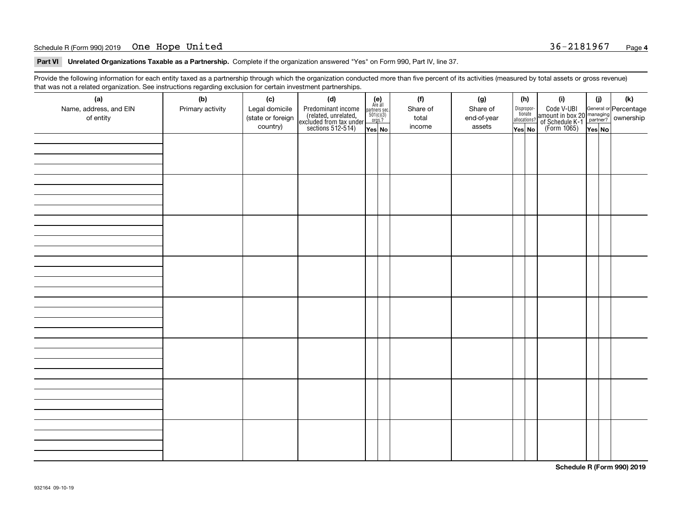### Schedule R (Form 990) 2019 **One Hope United National Schedule R (Form 990)** 2019 Page National Schedule R (Form 990) 2019 Page

**Part VI Unrelated Organizations Taxable as a Partnership. Complete if the organization answered "Yes" on Form 990, Part IV, line 37.** 

Provide the following information for each entity taxed as a partnership through which the organization conducted more than five percent of its activities (measured by total assets or gross revenue) that was not a related organization. See instructions regarding exclusion for certain investment partnerships.

| (a)<br>Name, address, and EIN<br>of entity | (b)<br>Primary activity | (c)<br>Legal domicile<br>(state or foreign<br>country) | (d)<br>Predominant income<br>(related, unrelated,<br>excluded from tax under<br>sections 512-514) | $\begin{array}{c} \textbf{(e)}\\ \text{Are all} \\ \text{partners sec.}\\ 501(c)(3)\\ \text{orgs.?} \end{array}$<br>Yes No | (f)<br>Share of<br>total<br>income | (g)<br>Share of<br>end-of-year<br>assets | (h)<br>Dispropor-<br>tionate<br>allocations?<br>Yes No | (i)<br>Code V-UBI<br>  amount in box 20 managing<br>  of Schedule K-1 partner? ownership<br>  of Schedule K-1 partner? ownership<br>  Yes No | (i)<br>YesNO | (k) |
|--------------------------------------------|-------------------------|--------------------------------------------------------|---------------------------------------------------------------------------------------------------|----------------------------------------------------------------------------------------------------------------------------|------------------------------------|------------------------------------------|--------------------------------------------------------|----------------------------------------------------------------------------------------------------------------------------------------------|--------------|-----|
|                                            |                         |                                                        |                                                                                                   |                                                                                                                            |                                    |                                          |                                                        |                                                                                                                                              |              |     |
|                                            |                         |                                                        |                                                                                                   |                                                                                                                            |                                    |                                          |                                                        |                                                                                                                                              |              |     |
|                                            |                         |                                                        |                                                                                                   |                                                                                                                            |                                    |                                          |                                                        |                                                                                                                                              |              |     |
|                                            |                         |                                                        |                                                                                                   |                                                                                                                            |                                    |                                          |                                                        |                                                                                                                                              |              |     |
|                                            |                         |                                                        |                                                                                                   |                                                                                                                            |                                    |                                          |                                                        |                                                                                                                                              |              |     |
|                                            |                         |                                                        |                                                                                                   |                                                                                                                            |                                    |                                          |                                                        |                                                                                                                                              |              |     |
|                                            |                         |                                                        |                                                                                                   |                                                                                                                            |                                    |                                          |                                                        |                                                                                                                                              |              |     |
|                                            |                         |                                                        |                                                                                                   |                                                                                                                            |                                    |                                          |                                                        |                                                                                                                                              |              |     |

**Schedule R (Form 990) 2019**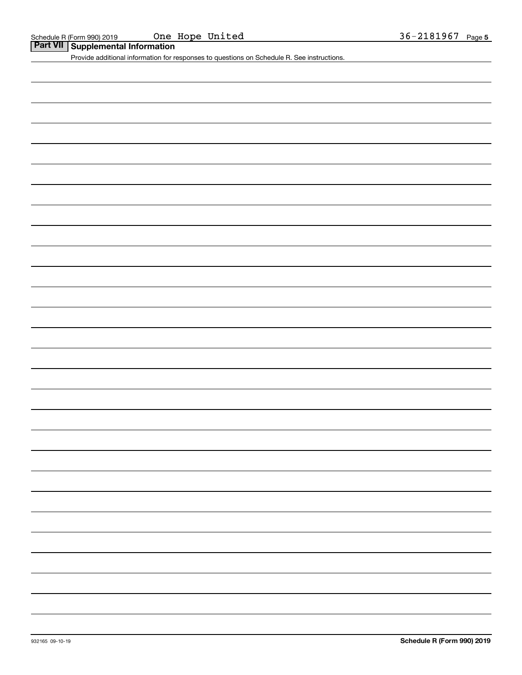# **Part VII Supplemental Information**

Provide additional information for responses to questions on Schedule R. See instructions.